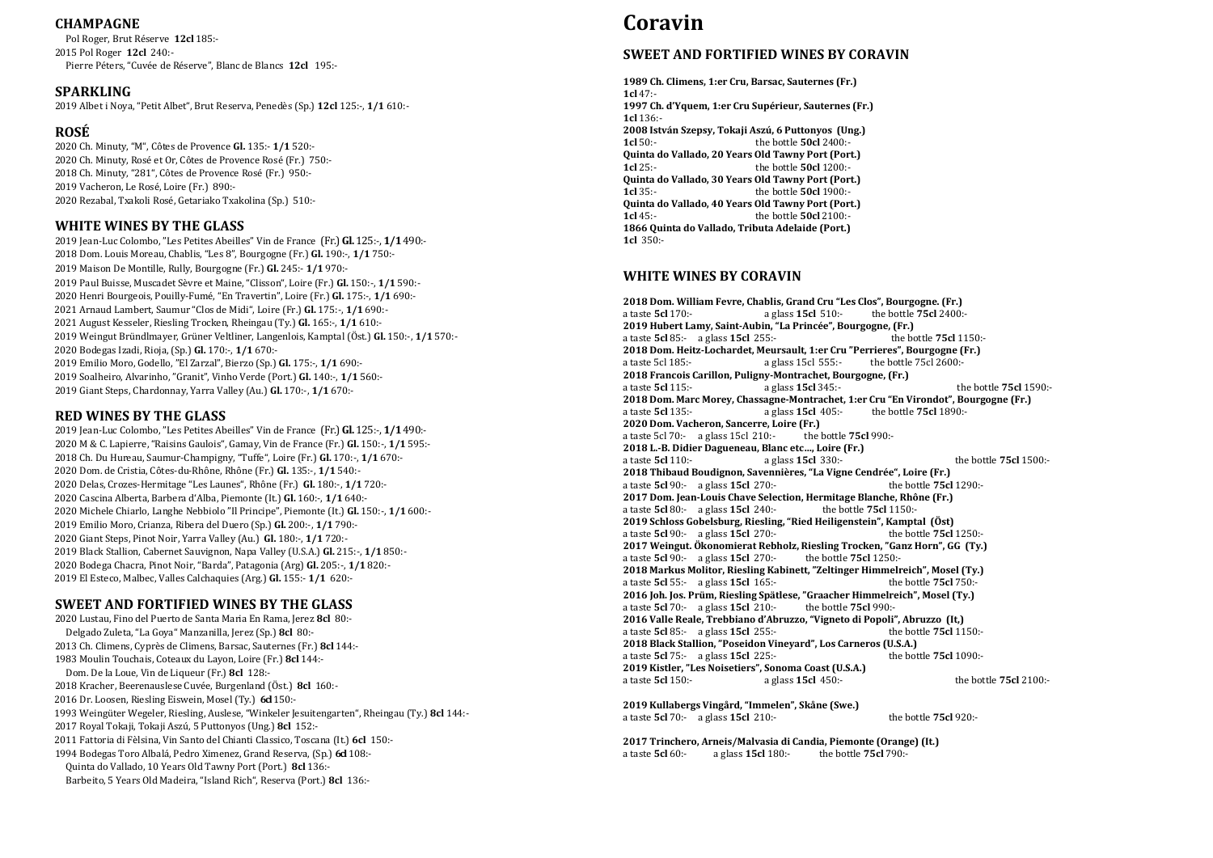### **CHAMPAGNE**

 Pol Roger, Brut Réserve **12cl** 185:- 2015 Pol Roger **12cl** 240:- Pierre Péters, "Cuvée de Réserve", Blanc de Blancs **12cl** 195:-

# **SPARKLING**

2019 Albet i Noya, "Petit Albet", Brut Reserva, Penedès (Sp.) **12cl** 125:-, **1/1** 610:-

# **ROSÉ**

2020 Ch. Minuty, "M", Côtes de Provence **Gl.** 135:- **1/1** 520:- 2020 Ch. Minuty, Rosé et Or, Côtes de Provence Rosé (Fr.) 750:- 2018 Ch. Minuty, "281", Côtes de Provence Rosé (Fr.) 950:- 2019 Vacheron, Le Rosé, Loire (Fr.) 890:- 2020 Rezabal, Txakoli Rosé, Getariako Txakolina (Sp.) 510:-

# **WHITE WINES BY THE GLASS**

2019 Jean-Luc Colombo, "Les Petites Abeilles" Vin de France (Fr.) **Gl.**125:-, **1/1**490:- 2018 Dom. Louis Moreau, Chablis, "Les 8", Bourgogne (Fr.) **Gl.** 190:-, **1/1** 750:- 2019 Maison De Montille, Rully, Bourgogne (Fr.) **Gl.** 245:- **1/1** 970:- 2019 Paul Buisse, Muscadet Sèvre et Maine, "Clisson", Loire (Fr.) **Gl.** 150:-, **1/1** 590:- 2020 Henri Bourgeois, Pouilly-Fumé, "En Travertin", Loire (Fr.) **Gl.** 175:-, **1/1** 690:- 2021 Arnaud Lambert, Saumur "Clos de Midi", Loire (Fr.) **Gl.** 175:-, **1/1** 690:- 2021 August Kesseler, Riesling Trocken, Rheingau (Ty.) **Gl.** 165:-, **1/1** 610:- 2019 Weingut Bründlmayer, Grüner Veltliner, Langenlois, Kamptal (Öst.) **Gl.** 150:-, **1/1** 570:- 2020 Bodegas Izadi, Rioja, (Sp.) **Gl.** 170:-, **1/1** 670:- 2019 Emilio Moro, Godello, "El Zarzal", Bierzo (Sp.) **Gl.** 175:-, **1/1** 690:- 2019 Soalheiro, Alvarinho, "Granit", Vinho Verde (Port.) **Gl.** 140:-, **1/1** 560:- 2019 Giant Steps, Chardonnay, Yarra Valley (Au.) **Gl.** 170:-, **1/1** 670:-

# **RED WINES BY THE GLASS**

2019 Jean-Luc Colombo, "Les Petites Abeilles" Vin de France (Fr.) **Gl.**125:-, **1/1**490:- 2020 M & C. Lapierre, "Raisins Gaulois", Gamay, Vin de France (Fr.) **Gl.** 150:-, **1/1** 595:- 2018 Ch. Du Hureau, Saumur-Champigny, "Tuffe", Loire (Fr.) **Gl.** 170:-, **1/1** 670:- 2020 Dom. de Cristia, Côtes-du-Rhône, Rhône (Fr.) **Gl.** 135:-, **1/1** 540:- 2020 Delas, Crozes-Hermitage "Les Launes", Rhône (Fr.) **Gl.** 180:-, **1/1** 720:- 2020 Cascina Alberta, Barbera d'Alba, Piemonte (It.) **Gl.** 160:-, **1/1** 640:- 2020 Michele Chiarlo, Langhe Nebbiolo "Il Principe", Piemonte (It.) **Gl.** 150:-, **1/1** 600:- 2019 Emilio Moro, Crianza, Ribera del Duero (Sp.) **Gl.** 200:-, **1/1** 790:- 2020 Giant Steps, Pinot Noir, Yarra Valley (Au.) **Gl.** 180:-, **1/1** 720:- 2019 Black Stallion, Cabernet Sauvignon, Napa Valley (U.S.A.) **Gl.** 215:-, **1/1** 850:- 2020 Bodega Chacra, Pinot Noir, "Barda", Patagonia (Arg) **Gl.** 205:-, **1/1** 820:- 2019 El Esteco, Malbec, Valles Calchaquies (Arg.) **Gl.** 155:- **1/1** 620:-

# **SWEET AND FORTIFIED WINES BY THE GLASS**

2020 Lustau, Fino del Puerto de Santa Maria En Rama, Jerez **8cl** 80:- Delgado Zuleta, "La Goya" Manzanilla, Jerez (Sp.) **8cl** 80:- 2013 Ch. Climens, Cyprès de Climens, Barsac, Sauternes (Fr.) **8cl** 144:- 1983 Moulin Touchais, Coteaux du Layon, Loire (Fr.) **8cl** 144:- Dom. De la Loue, Vin de Liqueur (Fr.) **8cl** 128:- 2018 Kracher, Beerenauslese Cuvée, Burgenland (Öst.) **8cl** 160:- 2016 Dr. Loosen, Riesling Eiswein, Mosel (Ty.) **6cl** 150:- 1993 Weingüter Wegeler, Riesling, Auslese, "Winkeler Jesuitengarten", Rheingau (Ty.) **8cl** 144:- 2017 Royal Tokaji, Tokaji Aszú, 5 Puttonyos (Ung.) **8cl** 152:- 2011 Fattoria di Fèlsina, Vin Santo del Chianti Classico, Toscana (It.) **6cl** 150:- 1994 Bodegas Toro Albalá, Pedro Ximenez, Grand Reserva, (Sp.) **6cl** 108:-

Quinta do Vallado, 10 Years Old Tawny Port (Port.) **8cl** 136:-

Barbeito, 5 Years Old Madeira, "Island Rich", Reserva (Port.) **8cl** 136:-

# **Coravin**

# **SWEET AND FORTIFIED WINES BY CORAVIN**

**1989 Ch. Climens, 1:er Cru, Barsac, Sauternes (Fr.) 1cl** 47:- **1997 Ch. d'Yquem, 1:er Cru Supérieur, Sauternes (Fr.) 1cl** 136:- **2008 István Szepsy, Tokaji Aszú, 6 Puttonyos (Ung.) 1cl** 50:- the bottle **50cl** 2400:- **Quinta do Vallado, 20 Years Old Tawny Port (Port.) 1cl** 25:- the bottle **50cl** 1200:- **Quinta do Vallado, 30 Years Old Tawny Port (Port.) 1cl** 35:- the bottle **50cl** 1900:- **Quinta do Vallado, 40 Years Old Tawny Port (Port.) 1cl** 45:- the bottle **50cl** 2100:- **1866 Quinta do Vallado, Tributa Adelaide (Port.) 1cl** 350:-

## **WHITE WINES BY CORAVIN**

**2018 Dom. William Fevre, Chablis, Grand Cru "Les Clos", Bourgogne. (Fr.)** a taste **5cl** 170:- a glass **15cl** 510:- the bottle **75cl** 2400:- **2019 Hubert Lamy, Saint-Aubin, "La Princée", Bourgogne, (Fr.)** a taste **5cl** 85:- a glass **15cl** 255:- the bottle **75cl** 1150:- **2018 Dom. Heitz-Lochardet, Meursault, 1:er Cru "Perrieres", Bourgogne (Fr.)**  a taste 5cl 185:- a glass 15cl 555:- the bottle 75cl 2600:- **2018 Francois Carillon, Puligny-Montrachet, Bourgogne, (Fr.)** a taste **5cl** 115:- a glass **15cl** 345:- the bottle **75cl** 1590:- **2018 Dom. Marc Morey, Chassagne-Montrachet, 1:er Cru "En Virondot", Bourgogne (Fr.)** a taste **5cl** 135:- a glass **15cl** 405:- the bottle **75cl** 1890:- **2020 Dom. Vacheron, Sancerre, Loire (Fr.)** a taste 5cl 70:- a glass 15cl 210:- the bottle **75cl** 990:- **2018 L.-B. Didier Dagueneau, Blanc etc…, Loire (Fr.)** a taste **5cl** 110:- a glass **15cl** 330:- the bottle **75cl** 1500:- **2018 Thibaud Boudignon, Savennières, "La Vigne Cendrée", Loire (Fr.)** a taste **5cl** 90:- a glass **15cl** 270:- the bottle **75cl** 1290:- **2017 Dom. Jean-Louis Chave Selection, Hermitage Blanche, Rhône (Fr.)** a taste **5cl** 80:- a glass **15cl** 240:- the bottle **75cl** 1150:- **2019 Schloss Gobelsburg, Riesling, "Ried Heiligenstein", Kamptal (Öst)** a taste **5cl** 90:- a glass **15cl** 270:- the bottle **75cl** 1250:- **2017 Weingut. Ökonomierat Rebholz, Riesling Trocken, "Ganz Horn", GG (Ty.)** a taste **5cl** 90:- a glass **15cl** 270:- the bottle **75cl** 1250:- **2018 Markus Molitor, Riesling Kabinett, "Zeltinger Himmelreich", Mosel (Ty.)** a taste **5cl** 55:- a glass **15cl** 165:- the bottle **75cl** 750:- **2016 Joh. Jos. Prüm, Riesling Spätlese, "Graacher Himmelreich", Mosel (Ty.)** a taste **5cl** 70:- a glass **15cl** 210:- the bottle **75cl** 990:- **2016 Valle Reale, Trebbiano d'Abruzzo, "Vigneto di Popoli", Abruzzo (It,)** a taste **5cl** 85:- a glass **15cl** 255:- the bottle **75cl** 1150:- **2018 Black Stallion, "Poseidon Vineyard", Los Carneros (U.S.A.)**  a taste **5cl** 75:- a glass **15cl** 225:- the bottle **75cl** 1090:- **2019 Kistler, "Les Noisetiers", Sonoma Coast (U.S.A.)** a taste **5cl** 150:- a glass **15cl** 450:- the bottle **75cl** 2100:-

**2019 Kullabergs Vingård, "Immelen", Skåne (Swe.)** a taste **5cl** 70:- a glass **15cl** 210:- the bottle **75cl** 920:-

**2017 Trinchero, Arneis/Malvasia di Candia, Piemonte (Orange) (It.)** a taste **5cl** 60:- a glass **15cl** 180:- the bottle **75cl** 790:-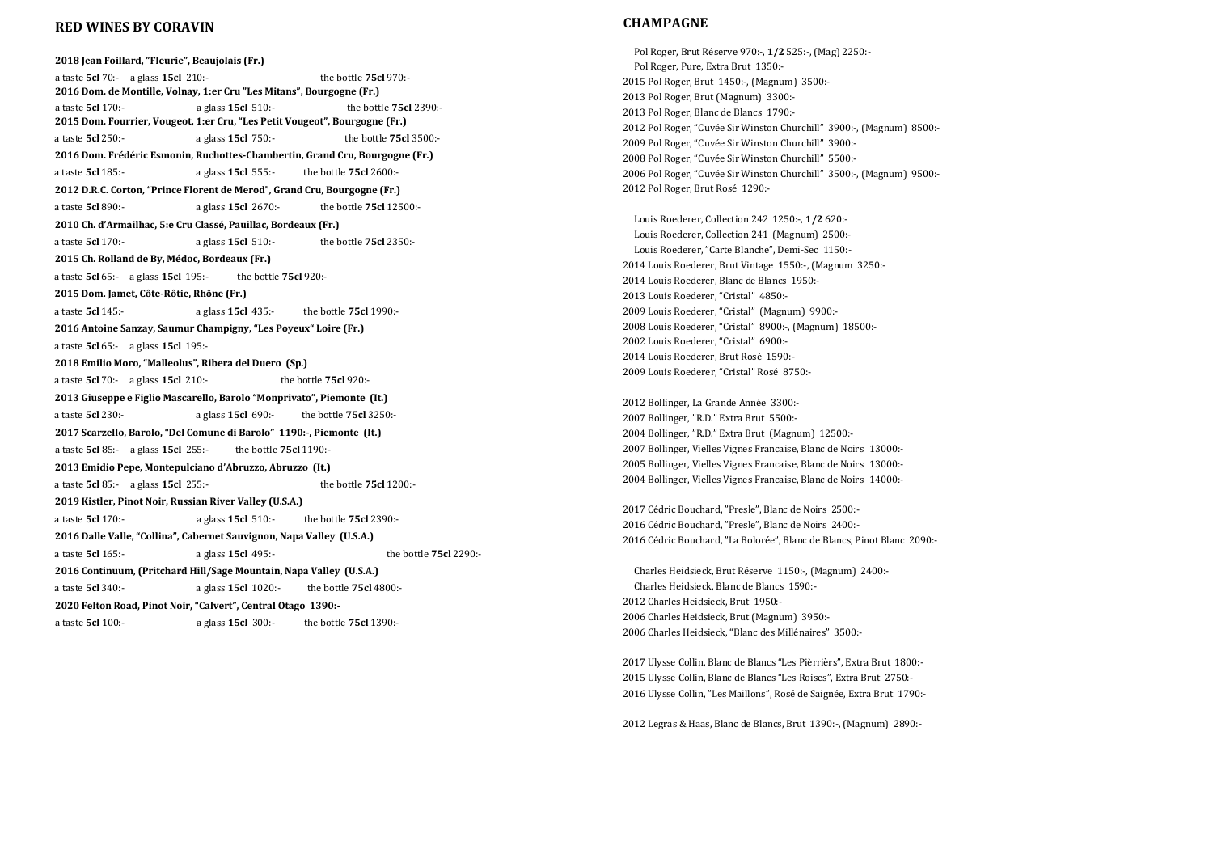### **RED WINES BY CORAVIN**

**2018 Jean Foillard, "Fleurie", Beaujolais (Fr.)** a taste **5cl** 70:- a glass **15cl** 210:- the bottle **75cl** 970:- **2016 Dom. de Montille, Volnay, 1:er Cru "Les Mitans", Bourgogne (Fr.)** a taste **5cl** 170:- a glass **15cl** 510:- the bottle **75cl** 2390:- **2015 Dom. Fourrier, Vougeot, 1:er Cru, "Les Petit Vougeot", Bourgogne (Fr.)**  a taste **5cl** 250:- a glass **15cl** 750:- the bottle **75cl** 3500:- **2016 Dom. Frédéric Esmonin, Ruchottes-Chambertin, Grand Cru, Bourgogne (Fr.)** a taste **5cl** 185:- a glass **15cl** 555:- the bottle **75cl** 2600:- **2012 D.R.C. Corton, "Prince Florent de Merod", Grand Cru, Bourgogne (Fr.)** a taste **5cl** 890:- a glass **15cl** 2670:- the bottle **75cl** 12500:- **2010 Ch. d'Armailhac, 5:e Cru Classé, Pauillac, Bordeaux (Fr.)** a taste **5cl** 170:- a glass **15cl** 510:- the bottle **75cl** 2350:- **2015 Ch. Rolland de By, Médoc, Bordeaux (Fr.)** a taste **5cl** 65:- a glass **15cl** 195:- the bottle **75cl** 920:- **2015 Dom. Jamet, Côte-Rôtie, Rhône (Fr.)** a taste **5cl** 145:- a glass **15cl** 435:- the bottle **75cl** 1990:- **2016 Antoine Sanzay, Saumur Champigny, "Les Poyeux" Loire (Fr.)** a taste **5cl** 65:- a glass **15cl** 195:- **2018 Emilio Moro, "Malleolus", Ribera del Duero (Sp.)** a taste **5cl** 70:- a glass **15cl** 210:- the bottle **75cl** 920:- **2013 Giuseppe e Figlio Mascarello, Barolo "Monprivato", Piemonte (It.)** a taste **5cl** 230:- a glass **15cl** 690:- the bottle **75cl** 3250:- **2017 Scarzello, Barolo, "Del Comune di Barolo" 1190:-, Piemonte (It.)** a taste **5cl** 85:- a glass **15cl** 255:- the bottle **75cl** 1190:- **2013 Emidio Pepe, Montepulciano d'Abruzzo, Abruzzo (It.)**  a taste **5cl** 85:- a glass **15cl** 255:- the bottle **75cl** 1200:- **2019 Kistler, Pinot Noir, Russian River Valley (U.S.A.)** a taste **5cl** 170:- a glass **15cl** 510:- the bottle **75cl** 2390:- **2016 Dalle Valle, "Collina", Cabernet Sauvignon, Napa Valley (U.S.A.)**  a taste **5cl** 165:- a glass **15cl** 495:- the bottle **75cl** 2290:- **2016 Continuum, (Pritchard Hill/Sage Mountain, Napa Valley (U.S.A.)** a taste **5cl** 340:- a glass **15cl** 1020:- the bottle **75cl** 4800:- **2020 Felton Road, Pinot Noir, "Calvert", Central Otago 1390:** a taste **5cl** 100:- a glass **15cl** 300:- the bottle **75cl** 1390:-

### **CHAMPAGNE**

 Pol Roger, Brut Réserve 970:-, **1/2** 525:-, (Mag) 2250:- Pol Roger, Pure, Extra Brut 1350:- 2015 Pol Roger, Brut 1450:-, (Magnum) 3500:- 2013 Pol Roger, Brut (Magnum) 3300:- 2013 Pol Roger, Blanc de Blancs 1790:- 2012 Pol Roger, "Cuvée Sir Winston Churchill" 3900:-, (Magnum) 8500:- 2009 Pol Roger, "Cuvée Sir Winston Churchill" 3900:- 2008 Pol Roger, "Cuvée Sir Winston Churchill" 5500:- 2006 Pol Roger, "Cuvée Sir Winston Churchill" 3500:-, (Magnum) 9500:- 2012 Pol Roger, Brut Rosé 1290:-

 Louis Roederer, Collection 242 1250:-, **1/2** 620:- Louis Roederer, Collection 241 (Magnum) 2500:- Louis Roederer, "Carte Blanche", Demi-Sec 1150:- Louis Roederer, Brut Vintage 1550:-, (Magnum 3250:- Louis Roederer, Blanc de Blancs 1950:- Louis Roederer, "Cristal" 4850:- Louis Roederer, "Cristal" (Magnum) 9900:- Louis Roederer, "Cristal" 8900:-, (Magnum) 18500:- Louis Roederer, "Cristal" 6900:- Louis Roederer, Brut Rosé 1590:- 2009 Louis Roederer, "Cristal" Rosé 8750:-

2012 Bollinger, La Grande Année 3300:- 2007 Bollinger, "R.D." Extra Brut 5500:- 2004 Bollinger, "R.D." Extra Brut (Magnum) 12500:- 2007 Bollinger, Vielles Vignes Francaise, Blanc de Noirs13000:- 2005 Bollinger, Vielles Vignes Francaise, Blanc de Noirs13000:- 2004 Bollinger, Vielles Vignes Francaise, Blanc de Noirs14000:-

2017 Cédric Bouchard, "Presle", Blanc de Noirs 2500:- 2016 Cédric Bouchard, "Presle", Blanc de Noirs 2400:- 2016 Cédric Bouchard, "La Bolorée", Blanc de Blancs, Pinot Blanc 2090:-

 Charles Heidsieck, Brut Réserve 1150:-, (Magnum) 2400:- Charles Heidsieck, Blanc de Blancs 1590:- 2012 Charles Heidsieck, Brut 1950:- 2006 Charles Heidsieck, Brut (Magnum) 3950:- 2006 Charles Heidsieck, "Blanc des Millénaires" 3500:-

2017 Ulysse Collin, Blanc de Blancs "Les Pièrrièrs", Extra Brut 1800:- 2015 Ulysse Collin, Blanc de Blancs "Les Roises", Extra Brut 2750:- 2016 Ulysse Collin, "Les Maillons", Rosé de Saignée, Extra Brut 1790:-

2012 Legras & Haas, Blanc de Blancs, Brut 1390:-, (Magnum) 2890:-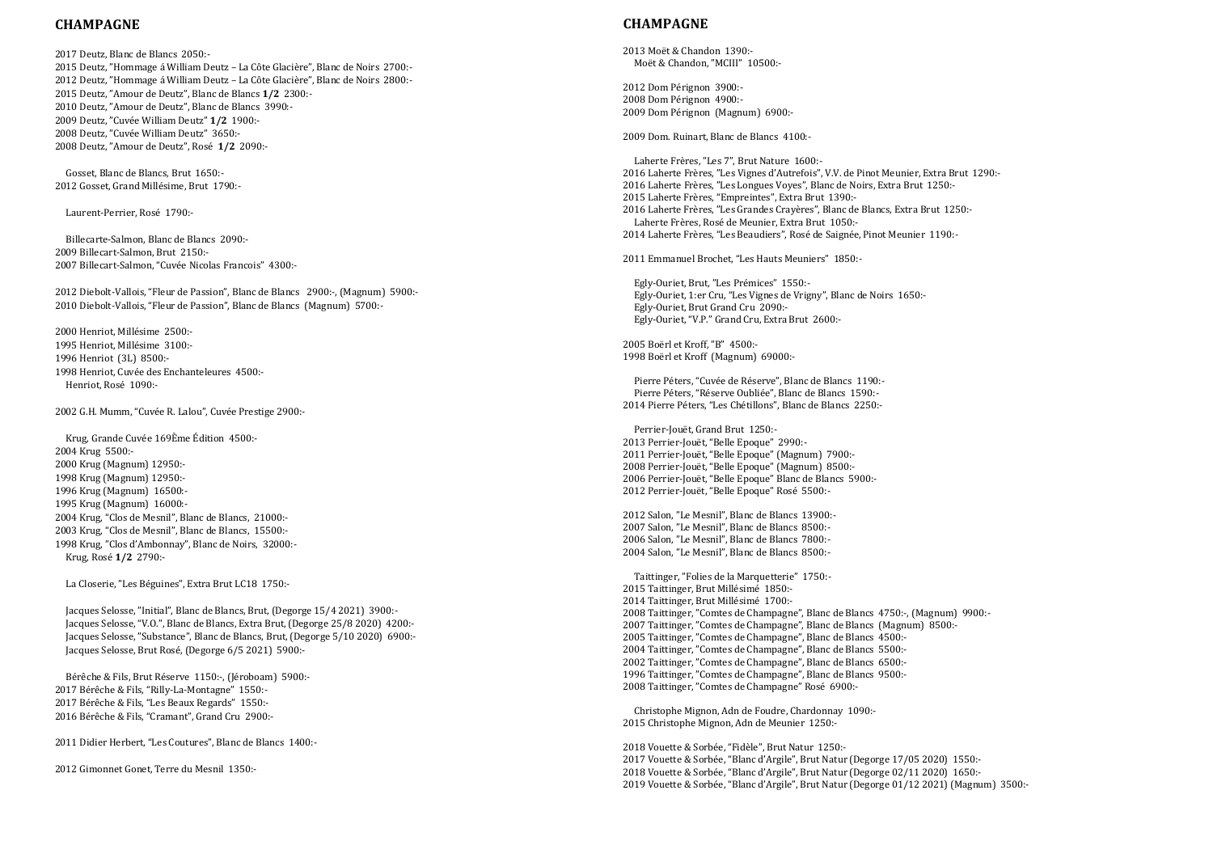### **CHAMPAGNE**

2017 Deutz, Blanc de Blancs 2050: - 2015 Deutz, "Hommage á William Deutz – La Côte Glacière", Blanc de Noirs 2700: - 2012 Deutz, "Hommage á William Deutz – La Côte Glacière", Blanc de Noirs 2800: - 2015 Deutz, "Amour de Deutz", Blanc de Blancs **1/2** 2300: - 2010 Deutz, "Amour de Deutz", Blanc de Blancs 3990: - 2009 Deutz, "Cuvée William Deutz" **1/2** 1900: - 2008 Deutz, "Cuvée William Deutz" 3650: - 2008 Deutz, "Amour de Deutz", Rosé **1/2** 2090: -

 Gosset, Blanc de Blancs, Brut 1650: - 2012 Gosset, Grand Millésime, Brut 1790: -

Laurent -Perrier, Rosé 1790: -

 Billecarte -Salmon, Blanc de Blancs 2090: - 2009 Billecart -Salmon, Brut 2150: - 2007 Billecart -Salmon, "Cuvée Nicolas Francois" 4300: -

2012 Diebolt -Vallois, "Fleur de Passion", Blanc de Blancs 2900: -, (Magnum) 5900: - 2010 Diebolt -Vallois, "Fleur de Passion", Blanc de Blancs (Magnum) 5700: -

2000 Henriot, Millésime 2500: - 1995 Henriot, Millésime 3100: - 1996 Henriot (3L) 8500: - 1998 Henriot, Cuvée des Enchanteleures 4500: - Henriot, Rosé 1090: -

Bérêche & Fils, Brut Réserve (1150:-, (Jéroboam) 5900:-2017 Bérêche & Fils, "Rilly -La -Montagne" 1550: - 2017 Bérêche & Fils, "Les Beaux Regards" 1550: - 2016 Bérêche & Fils, "Cramant", Grand Cru 2900: -

2002 G.H. Mumm, "Cuvée R. Lalou", Cuvée Prestige 2900: -

 Krug, Grande Cuvée 169Ème Édition 4500: - 2004 Krug 5500: - 2000 Krug (Magnum) 12950: - 1998 Krug (Magnum) 12950: - 1996 Krug (Magnum) 16500: - 1995 Krug (Magnum) 16000: - 2004 Krug, "Clos de Mesnil", Blanc de Blancs, 21000 : - 2003 Krug, "Clos de Mesnil", Blanc de Blancs, 15500: - 1998 Krug, "Clos d'Ambonnay", Blanc de Noirs, 32000: - Krug, Rosé **1/2** 2790: -

La Closerie, "Les Béguines", Extra Brut LC18 1750: -

 Jacques Selosse, "Initial", Blanc de Blancs, Brut, (Degorge 15/4 2021) 3900: - Jacques Selosse, "V.O.", Blanc de Blancs, Extra Brut, (Degorge 25/8 2020) 4200: - Jacques Selosse, "Substance ", Blanc de Blancs, Brut, (Degorge 5/10 2020) 6900: - Jacques Selosse, Brut Rosé, (Degorge 6/5 2021) 5900: -

2011 Didier Herbert, "Les Coutures", Blanc de Blancs 1400: -

2012 Gimonnet Gonet, Terre du Mesnil 1350: -

#### **CHAMPAGNE**

2013 Moët & Chandon 1390: - Moët & Chandon, "MCIII" 10500: -

2012 Dom Pérignon 3900: - 2008 Dom Pérignon 4900: - 2009 Dom Pérignon (Magnum) 6900: -

2009 Dom. Ruinart, Blanc de Blancs 4100: -

 Laherte Frères, "Les 7", Brut Nature 1600: - 2016 Laherte Frères, "Les Vignes d'Autrefois", V.V. de Pinot Meunier, Extra Brut 1290: - 2016 Laherte Frères, "Les Longues Voyes", Blanc de Noirs, Extra Brut 1250: - 2015 Laherte Frères, "Empreintes", Extra Brut 1390: - 2016 Laherte Frères, "Les Grandes Crayères", Blanc de Blancs, Extra Brut 1250: - Laherte Frères, Rosé de Meunier, Extra Brut 1050: - 2014 Laherte Frères, "Les Beaudiers", Rosé de Saignée, Pinot Meunier 1190: -

2011 Emmanuel Brochet, "Les Hauts Meuniers" 1850: -

 Egly -Ouriet, Brut, "Les Prémices" 1550: - Egly -Ouriet, 1:er Cru, "Les Vignes de Vrigny", Blanc de Noirs 1650 : - Egly -Ouriet, Brut Grand Cru 2090 : - Egly -Ouriet, "V.P." Grand Cru, Extra Brut 2600: -

2005 Boërl et Kroff, "B" 4500: - 1998 Boërl et Kroff (Magnum) 69000: -

 Pierre Péters, "Cuvée de Réserve", Blanc de Blancs 1190 : - Pierre Péters, "Réserve Oubliée", Blanc de Blancs 1590: - 2014 Pierre Péters, "Les Chétillons", Blanc de Blancs 2250 : -

 Perrier -Jouët, Grand Brut 1250: - 2013 Perrier -Jouët, "Belle Epoque" 2990: - 2011 Perrier -Jouët, "Belle Epoque" (Magnum) 7900: - 2008 Perrier - Jouët, "Belle Epoque" (Magnum) 8500: - 2006 Perrier -Jouët, "Belle Epoque" Blanc de Blancs 5900: - 2012 Perrier -Jouët, "Belle Epoque" Rosé 5500: -

 Salon, "Le Mesnil", Blanc de Blancs 13900 : - Salon, "Le Mesnil", Blanc de Blancs 8500 : - Salon, "Le Mesnil", Blanc de Blancs 7800 : - Salon, "Le Mesnil", Blanc de Blancs 8500 : -

 Taittinger, "Folies de la Marquetterie" 1750: - Taittinger, Brut Millésimé 1850: - Taittinger, Brut Millésimé 1700: - Taittinger, "Comtes de Champagne", Blanc de Blancs 4750: -, (Magnum) 9900: - Taittinger, "Comtes de Champagne", Blanc de Blancs (Magnum) 8500: - Taittinger, "Comtes de Champagne", Blanc de Blancs 4500: - Taittinger, "Comtes de Champagne", Blanc de Blancs 5500: - Taittinger, "Comtes de Champagne", Blanc de Blancs 6500: - Taittinger, "Comtes de Champagne", Blanc de Blancs 9500: - 2008 Taittinger, "Comtes de Champagne" Rosé 6900: -

 Christophe Mignon, Adn de Foudre, Chardonnay 1090: - 2015 Christophe Mignon, Adn de Meunier 1250: -

2018 Vouette & Sorbée, "Fidèle", Brut Natur 1250: - 2017 Vouette & Sorbée, "Blanc d'Argile", Brut Natur (Degorge 17/05 2020) 1550: - 2018 Vouette & Sorbée, "Blanc d'Argile", Brut Natur (Degorge 02/11 2020) 1650: - 2019 Vouette & Sorbée, "Blanc d'Argile", Brut Natur (Degorge 01/12 2021) (Magnum) 3500: -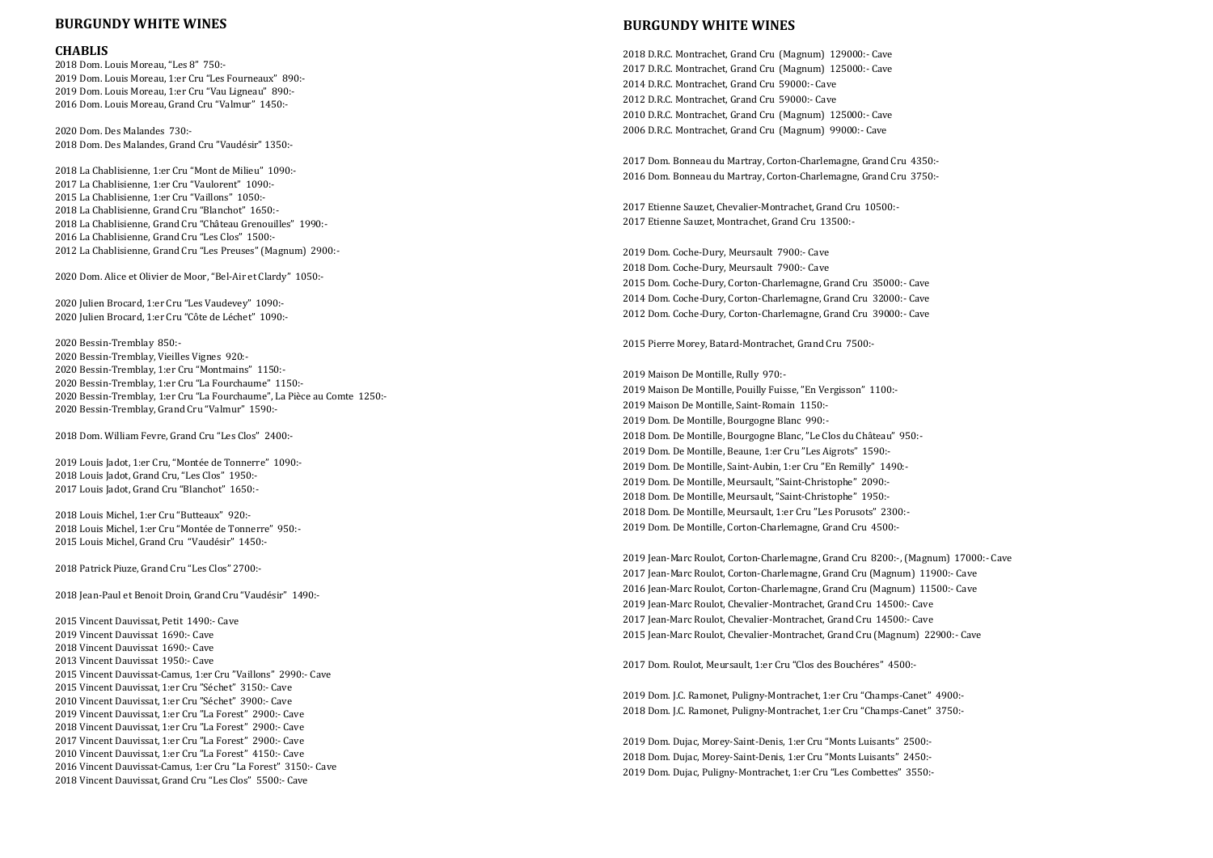#### **BURGUNDY WHITE WINES**

#### **CHABLIS**

2018 Dom. Louis Moreau, "Les 8" 750: - 2019 Dom. Louis Moreau, 1:er Cru "Les Fourneaux" 890: - 2019 Dom. Louis Moreau, 1:er Cru "Vau Ligneau" 890: - 2016 Dom. Louis Moreau, Grand Cru "Valmur" 1450: -

2020 Dom. Des Malandes 730 : - 2018 Dom. Des Malandes, Grand Cru "Vaudésir" 1350: -

2018 La Chablisienne, 1:er Cru "Mont de Milieu" 1090: - 2017 La Chablisienne, 1:er Cru "Vaulorent" 1090: - 2015 La Chablisienne, 1:er Cru "Vaillons" 1050: - 2018 La Chablisienne, Grand Cru "Blanchot" 1650: - 2018 La Chablisienne, Grand Cru "Château Grenouilles" 1990: - 2016 La Chablisienne, Grand Cru "Les Clos" 1500: - 2012 La Chablisienne, Grand Cru "Les Preuses" (Magnum) 2900 : -

2020 Dom. Alice et Olivier de Moor, "Bel -Air et Clardy" 1050: -

2020 Julien Brocard, 1:er Cru "Les Vaudevey" 1090: - 2020 Julien Brocard, 1:er Cru "Côte de Léchet" 1090: -

2020 Bessin-Tremblay 850:-2020 Bessin-Tremblay, Vieilles Vignes 920:-2020 Bessin-Tremblay, 1:er Cru "Montmains" 1150:-2020 Bessin -Tremblay, 1:er Cru "La Fourchaume" 1150: - 2020 Bessin -Tremblay, 1:er Cru "La Fourchaume", La Pièce au Comte 1250: - 2020 Bessin-Tremblay, Grand Cru "Valmur" 1590:-

2018 Dom. William Fevre, Grand Cru "Les Clos" 2400: -

2019 Louis Jadot, 1:er Cru, "Montée de Tonnerre" 1090: - 2018 Louis Jadot, Grand Cru, "Les Clos" 1950: - 2017 Louis Jadot, Grand Cru "Blanchot" 1650: -

2018 Louis Michel, 1:er Cru "Butteaux" 920: - 2018 Louis Michel, 1:er Cru "Montée de Tonnerre" 950: - 2015 Louis Michel, Grand Cru "Vaudésir" 1450: -

2018 Patrick Piuze, Grand Cru "Les Clos" 2700: -

2018 Jean -Paul et Benoit Droin, Grand Cru "Vaudésir" 1490: -

2015 Vincent Dauvissat, Petit 1490: - Cave 2019 Vincent Dauvissat 1690: - Cave 2018 Vincent Dauvissat 1690: - Cave 2013 Vincent Dauvissat 1950: - Cave 2015 Vincent Dauvissat -Camus, 1:er Cru "Vaillons" 2990: - Cave 2015 Vincent Dauvissat, 1:er Cru "Séchet" 3150: - Cave 2010 Vincent Dauvissat, 1:er Cru "Séchet" 3900: - Cave 2019 Vincent Dauvissat, 1:er Cru "La Forest" 2900: - Cave 2018 Vincent Dauvissat, 1:er Cru "La Forest" 2900 : - Cave 2017 Vincent Dauvissat, 1:er Cru "La Forest" 2900 : - Cave 2010 Vincent Dauvissat, 1:er Cru "La Forest" 4150: - Cave 2016 Vincent Dauvissat-Camus, 1:er Cru "La Forest" 3150:- Cave 2018 Vincent Dauvissat, Grand Cru "Les Clos" 5500: - Cave

2019 Dom. J.C. Ramonet, Puligny -Montrachet, 1:er Cru "Champs -Canet" 4900: - 2018 Dom. J.C. Ramonet, Puligny-Montrachet, 1:er Cru "Champs-Canet" 3750:-

### **BURGUNDY WHITE WINES**

2019 Dom. Dujac, Morey-Saint-Denis, 1:er Cru "Monts Luisants" 2500:-2018 Dom. Dujac, Morey-Saint-Denis, 1:er Cru "Monts Luisants" 2450:-2019 Dom. Dujac, Puligny -Montrachet, 1:er Cru "Les Combettes" 3550: -

 D.R.C. Montrachet, Grand Cru (Magnum) 129000: - Cave D.R.C. Montrachet, Grand Cru (Magnum) 125000: - Cave D.R.C. Montrachet, Grand Cru 59000: - Cave D.R.C. Montrachet, Grand Cru 59000: - Cave D.R.C. Montrachet, Grand Cru (Magnum) 125000: - Cave D.R.C. Montrachet, Grand Cru (Magnum) 99000: - Cave

2017 Dom. Bonneau du Martray, Corton -Charlemagne, Grand Cru 4350: - 2016 Dom. Bonneau du Martray, Corton -Charlemagne, Grand Cru 3750: -

2017 Etienne Sauzet, Chevalier -Montrachet, Grand Cru 10500: - 2017 Etienne Sauzet, Montrachet, Grand Cru 13500: -

2019 Dom. Coche -Dury, Meursault 7900: - Cave 2018 Dom. Coche -Dury, Meursault 7900: - Cave 2015 Dom. Coche -Dury, Corton -Charlemagne, Grand Cru 35000: - Cave 2014 Dom. Coche -Dury, Corton -Charlemagne, Grand Cru 32000: - Cave 2012 Dom. Coche -Dury, Corton -Charlemagne, Grand Cru 39000: - Cave

2015 Pierre Morey, Batard - Montrachet, Grand Cru 7500: -

2019 Maison De Montille, Rully 970: - 2019 Maison De Montille, Pouilly Fuisse, "En Vergisson" 1100: - 2019 Maison De Montille, Saint -Romain 1150: - 2019 Dom. De Montille, Bourgogne Blanc 990: - 2018 Dom. De Montille, Bourgogne Blanc, "Le Clos du Château" 950: - 2019 Dom. De Montille, Beaune, 1:er Cru "Les Aigrots" 1590: - 2019 Dom. De Montille, Saint -Aubin, 1:er Cru "En Remilly" 1490: - 2019 Dom. De Montille, Meursault, "Saint -Christophe" 209 0 : - 2018 Dom. De Montille, Meursault, "Saint -Christophe" 1950 : - 2018 Dom. De Montille, Meursault, 1:er Cru "Les Porusots" 2300: - 2019 Dom. De Montille, Corton -Charlemagne, Grand Cru 4500: -

2019 Jean -Marc Roulot, Corton -Charlemagne, Grand Cru 8200: -, (Magnum) 17000: - Cave 2017 Jean-Marc Roulot, Corton-Charlemagne, Grand Cru (Magnum) 11900:- Cave 2016 Jean-Marc Roulot, Corton-Charlemagne, Grand Cru (Magnum) 11500:- Cave 2019 Jean -Marc Roulot, Chevalier -Montrachet, Grand Cru 14500: - Cave 2017 Jean -Marc Roulot, Chevalier -Montrachet, Grand Cru 14500: - Cave 2015 Jean -Marc Roulot, Chevalier -Montrachet, Grand Cru (Magnum) 22900: - Cave

2017 Dom. Roulot, Meursault, 1:er Cru "Clos des Bouchéres" 4500: -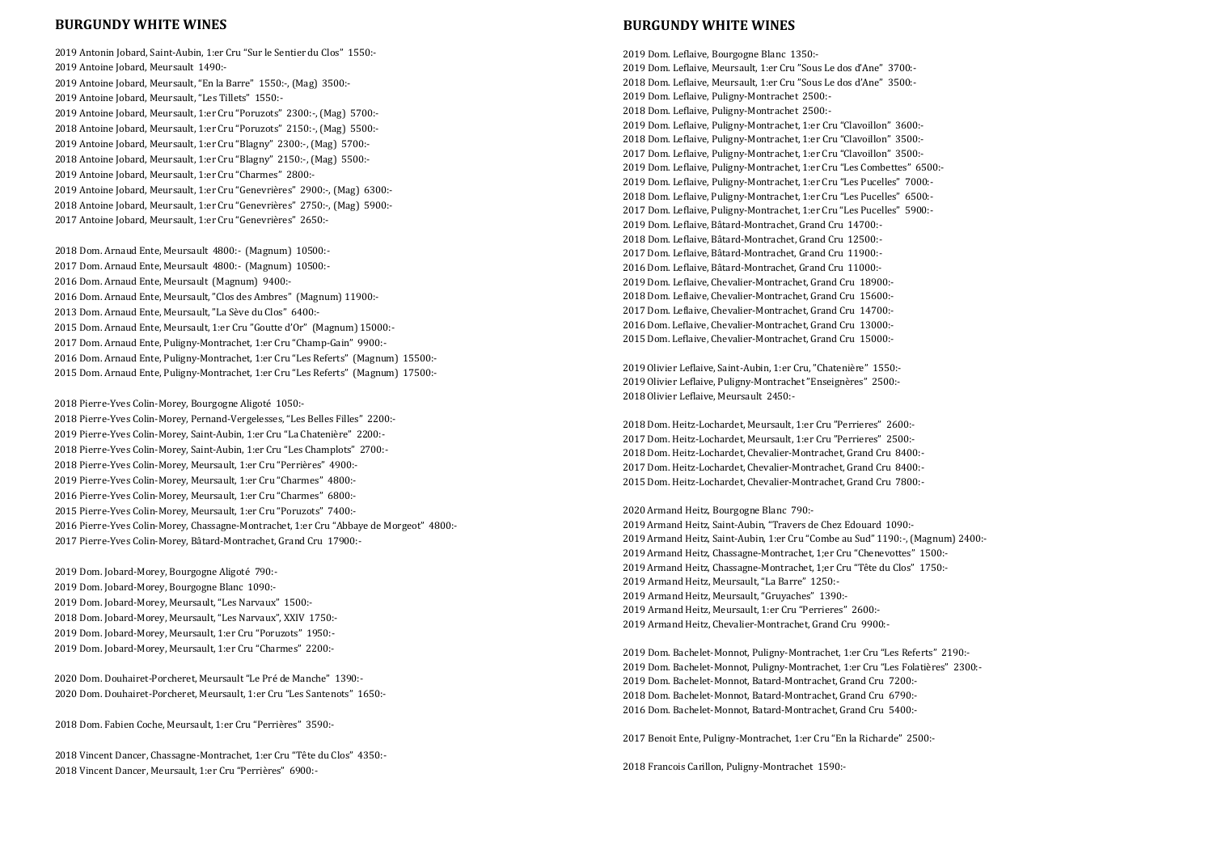#### **BURGUNDY WHITE WINES**

2019 Antonin Jobard, Saint-Aubin, 1:er Cru "Sur le Sentier du Clos" 1550:- 2019 Antoine Jobard, Meursault 1490:- Antoine Jobard, Meursault, "En la Barre" 1550:-, (Mag) 3500:- Antoine Jobard, Meursault, "Les Tillets" 1550:- Antoine Jobard, Meursault, 1:er Cru "Poruzots" 2300:-, (Mag) 5700:- Antoine Jobard, Meursault, 1:er Cru "Poruzots" 2150:-, (Mag) 5500:- Antoine Jobard, Meursault, 1:er Cru "Blagny" 2300:-, (Mag) 5700:- Antoine Jobard, Meursault, 1:er Cru "Blagny" 2150:-, (Mag) 5500:- Antoine Jobard, Meursault, 1:er Cru "Charmes" 2800:- Antoine Jobard, Meursault, 1:er Cru "Genevrières" 2900:-, (Mag) 6300:- Antoine Jobard, Meursault, 1:er Cru "Genevrières" 2750:-, (Mag) 5900:- Antoine Jobard, Meursault, 1:er Cru "Genevrières" 2650:-

2018 Dom. Arnaud Ente, Meursault 4800:- (Magnum) 10500:- 2017 Dom. Arnaud Ente, Meursault 4800:- (Magnum) 10500:- 2016 Dom. Arnaud Ente, Meursault (Magnum) 9400:- 2016 Dom. Arnaud Ente, Meursault, "Clos des Ambres" (Magnum) 11900:- 2013 Dom. Arnaud Ente, Meursault, "La Sève du Clos" 6400:- 2015 Dom. Arnaud Ente, Meursault, 1:er Cru "Goutte d'Or" (Magnum) 15000:- 2017 Dom. Arnaud Ente, Puligny-Montrachet, 1:er Cru "Champ-Gain" 9900:- 2016 Dom. Arnaud Ente, Puligny-Montrachet, 1:er Cru "Les Referts" (Magnum) 15500:- 2015 Dom. Arnaud Ente, Puligny-Montrachet, 1:er Cru "Les Referts" (Magnum) 17500:-

2018 Pierre-Yves Colin-Morey, Bourgogne Aligoté 1050:-

 Pierre-Yves Colin-Morey, Pernand-Vergelesses, "Les Belles Filles" 2200:- Pierre-Yves Colin-Morey, Saint-Aubin, 1:er Cru "La Chatenière" 2200:- Pierre-Yves Colin-Morey, Saint-Aubin, 1:er Cru "Les Champlots" 2700:- Pierre-Yves Colin-Morey, Meursault, 1:er Cru "Perrières" 4900:- Pierre-Yves Colin-Morey, Meursault, 1:er Cru "Charmes" 4800:- Pierre-Yves Colin-Morey, Meursault, 1:er Cru "Charmes" 6800:- Pierre-Yves Colin-Morey, Meursault, 1:er Cru "Poruzots" 7400:- Pierre-Yves Colin-Morey, Chassagne-Montrachet, 1:er Cru "Abbaye de Morgeot" 4800:- 2017 Pierre-Yves Colin-Morey, Bâtard-Montrachet, Grand Cru 17900:-

2019 Dom. Jobard-Morey, Bourgogne Aligoté 790:- 2019 Dom. Jobard-Morey, Bourgogne Blanc 1090:- 2019 Dom. Jobard-Morey, Meursault, "Les Narvaux" 1500:- 2018 Dom. Jobard-Morey, Meursault, "Les Narvaux", XXIV 1750:- 2019 Dom. Jobard-Morey, Meursault, 1:er Cru "Poruzots" 1950:- 2019 Dom. Jobard-Morey, Meursault, 1:er Cru "Charmes" 2200:-

2020 Dom. Douhairet-Porcheret, Meursault "Le Pré de Manche" 1390:- 2020 Dom. Douhairet-Porcheret, Meursault, 1:er Cru "Les Santenots" 1650:-

2018 Dom. Fabien Coche, Meursault, 1:er Cru "Perrières" 3590:-

2018 Vincent Dancer, Chassagne-Montrachet, 1:er Cru "Tête du Clos" 4350:- 2018 Vincent Dancer, Meursault, 1:er Cru "Perrières" 6900:-

#### **BURGUNDY WHITE WINES**

2019 Dom. Leflaive, Bourgogne Blanc 1350:- Dom. Leflaive, Meursault, 1:er Cru "Sous Le dos d'Ane" 3700:- Dom. Leflaive, Meursault, 1:er Cru "Sous Le dos d'Ane" 3500:- Dom. Leflaive, Puligny-Montrachet 2500:- Dom. Leflaive, Puligny-Montrachet 2500:- Dom. Leflaive, Puligny-Montrachet, 1:er Cru "Clavoillon" 3600:- Dom. Leflaive, Puligny-Montrachet, 1:er Cru "Clavoillon" 3500:- Dom. Leflaive, Puligny-Montrachet, 1:er Cru "Clavoillon" 3500:- 2019 Dom. Leflaive, Puligny-Montrachet, 1:er Cru "Les Combettes" 6500:- Dom. Leflaive, Puligny-Montrachet, 1:er Cru "Les Pucelles" 7000:- Dom. Leflaive, Puligny-Montrachet, 1:er Cru "Les Pucelles" 6500:- Dom. Leflaive, Puligny-Montrachet, 1:er Cru "Les Pucelles" 5900:- Dom. Leflaive, Bâtard-Montrachet, Grand Cru 14700:- Dom. Leflaive, Bâtard-Montrachet, Grand Cru 12500:- Dom. Leflaive, Bâtard-Montrachet, Grand Cru 11900:- Dom. Leflaive, Bâtard-Montrachet, Grand Cru 11000:- Dom. Leflaive, Chevalier-Montrachet, Grand Cru 18900:- Dom. Leflaive, Chevalier-Montrachet, Grand Cru 15600:- Dom. Leflaive, Chevalier-Montrachet, Grand Cru 14700:- Dom. Leflaive, Chevalier-Montrachet, Grand Cru 13000:- 2015 Dom. Leflaive, Chevalier-Montrachet, Grand Cru 15000:-

2019 Olivier Leflaive, Saint-Aubin, 1:er Cru, "Chatenière" 1550:- 2019 Olivier Leflaive, Puligny-Montrachet "Enseignères" 2500:- 2018 Olivier Leflaive, Meursault 2450:-

2018 Dom. Heitz-Lochardet, Meursault, 1:er Cru "Perrieres" 2600:- 2017 Dom. Heitz-Lochardet, Meursault, 1:er Cru "Perrieres" 2500:- 2018 Dom. Heitz-Lochardet, Chevalier-Montrachet, Grand Cru 8400:- 2017 Dom. Heitz-Lochardet, Chevalier-Montrachet, Grand Cru 8400:- 2015 Dom. Heitz-Lochardet, Chevalier-Montrachet, Grand Cru 7800:-

2020 Armand Heitz, Bourgogne Blanc 790:- 2019 Armand Heitz, Saint-Aubin, "Travers de Chez Edouard 1090:- 2019 Armand Heitz, Saint-Aubin, 1:er Cru "Combe au Sud" 1190:-, (Magnum) 2400:- 2019 Armand Heitz, Chassagne-Montrachet, 1;er Cru "Chenevottes" 1500:- 2019 Armand Heitz, Chassagne-Montrachet, 1;er Cru "Tête du Clos" 1750:- 2019 Armand Heitz, Meursault, "La Barre" 1250:- 2019 Armand Heitz, Meursault, "Gruyaches" 1390:- 2019 Armand Heitz, Meursault, 1:er Cru "Perrieres" 2600:- 2019 Armand Heitz, Chevalier-Montrachet, Grand Cru 9900:-

2019 Dom. Bachelet-Monnot, Puligny-Montrachet, 1:er Cru "Les Referts" 2190:- 2019 Dom. Bachelet-Monnot, Puligny-Montrachet, 1:er Cru "Les Folatières" 2300:- 2019 Dom. Bachelet-Monnot, Batard-Montrachet, Grand Cru 7200:- 2018 Dom. Bachelet-Monnot, Batard-Montrachet, Grand Cru 6790:- 2016 Dom. Bachelet-Monnot, Batard-Montrachet, Grand Cru 5400:-

2017 Benoit Ente, Puligny-Montrachet, 1:er Cru "En la Richarde" 2500:-

2018 Francois Carillon, Puligny-Montrachet 1590:-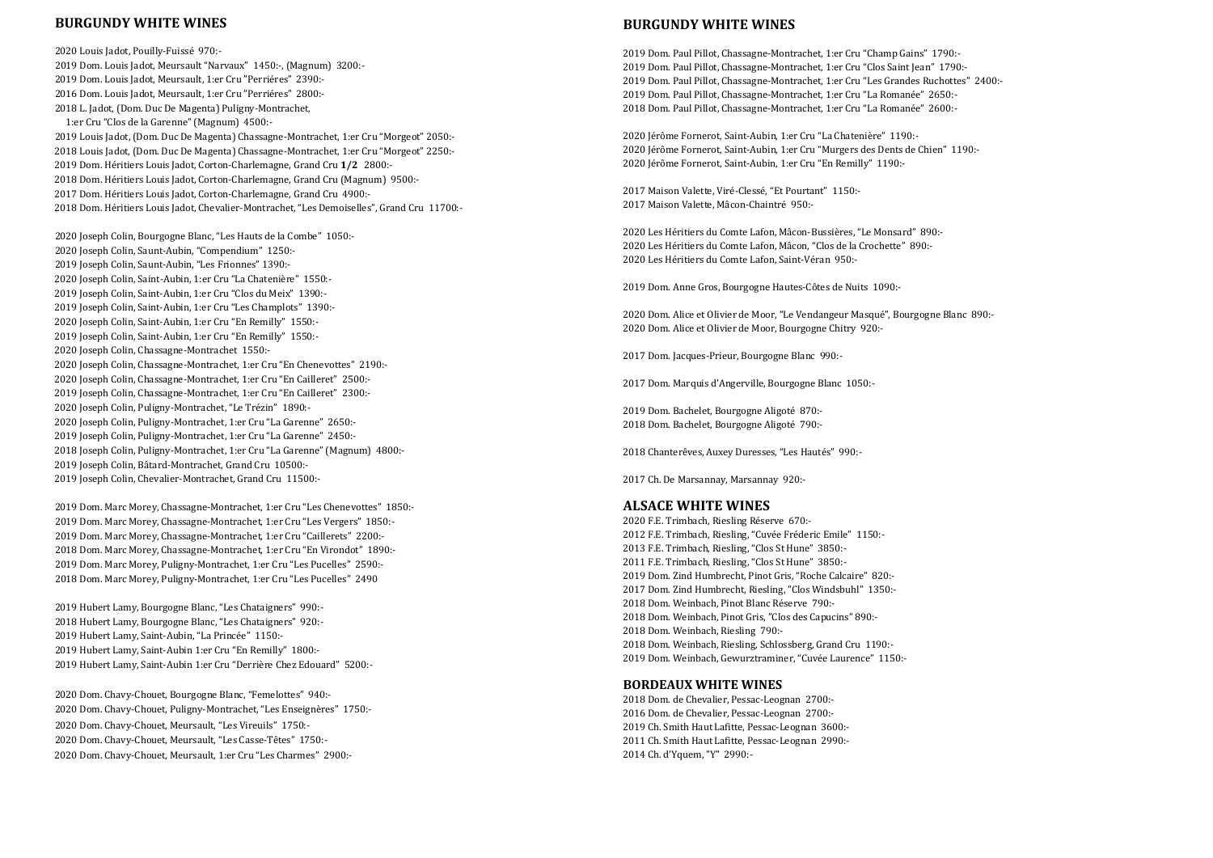### **BURGUNDY WHITE WINES**

2020 Louis Jadot, Pouilly-Fuissé 970:- 2019 Dom. Louis Jadot, Meursault "Narvaux" 1450:-, (Magnum) 3200:- 2019 Dom. Louis Jadot, Meursault, 1:er Cru "Perriéres" 2390:- 2016 Dom. Louis Jadot, Meursault, 1:er Cru "Perriéres" 2800:- 2018 L. Jadot, (Dom. Duc De Magenta) Puligny-Montrachet, 1:er Cru "Clos de la Garenne" (Magnum) 4500:- 2019 Louis Jadot, (Dom. Duc De Magenta) Chassagne-Montrachet, 1:er Cru "Morgeot" 2050:- 2018 Louis Jadot, (Dom. Duc De Magenta) Chassagne-Montrachet, 1:er Cru "Morgeot" 2250:- 2019 Dom. Héritiers Louis Jadot, Corton-Charlemagne, Grand Cru **1/2** 2800:- 2018 Dom. Héritiers Louis Jadot, Corton-Charlemagne, Grand Cru (Magnum) 9500:- 2017 Dom. Héritiers Louis Jadot, Corton-Charlemagne, Grand Cru 4900:- 2018 Dom. Héritiers Louis Jadot, Chevalier-Montrachet, "Les Demoiselles", Grand Cru 11700:- 2020 Joseph Colin, Bourgogne Blanc, "Les Hauts de la Combe" 1050:- 2020 Joseph Colin, Saunt-Aubin, "Compendium" 1250:- 2019 Joseph Colin, Saunt-Aubin, "Les Frionnes" 1390:-2020 Joseph Colin, Saint-Aubin, 1:er Cru "La Chatenière" 1550:- 2019 Joseph Colin, Saint-Aubin, 1:er Cru "Clos du Meix" 1390:- 2019 Joseph Colin, Saint-Aubin, 1:er Cru "Les Champlots" 1390:-

2020 Joseph Colin, Saint-Aubin, 1:er Cru "En Remilly" 1550:- 2019 Joseph Colin, Saint-Aubin, 1:er Cru "En Remilly" 1550:- 2020 Joseph Colin, Chassagne-Montrachet 1550:- 2020 Joseph Colin, Chassagne-Montrachet, 1:er Cru "En Chenevottes" 2190:- 2020 Joseph Colin, Chassagne-Montrachet, 1:er Cru "En Cailleret" 2500:- 2019 Joseph Colin, Chassagne-Montrachet, 1:er Cru "En Cailleret" 2300:- 2020 Joseph Colin, Puligny-Montrachet, "Le Trézin" 1890:- 2020 Joseph Colin, Puligny-Montrachet, 1:er Cru "La Garenne" 2650:- 2019 Joseph Colin, Puligny-Montrachet, 1:er Cru "La Garenne" 2450:- 2018 Joseph Colin, Puligny-Montrachet, 1:er Cru "La Garenne" (Magnum) 4800:- 2019 Joseph Colin, Bâtard-Montrachet, Grand Cru 10500:-

2019 Joseph Colin, Chevalier-Montrachet, Grand Cru 11500:-

 Dom. Marc Morey, Chassagne-Montrachet, 1:er Cru "Les Chenevottes" 1850:- Dom. Marc Morey, Chassagne-Montrachet, 1:er Cru "Les Vergers" 1850:- 2019 Dom. Marc Morey, Chassagne-Montrachet, 1:er Cru "Caillerets" 2200:- Dom. Marc Morey, Chassagne-Montrachet, 1:er Cru "En Virondot" 1890:- Dom. Marc Morey, Puligny-Montrachet, 1:er Cru "Les Pucelles" 2590:- 2018 Dom. Marc Morey, Puligny-Montrachet, 1:er Cru "Les Pucelles" 2490

2019 Hubert Lamy, Bourgogne Blanc, "Les Chataigners" 990:- 2018 Hubert Lamy, Bourgogne Blanc, "Les Chataigners" 920:- 2019 Hubert Lamy, Saint-Aubin, "La Princée" 1150:- 2019 Hubert Lamy, Saint-Aubin 1:er Cru "En Remilly" 1800:- 2019 Hubert Lamy, Saint-Aubin 1:er Cru "Derrière Chez Edouard" 5200:-

2020 Dom. Chavy-Chouet, Bourgogne Blanc, "Femelottes" 940:- 2020 Dom. Chavy-Chouet, Puligny-Montrachet, "Les Enseignères" 1750:- 2020 Dom. Chavy-Chouet, Meursault, "Les Vireuils" 1750:- 2020 Dom. Chavy-Chouet, Meursault, "Les Casse-Têtes" 1750:- 2020 Dom. Chavy-Chouet, Meursault, 1:er Cru "Les Charmes" 2900:-

### **BURGUNDY WHITE WINES**

 Dom. Paul Pillot, Chassagne-Montrachet, 1:er Cru "Champ Gains" 1790:- Dom. Paul Pillot, Chassagne-Montrachet, 1:er Cru "Clos Saint Jean" 1790:- Dom. Paul Pillot, Chassagne-Montrachet, 1:er Cru "Les Grandes Ruchottes" 2400:- Dom. Paul Pillot, Chassagne-Montrachet, 1:er Cru "La Romanée" 2650:- Dom. Paul Pillot, Chassagne-Montrachet, 1:er Cru "La Romanée" 2600:-

2020 Jérôme Fornerot, Saint-Aubin, 1:er Cru "La Chatenière" 1190:- 2020 Jérôme Fornerot, Saint-Aubin, 1:er Cru "Murgers des Dents de Chien" 1190:- 2020 Jérôme Fornerot, Saint-Aubin, 1:er Cru "En Remilly" 1190:-

2017 Maison Valette, Viré-Clessé, "Et Pourtant" 1150:- 2017 Maison Valette, Mâcon-Chaintré 950:-

2020 Les Héritiers du Comte Lafon, Mâcon-Bussières, "Le Monsard" 890:- 2020 Les Héritiers du Comte Lafon, Mâcon, "Clos de la Crochette" 890:- 2020 Les Héritiers du Comte Lafon, Saint-Véran 950:-

2019 Dom. Anne Gros, Bourgogne Hautes-Côtes de Nuits 1090:-

2020 Dom. Alice et Olivier de Moor, "Le Vendangeur Masqué", Bourgogne Blanc 890:- 2020 Dom. Alice et Olivier de Moor, Bourgogne Chitry 920:-

2017 Dom. Jacques-Prieur, Bourgogne Blanc 990:-

2017 Dom. Marquis d'Angerville, Bourgogne Blanc 1050:-

2019 Dom. Bachelet, Bourgogne Aligoté 870:- 2018 Dom. Bachelet, Bourgogne Aligoté 790:-

2018 Chanterêves, Auxey Duresses, "Les Hautés" 990:-

2017 Ch. De Marsannay, Marsannay 920:-

#### **ALSACE WHITE WINES**

2020 F.E. Trimbach, Riesling Réserve 670:- 2012 F.E. Trimbach, Riesling, "Cuvée Fréderic Emile" 1150:- 2013 F.E. Trimbach, Riesling, "Clos St Hune" 3850:- 2011 F.E. Trimbach, Riesling, "Clos St Hune" 3850:- 2019 Dom. Zind Humbrecht, Pinot Gris, "Roche Calcaire" 820:- 2017 Dom. Zind Humbrecht, Riesling, "Clos Windsbuhl" 1350:- 2018 Dom. Weinbach, Pinot Blanc Réserve 790:- 2018 Dom. Weinbach, Pinot Gris, "Clos des Capucins" 890:- 2018 Dom. Weinbach, Riesling 790:- 2018 Dom. Weinbach, Riesling, Schlossberg, Grand Cru 1190:- 2019 Dom. Weinbach, Gewurztraminer, "Cuvée Laurence" 1150:-

#### **BORDEAUX WHITE WINES**

2018 Dom. de Chevalier, Pessac-Leognan 2700:- 2016 Dom. de Chevalier, Pessac-Leognan 2700:- 2019 Ch. Smith Haut Lafitte, Pessac-Leognan 3600:- 2011 Ch. Smith Haut Lafitte, Pessac-Leognan 2990:- 2014 Ch. d'Yquem, "Y" 2990:-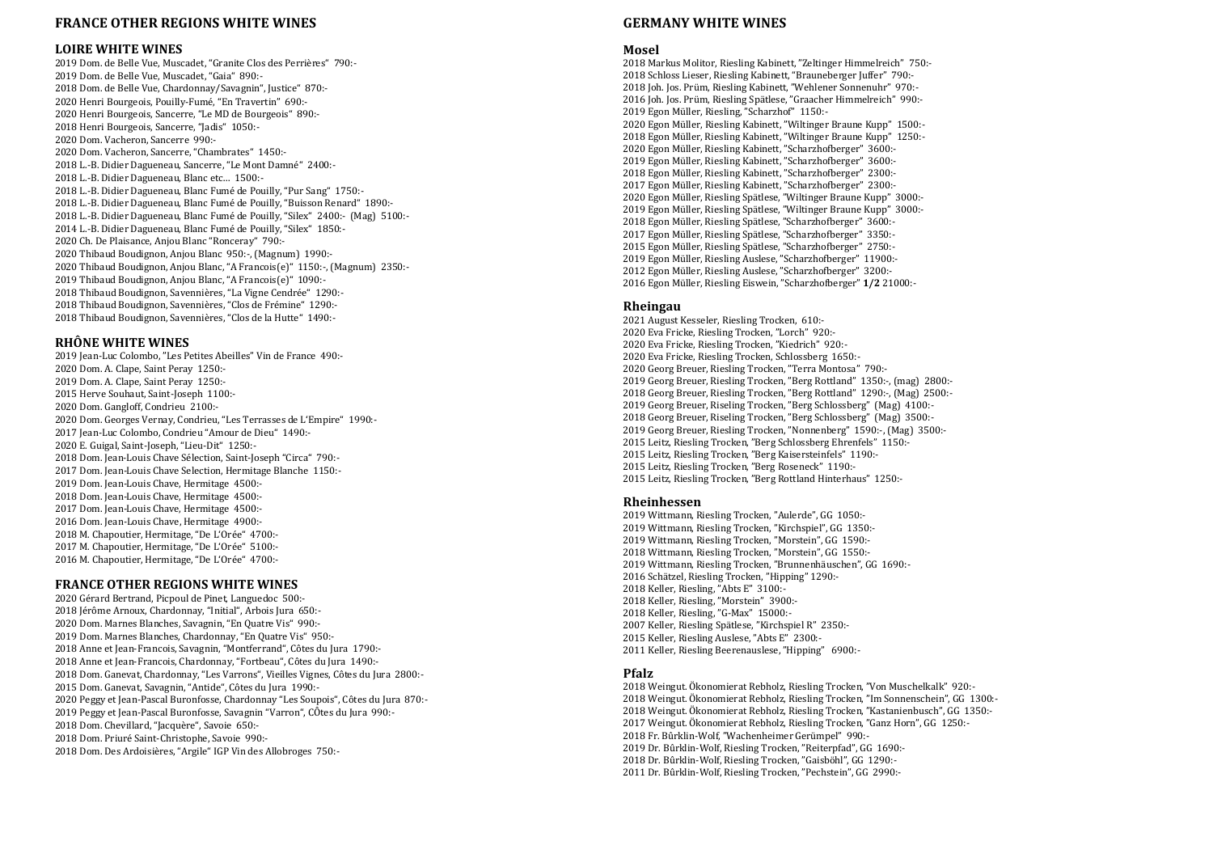### **FRANCE OTHER REGIONS WHITE WINES**

#### **LOIRE WHITE WINES**

2019 Dom. de Belle Vue, Muscadet, "Granite Clos des Perrières" 790: - 2019 Dom. de Belle Vue, Muscadet, "Gaia" 890: - 2018 Dom. de Belle Vue, Chardonnay/Savagnin", Justice " 870: - 2020 Henri Bourgeois, Pouilly -Fumé , "En Travertin " 690 : - 2020 Henri Bourgeois, Sancerre, "Le MD de Bourgeois" 890 : - 2018 Henri Bourgeois, Sancerre, "Jadis" 1050: - 2020 Dom. Vacheron, Sancerre 990: - 2020 Dom. Vacheron, Sancerre, "Chambrates" 1450: - 2018 L. -B. Didier Dagueneau, Sancerre, "Le Mont Damné" 2400: - 2018 L. -B. Didier Dagueneau, Blanc etc… 1500: - 2018 L. -B. Didier Dagueneau, Blanc Fumé de Pouilly, "Pur Sang" 1750: - 2018 L. -B. Didier Dagueneau, Blanc Fumé de Pouilly, "Buisson Renard" 1890: - 2018 L. -B. Didier Dagueneau, Blanc Fumé de Pouilly, "Silex" 2400: - (Mag) 5100: - 2014 L. -B. Didier Dagueneau, Blanc Fumé de Pouilly, "Silex" 1850: - 2020 Ch. De Plaisance, Anjou Blanc "Ronceray" 790: - 2020 Thibaud Boudignon, Anjou Blanc 950: -, (Magnum) 1990: - 2020 Thibaud Boudignon, Anjou Blanc, "A Francois(e)" 1150: -, (Magnum) 2350: - 2019 Thibaud Boudignon, Anjou Blanc, "A Francois(e)" 1090: - 2018 Thibaud Boudignon, Savennières, "La Vigne Cendrée" 1290: - 2018 Thibaud Boudignon, Savennières, "Clos de Frémine" 1290: - 2018 Thibaud Boudignon, Savennières, "Clos de la Hutte" 1490: -

### **RHÔNE WHITE WINES**

2019 Jean -Luc Colombo, "Les Petites Abeilles" Vin de France 490: - 2020 Dom. A. Clape, Saint Peray 1250: - 2019 Dom. A. Clape, Saint Peray 1250: - 2015 Herve Souhaut, Saint -Joseph 1100: - 2020 Dom. Gangloff, Condrieu 2100: - 2020 Dom. Georges Vernay, Condrieu, "Les Terrasses de L'Empire" 1990: - 2017 Jean -Luc Colombo, Condrieu "Amour de Dieu" 1490: - 2020 E. Guigal, Saint -Joseph, "Lieu -Dit" 1250: - 2018 Dom. Jean -Louis Chave Sélection, Saint -Joseph "Circa" 790: - 2017 Dom. Jean - Louis Chave Selection, Hermitage Blanche 1150: - 2019 Dom. Jean -Louis Chave, Hermitage 4500: - 2018 Dom. Jean -Louis Chave, Hermitage 4500: - 2017 Dom. Jean -Louis Chave, Hermitage 4500: - 2016 Dom. Jean -Louis Chave, Hermitage 4900: - 2018 M. Chapoutier, Hermitage, "De L'Orée" 4700: - 2017 M. Chapoutier, Hermitage, "De L'Orée" 5100: - 2016 M. Chapoutier, Hermitage, "De L'Orée" 4700: -

### **FRANCE OTHER REGIONS WHITE WINES**

2020 Gérard Bertrand, Picpoul de Pinet, Languedoc 500: - 2018 Jérôme Arnoux, Chardonnay, "Initial", Arbois Jura 650: - 2020 Dom. Marnes Blanches, Savagnin, "En Quatre Vis" 990: - 2019 Dom. Marnes Blanches, Chardonnay, "En Quatre Vis" 950: - 2018 Anne et Jean-Francois, Savagnin, "Montferrand", Côtes du Jura 1790:-2018 Anne et Jean -Francois, Chardonnay, "Fortbeau", Côtes du Jura 1490: - 2018 Dom. Ganevat, Chardonnay, "Les Varrons", Vieilles Vignes, Côtes du Jura 2800: - 2015 Dom. Ganevat, Savagnin, "Antide", Côtes du Jura 1990: - 2020 Peggy et Jean -Pascal Buronfosse, Chardonnay "Les Soupois", Côtes du Jura 870: - 2019 Peggy et Jean -Pascal Buronfosse, Savagnin "Varron", CÔtes du Jura 990: - 2018 Dom. Chevillard, "Jacquère", Savoie 650: - 2018 Dom. Priuré Saint -Christophe, Savoie 990: - 2018 Dom. Des Ardoisières, "Argile" IGP Vin des Allobroges 750: -

### **GERMANY WHITE WINES**

#### **Mose l**

2018 Markus Molitor, Riesling Kabinett, "Zeltinger Himmelreich" 750: - 2018 Schloss Lieser, Riesling Kabinett, "Brauneberger Juffer" 790: - 2018 Joh. Jos. Prüm, Riesling Kabinett, "Wehlener Sonnenuhr" 970: - 2016 Joh. Jos. Prüm, Riesling Spätlese, "Graacher Himmelreich" 990: - 2019 Egon Müller, Riesling, "Scharzhof" 1150: - 2020 Egon Müller, Riesling Kabinett, "Wiltinger Braune Kupp" 1500 : - 2018 Egon Müller, Riesling Kabinett, "Wiltinger Braune Kupp" 1250 : - 2020 Egon Müller, Riesling Kabinett, "Scharzhofberger" 3600 : - 2019 Egon Müller, Riesling Kabinett, "Scharzhofberger" 3600 : - 2018 Egon Müller, Riesling Kabinett, "Scharzhofberger" 2300 : - 2017 Egon Müller, Riesling Kabinett, "Scharzhofberger" 2300 : - 2020 Egon Müller, Riesling Spätlese, "Wiltinger Braune Kupp" 3000 : - 2019 Egon Müller, Riesling Spätlese, "Wiltinger Braune Kupp" 3000 : - 2018 Egon Müller, Riesling Spätlese, "Scharzhofberger" 3600: - 2017 Egon Müller, Riesling Spätlese, "Scharzhofberger" 3350: - 2015 Egon Müller, Riesling Spätlese, "Scharzhofberger" 2750: - 2019 Egon Müller, Riesling Auslese, "Scharzhofberger" 11900: - 2012 Egon Müller, Riesling Auslese, "Scharzhofberger" 3200: - 2016 Egon Müller, Riesling Eiswein, "Scharzhofberger" **1/2** 21000: -

#### **Rheingau**

2021 August Kesseler, Riesling Trocken, 610: - 2020 Eva Fricke, Riesling Trocken, "Lorch" 920: - 2020 Eva Fricke, Riesling Trocken, "Kiedrich" 920: - 2020 Eva Fricke, Riesling Trocken, Schlossberg 1650: - 2020 Georg Breuer, Riesling Trocken, "Terra Montosa" 790: - 2019 Georg Breuer, Riesling Trocken, "Berg Rottland" 1350: -, (mag) 2800: - 2018 Georg Breuer, Riesling Trocken, "Berg Rottland" 1290: -, (Mag) 2500: - 2019 Georg Breuer, Riseling Trocken, "Berg Schlossberg" (Mag) 4100: - 2018 Georg Breuer, Riseling Trocken, "Berg Schlossberg" (Mag) 3500: - 2019 Georg Breuer, Riesling Trocken, "Nonnenberg" 1590: -, (Mag) 3500: - 2015 Leitz, Riesling Trocken, "Berg Schlossberg Ehrenfels" 1150: - 2015 Leitz, Riesling Trocken, "Berg Kaisersteinfels" 1190: - 2015 Leitz, Riesling Trocken, "Berg Roseneck" 1190: - 2015 Leitz, Riesling Trocken, "Berg Rottland Hinterhaus" 1250: -

#### **Rheinhessen**

2019 Wittmann, Riesling Trocken, "Aulerde", GG 1050: - 2019 Wittmann, Riesling Trocken, "Kirchspiel", GG 1350: - 2019 Wittmann, Riesling Trocken, "Morstein", GG 1590: - 2018 Wittmann, Riesling Trocken, "Morstein", GG 1550: - 2019 Wittmann, Riesling Trocken, "Brunnenhäuschen", GG 1690: - 2016 Schätzel, Riesling Trocken, "Hipping" 1290: - 2018 Keller, Riesling, "Abts E" 3100: - 2018 Keller, Riesling, "Morstein" 3900: - 2018 Keller, Riesling, "G -Max" 15000: - 2007 Keller, Riesling Spätlese, "Kirchspiel R" 2350: - 2015 Keller, Riesling Auslese, "Abts E" 2300: - 2011 Keller, Riesling Beerenauslese, "Hipping" 6900: -

#### **Pfalz**

2018 Weingut. Ökonomierat Rebholz, Riesling Trocken, "Von Muschelkalk" 920: - 2018 Weingut. Ökonomierat Rebholz, Riesling Trocken, "Im Sonnenschein", GG 1300: - 2018 Weingut. Ökonomierat Rebholz, Riesling Trocken, "Kastanienbusch", GG 1350: - 2017 Weingut. Ökonomierat Rebholz, Riesling Trocken, "Ganz Horn", GG 1250: - 2018 Fr. Bûrklin -Wolf, "Wachenheimer Gerümpel" 990: - 2019 Dr. Bûrklin -Wolf, Riesling Trocken, "Reiterpfad", GG 1690: - 2018 Dr. Bürklin-Wolf, Riesling Trocken, "Gaisböhl", GG-1290:-2011 Dr. Bûrklin -Wolf, Riesling Trocken, "Pechstein", GG 2990: -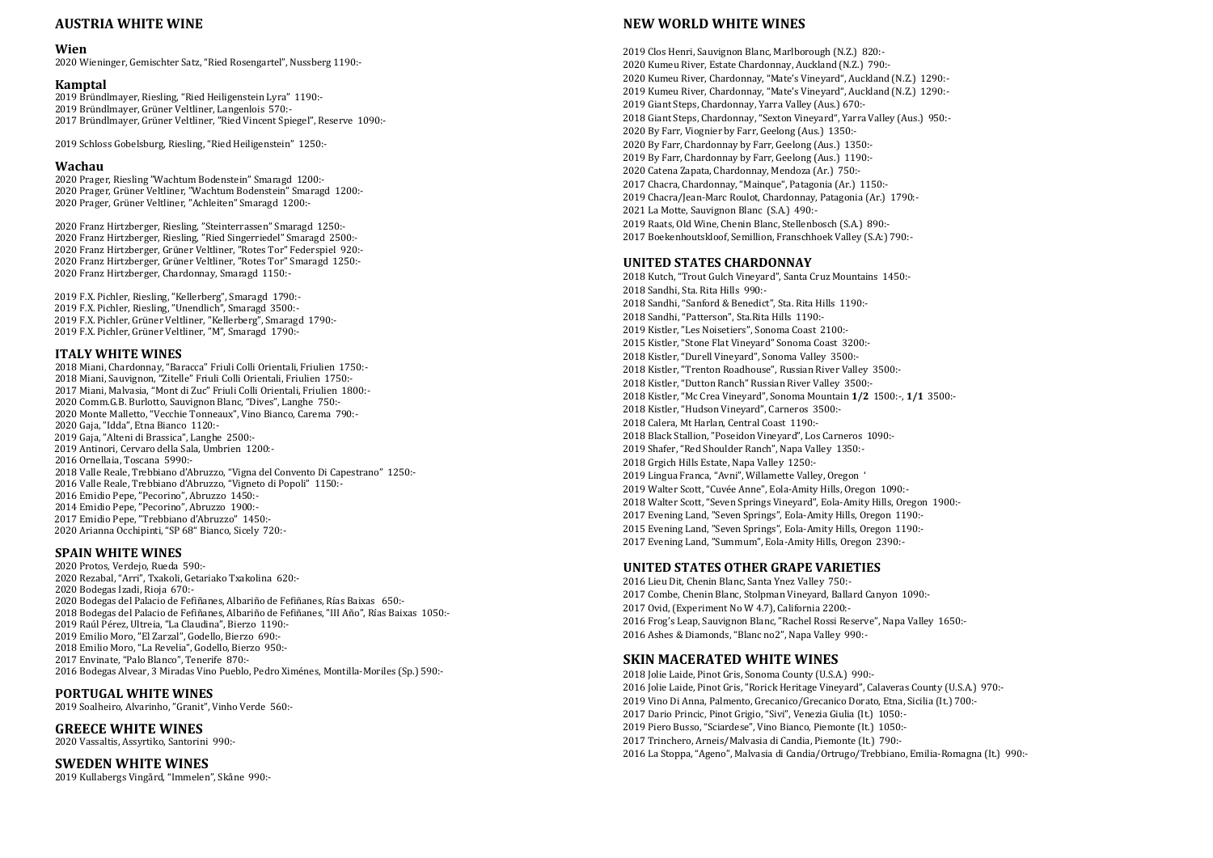### **AUSTRIA WHITE WINE**

#### **Wien**

2020 Wieninger, Gemischter Satz, "Ried Rosengartel", Nussberg 1190:-

#### **Kamptal**

2019 Bründlmayer, Riesling, "Ried Heiligenstein Lyra" 1190:- 2019 Bründlmayer, Grüner Veltliner, Langenlois 570:- 2017 Bründlmayer, Grüner Veltliner, "Ried Vincent Spiegel", Reserve 1090:-

2019 Schloss Gobelsburg, Riesling, "Ried Heiligenstein" 1250:-

#### **Wachau**

2020 Prager, Riesling "Wachtum Bodenstein" Smaragd 1200:- 2020 Prager, Grüner Veltliner, "Wachtum Bodenstein" Smaragd 1200:- 2020 Prager, Grüner Veltliner, "Achleiten" Smaragd 1200:-

2020 Franz Hirtzberger, Riesling, "Steinterrassen" Smaragd 1250:- 2020 Franz Hirtzberger, Riesling, "Ried Singerriedel" Smaragd 2500:- 2020 Franz Hirtzberger, Grüner Veltliner, "Rotes Tor" Federspiel 920:- 2020 Franz Hirtzberger, Grüner Veltliner, "Rotes Tor" Smaragd 1250:- 2020 Franz Hirtzberger, Chardonnay, Smaragd 1150:-

2019 F.X. Pichler, Riesling, "Kellerberg", Smaragd 1790:- 2019 F.X. Pichler, Riesling, "Unendlich", Smaragd 3500:- 2019 F.X. Pichler, Grüner Veltliner, "Kellerberg", Smaragd 1790:- 2019 F.X. Pichler, Grüner Veltliner, "M", Smaragd 1790:-

### **ITALY WHITE WINES**

2018 Miani, Chardonnay, "Baracca" Friuli Colli Orientali, Friulien 1750:- 2018 Miani, Sauvignon, "Zitelle" Friuli Colli Orientali, Friulien 1750:- 2017 Miani, Malvasia, "Mont di Zuc" Friuli Colli Orientali, Friulien 1800:- 2020 Comm.G.B. Burlotto, Sauvignon Blanc, "Dives", Langhe 750:- 2020 Monte Malletto, "Vecchie Tonneaux", Vino Bianco, Carema 790:- 2020 Gaja, "Idda", Etna Bianco 1120:- 2019 Gaja, "Alteni di Brassica", Langhe 2500:- 2019 Antinori, Cervaro della Sala, Umbrien 1200:- 2016 Ornellaia, Toscana 5990:- 2018 Valle Reale, Trebbiano d'Abruzzo, "Vigna del Convento Di Capestrano" 1250:- 2016 Valle Reale, Trebbiano d'Abruzzo, "Vigneto di Popoli" 1150:- 2016 Emidio Pepe, "Pecorino", Abruzzo 1450:- 2014 Emidio Pepe, "Pecorino", Abruzzo 1900:- 2017 Emidio Pepe, "Trebbiano d'Abruzzo" 1450:- 2020 Arianna Occhipinti, "SP 68" Bianco, Sicely 720:-

### **SPAIN WHITE WINES**

2020 Protos, Verdejo, Rueda 590:- 2020 Rezabal, "Arri", Txakoli, Getariako Txakolina 620:- 2020 Bodegas Izadi, Rioja 670:- 2020 Bodegas del Palacio de Fefiñanes, Albariño de Fefiñanes, Rías Baixas 650:- 2018 Bodegas del Palacio de Fefiñanes, Albariño de Fefiñanes, "III Año", Rías Baixas 1050:- 2019 Raúl Pérez, Ultreia, "La Claudina", Bierzo 1190:- 2019 Emilio Moro, "El Zarzal", Godello, Bierzo 690:- 2018 Emilio Moro, "La Revelia", Godello, Bierzo 950:- 2017 Envinate, "Palo Blanco", Tenerife 870:- 2016 Bodegas Alvear, 3 Miradas Vino Pueblo, Pedro Ximénes, Montilla-Moriles (Sp.) 590:-

# **PORTUGAL WHITE WINES**

2019 Soalheiro, Alvarinho, "Granit", Vinho Verde 560:-

**GREECE WHITE WINES** 2020 Vassaltis, Assyrtiko, Santorini 990:-

### **SWEDEN WHITE WINES**

2019 Kullabergs Vingård, "Immelen", Skåne 990:-

# **NEW WORLD WHITE WINES**

2019 Clos Henri, Sauvignon Blanc, Marlborough (N.Z.) 820:- 2020 Kumeu River, Estate Chardonnay, Auckland (N.Z.) 790:- 2020 Kumeu River, Chardonnay, "Mate's Vineyard", Auckland (N.Z.) 1290:- 2019 Kumeu River, Chardonnay, "Mate's Vineyard", Auckland (N.Z.) 1290:- 2019 Giant Steps, Chardonnay, Yarra Valley (Aus.) 670:- 2018 Giant Steps, Chardonnay, "Sexton Vineyard", Yarra Valley (Aus.) 950:- 2020 By Farr, Viognier by Farr, Geelong (Aus.) 1350:- 2020 By Farr, Chardonnay by Farr, Geelong (Aus.) 1350:- 2019 By Farr, Chardonnay by Farr, Geelong (Aus.) 1190:- 2020 Catena Zapata, Chardonnay, Mendoza (Ar.) 750:- 2017 Chacra, Chardonnay, "Mainque", Patagonia (Ar.) 1150:- 2019 Chacra/Jean-Marc Roulot, Chardonnay, Patagonia (Ar.) 1790:- 2021 La Motte, Sauvignon Blanc (S.A.) 490:- 2019 Raats, Old Wine, Chenin Blanc, Stellenbosch (S.A.) 890:- 2017 Boekenhoutskloof, Semillion, Franschhoek Valley (S.A:) 790:-

### **UNITED STATES CHARDONNAY**

2018 Kutch, "Trout Gulch Vineyard", Santa Cruz Mountains 1450:- 2018 Sandhi, Sta. Rita Hills 990:- 2018 Sandhi, "Sanford & Benedict", Sta. Rita Hills 1190:- 2018 Sandhi, "Patterson", Sta.Rita Hills 1190:- 2019 Kistler, "Les Noisetiers", Sonoma Coast 2100:- 2015 Kistler, "Stone Flat Vineyard" Sonoma Coast 3200:- 2018 Kistler, "Durell Vineyard", Sonoma Valley 3500:- 2018 Kistler, "Trenton Roadhouse", Russian River Valley 3500:- 2018 Kistler, "Dutton Ranch" Russian River Valley 3500:- 2018 Kistler, "Mc Crea Vineyard", Sonoma Mountain **1/2** 1500:-, **1/1** 3500:- 2018 Kistler, "Hudson Vineyard", Carneros 3500:- 2018 Calera, Mt Harlan, Central Coast 1190:- 2018 Black Stallion, "Poseidon Vineyard", Los Carneros 1090:- 2019 Shafer, "Red Shoulder Ranch", Napa Valley 1350:- 2018 Grgich Hills Estate, Napa Valley 1250:- 2019 Lingua Franca, "Avni", Willamette Valley, Oregon ' 2019 Walter Scott, "Cuvée Anne", Eola-Amity Hills, Oregon 1090:- 2018 Walter Scott, "Seven Springs Vineyard", Eola-Amity Hills, Oregon 1900:- 2017 Evening Land, "Seven Springs", Eola-Amity Hills, Oregon 1190:- 2015 Evening Land, "Seven Springs", Eola-Amity Hills, Oregon 1190:- 2017 Evening Land, "Summum", Eola-Amity Hills, Oregon 2390:-

### **UNITED STATES OTHER GRAPE VARIETIES**

2016 Lieu Dit, Chenin Blanc, Santa Ynez Valley 750:- 2017 Combe, Chenin Blanc, Stolpman Vineyard, Ballard Canyon 1090:- 2017 Ovid, (Experiment No W 4.7), California 2200:- 2016 Frog's Leap, Sauvignon Blanc, "Rachel Rossi Reserve", Napa Valley 1650:- 2016 Ashes & Diamonds, "Blanc no2", Napa Valley 990:-

### **SKIN MACERATED WHITE WINES**

2018 Jolie Laide, Pinot Gris, Sonoma County (U.S.A.) 990:- 2016 Jolie Laide, Pinot Gris, "Rorick Heritage Vineyard", Calaveras County (U.S.A.) 970:- 2019 Vino Di Anna, Palmento, Grecanico/Grecanico Dorato, Etna, Sicilia (It.) 700:- 2017 Dario Princic, Pinot Grigio, "Sivi", Venezia Giulia (It.) 1050:- 2019 Piero Busso, "Sciardese", Vino Bianco, Piemonte (It.) 1050:- 2017 Trinchero, Arneis/Malvasia di Candia, Piemonte (It.) 790:- 2016 La Stoppa, "Ageno", Malvasia di Candia/Ortrugo/Trebbiano, Emilia-Romagna (It.) 990:-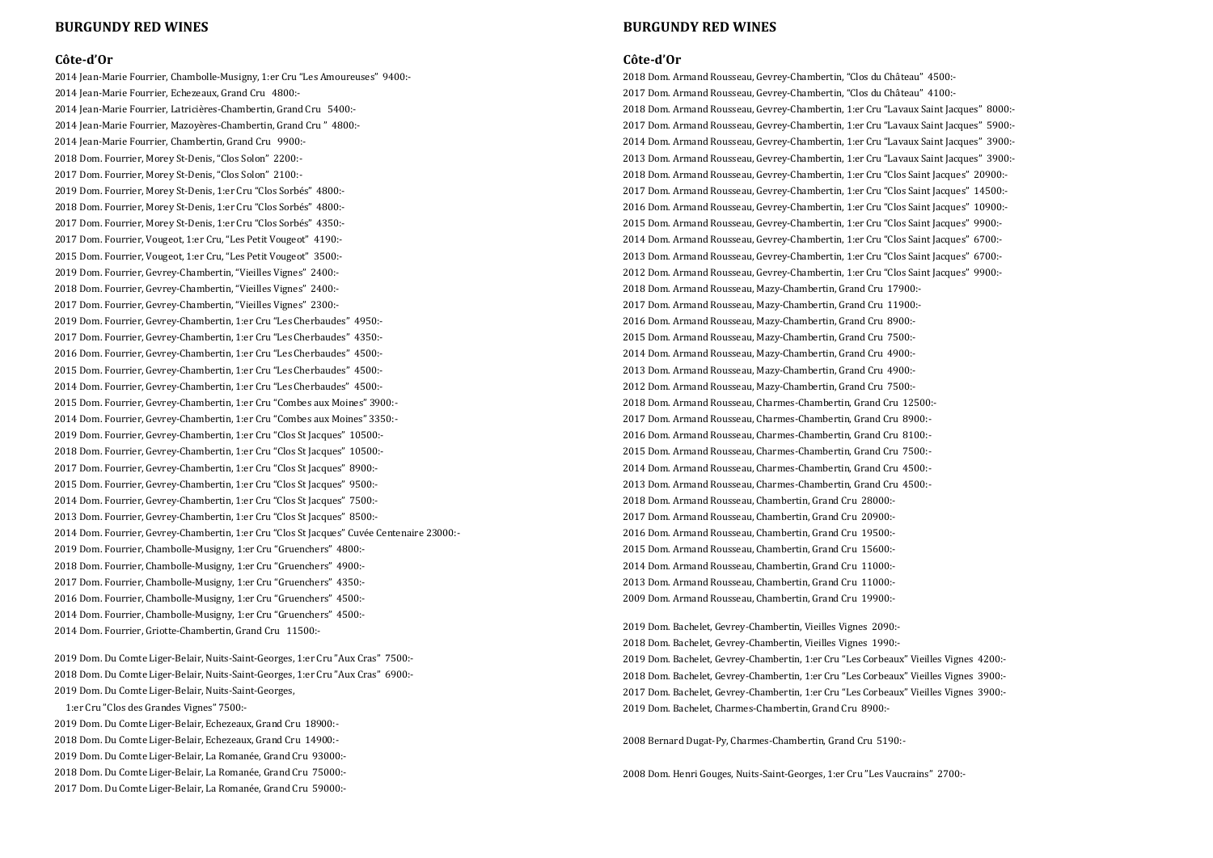#### **Côte-d'Or**

2014 Jean-Marie Fourrier, Chambolle-Musigny, 1:er Cru "Les Amoureuses" 9400:- 2014 Jean-Marie Fourrier, Echezeaux, Grand Cru 4800:- 2014 Jean-Marie Fourrier, Latricières-Chambertin, Grand Cru 5400:- 2014 Jean-Marie Fourrier, Mazoyères-Chambertin, Grand Cru " 4800:- 2014 Jean-Marie Fourrier, Chambertin, Grand Cru 9900:-2018 Dom. Fourrier, Morey St-Denis, "Clos Solon" 2200:- 2017 Dom. Fourrier, Morey St-Denis, "Clos Solon" 2100:- 2019 Dom. Fourrier, Morey St-Denis, 1:er Cru "Clos Sorbés" 4800:- 2018 Dom. Fourrier, Morey St-Denis, 1:er Cru "Clos Sorbés" 4800:- 2017 Dom. Fourrier, Morey St-Denis, 1:er Cru "Clos Sorbés" 4350:- 2017 Dom. Fourrier, Vougeot, 1:er Cru, "Les Petit Vougeot" 4190:- 2015 Dom. Fourrier, Vougeot, 1:er Cru, "Les Petit Vougeot" 3500:- 2019 Dom. Fourrier, Gevrey-Chambertin, "Vieilles Vignes" 2400:- 2018 Dom. Fourrier, Gevrey-Chambertin, "Vieilles Vignes" 2400:- 2017 Dom. Fourrier, Gevrey-Chambertin, "Vieilles Vignes" 2300:- 2019 Dom. Fourrier, Gevrey-Chambertin, 1:er Cru "Les Cherbaudes" 4950:- 2017 Dom. Fourrier, Gevrey-Chambertin, 1:er Cru "Les Cherbaudes" 4350:- 2016 Dom. Fourrier, Gevrey-Chambertin, 1:er Cru "Les Cherbaudes" 4500:- 2015 Dom. Fourrier, Gevrey-Chambertin, 1:er Cru "Les Cherbaudes" 4500:- 2014 Dom. Fourrier, Gevrey-Chambertin, 1:er Cru "Les Cherbaudes" 4500:- 2015 Dom. Fourrier, Gevrey-Chambertin, 1:er Cru "Combes aux Moines" 3900:- 2014 Dom. Fourrier, Gevrey-Chambertin, 1:er Cru "Combes aux Moines" 3350:- 2019 Dom. Fourrier, Gevrey-Chambertin, 1:er Cru "Clos St Jacques" 10500:- 2018 Dom. Fourrier, Gevrey-Chambertin, 1:er Cru "Clos St Jacques" 10500:- 2017 Dom. Fourrier, Gevrey-Chambertin, 1:er Cru "Clos St Jacques" 8900:- 2015 Dom. Fourrier, Gevrey-Chambertin, 1:er Cru "Clos St Jacques" 9500:- 2014 Dom. Fourrier, Gevrey-Chambertin, 1:er Cru "Clos St Jacques" 7500:- 2013 Dom. Fourrier, Gevrey-Chambertin, 1:er Cru "Clos St Jacques" 8500:- 2014 Dom. Fourrier, Gevrey-Chambertin, 1:er Cru "Clos St Jacques" Cuvée Centenaire 23000:- 2019 Dom. Fourrier, Chambolle-Musigny, 1:er Cru "Gruenchers" 4800:- 2018 Dom. Fourrier, Chambolle-Musigny, 1:er Cru "Gruenchers" 4900:- 2017 Dom. Fourrier, Chambolle-Musigny, 1:er Cru "Gruenchers" 4350:- 2016 Dom. Fourrier, Chambolle-Musigny, 1:er Cru "Gruenchers" 4500:- 2014 Dom. Fourrier, Chambolle-Musigny, 1:er Cru "Gruenchers" 4500:- 2014 Dom. Fourrier, Griotte-Chambertin, Grand Cru 11500:-

2019 Dom. Du Comte Liger-Belair, Nuits-Saint-Georges, 1:er Cru "Aux Cras" 7500:- 2018 Dom. Du Comte Liger-Belair, Nuits-Saint-Georges, 1:er Cru "Aux Cras" 6900:- 2019 Dom. Du Comte Liger-Belair, Nuits-Saint-Georges,

 1:er Cru "Clos des Grandes Vignes" 7500:- 2019 Dom. Du Comte Liger-Belair, Echezeaux, Grand Cru 18900:- 2018 Dom. Du Comte Liger-Belair, Echezeaux, Grand Cru 14900:- 2019 Dom. Du Comte Liger-Belair, La Romanée, Grand Cru 93000:- 2018 Dom. Du Comte Liger-Belair, La Romanée, Grand Cru 75000:- 2017 Dom. Du Comte Liger-Belair, La Romanée, Grand Cru 59000:-

#### **BURGUNDY RED WINES**

#### **Côte-d'Or**

 Dom. Armand Rousseau, Gevrey-Chambertin, "Clos du Château" 4500:- Dom. Armand Rousseau, Gevrey-Chambertin, "Clos du Château" 4100:- Dom. Armand Rousseau, Gevrey-Chambertin, 1:er Cru "Lavaux Saint Jacques" 8000:- Dom. Armand Rousseau, Gevrey-Chambertin, 1:er Cru "Lavaux Saint Jacques" 5900:- Dom. Armand Rousseau, Gevrey-Chambertin, 1:er Cru "Lavaux Saint Jacques" 3900:- Dom. Armand Rousseau, Gevrey-Chambertin, 1:er Cru "Lavaux Saint Jacques" 3900:- Dom. Armand Rousseau, Gevrey-Chambertin, 1:er Cru "Clos Saint Jacques" 20900:- Dom. Armand Rousseau, Gevrey-Chambertin, 1:er Cru "Clos Saint Jacques" 14500:- Dom. Armand Rousseau, Gevrey-Chambertin, 1:er Cru "Clos Saint Jacques" 10900:- Dom. Armand Rousseau, Gevrey-Chambertin, 1:er Cru "Clos Saint Jacques" 9900:- Dom. Armand Rousseau, Gevrey-Chambertin, 1:er Cru "Clos Saint Jacques" 6700:- Dom. Armand Rousseau, Gevrey-Chambertin, 1:er Cru "Clos Saint Jacques" 6700:- Dom. Armand Rousseau, Gevrey-Chambertin, 1:er Cru "Clos Saint Jacques" 9900:- Dom. Armand Rousseau, Mazy-Chambertin, Grand Cru 17900:- Dom. Armand Rousseau, Mazy-Chambertin, Grand Cru 11900:- Dom. Armand Rousseau, Mazy-Chambertin, Grand Cru 8900:- Dom. Armand Rousseau, Mazy-Chambertin, Grand Cru 7500:- Dom. Armand Rousseau, Mazy-Chambertin, Grand Cru 4900:- Dom. Armand Rousseau, Mazy-Chambertin, Grand Cru 4900:- Dom. Armand Rousseau, Mazy-Chambertin, Grand Cru 7500:- Dom. Armand Rousseau, Charmes-Chambertin, Grand Cru 12500:- Dom. Armand Rousseau, Charmes-Chambertin, Grand Cru 8900:- Dom. Armand Rousseau, Charmes-Chambertin, Grand Cru 8100:- Dom. Armand Rousseau, Charmes-Chambertin, Grand Cru 7500:- Dom. Armand Rousseau, Charmes-Chambertin, Grand Cru 4500:- Dom. Armand Rousseau, Charmes-Chambertin, Grand Cru 4500:- Dom. Armand Rousseau, Chambertin, Grand Cru 28000:- Dom. Armand Rousseau, Chambertin, Grand Cru 20900:- Dom. Armand Rousseau, Chambertin, Grand Cru 19500:- Dom. Armand Rousseau, Chambertin, Grand Cru 15600:- Dom. Armand Rousseau, Chambertin, Grand Cru 11000:- Dom. Armand Rousseau, Chambertin, Grand Cru 11000:- Dom. Armand Rousseau, Chambertin, Grand Cru 19900:-

2019 Dom. Bachelet, Gevrey-Chambertin, Vieilles Vignes 2090:- 2018 Dom. Bachelet, Gevrey-Chambertin, Vieilles Vignes 1990:- 2019 Dom. Bachelet, Gevrey-Chambertin, 1:er Cru "Les Corbeaux" Vieilles Vignes 4200:- 2018 Dom. Bachelet, Gevrey-Chambertin, 1:er Cru "Les Corbeaux" Vieilles Vignes 3900:- 2017 Dom. Bachelet, Gevrey-Chambertin, 1:er Cru "Les Corbeaux" Vieilles Vignes 3900:- 2019 Dom. Bachelet, Charmes-Chambertin, Grand Cru 8900:-

2008 Bernard Dugat-Py, Charmes-Chambertin, Grand Cru 5190:-

2008 Dom. Henri Gouges, Nuits-Saint-Georges, 1:er Cru "Les Vaucrains" 2700:-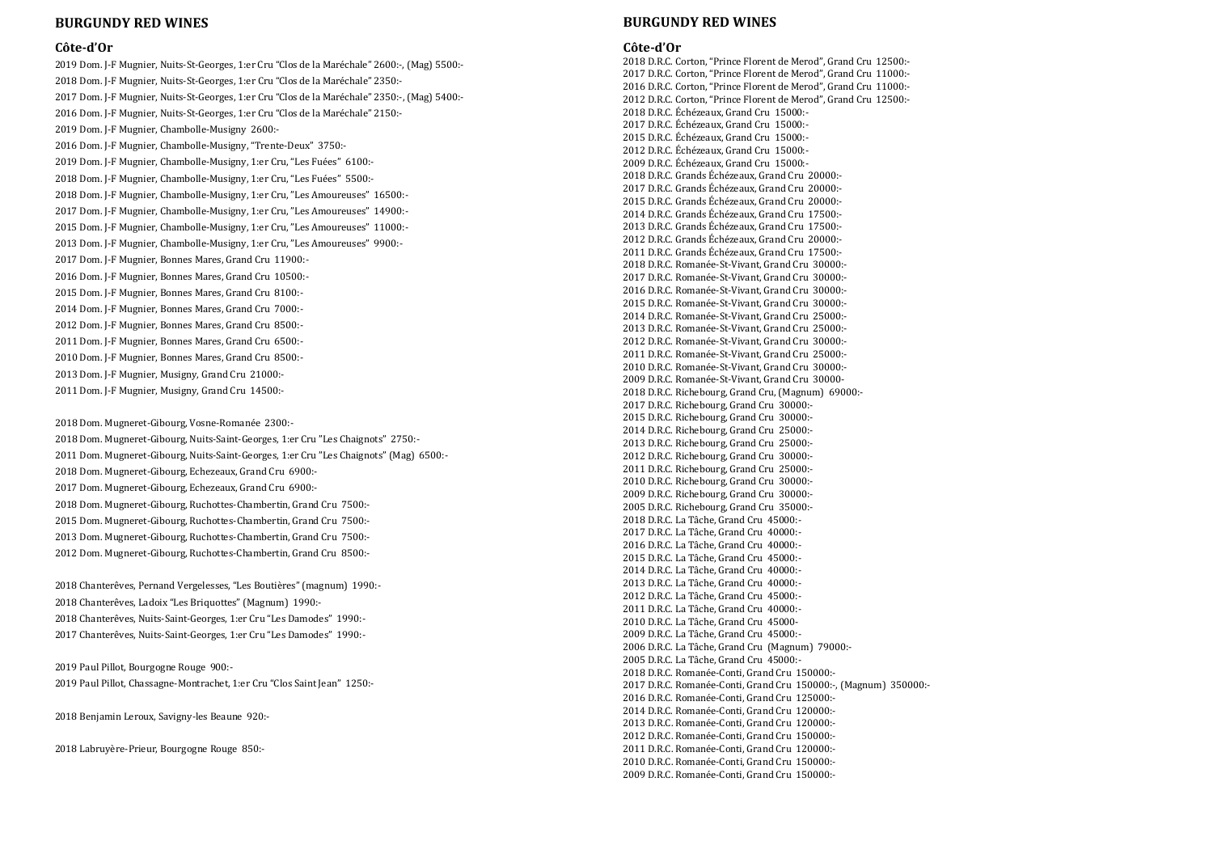#### **Côte-d'Or**

2019 Dom. J-F Mugnier, Nuits-St-Georges, 1:er Cru "Clos de la Maréchale" 2600:-, (Mag) 5500:- 2018 Dom. J-F Mugnier, Nuits-St-Georges, 1:er Cru "Clos de la Maréchale" 2350:- 2017 Dom. J-F Mugnier, Nuits-St-Georges, 1:er Cru "Clos de la Maréchale" 2350:-, (Mag) 5400:- 2016 Dom. J-F Mugnier, Nuits-St-Georges, 1:er Cru "Clos de la Maréchale" 2150:- 2019 Dom. J-F Mugnier, Chambolle-Musigny 2600:- 2016 Dom. J-F Mugnier, Chambolle-Musigny, "Trente-Deux" 3750:- 2019 Dom. J-F Mugnier, Chambolle-Musigny, 1:er Cru, "Les Fuées" 6100:- 2018 Dom. J-F Mugnier, Chambolle-Musigny, 1:er Cru, "Les Fuées" 5500:- 2018 Dom. J-F Mugnier, Chambolle-Musigny, 1:er Cru, "Les Amoureuses" 16500:- 2017 Dom. J-F Mugnier, Chambolle-Musigny, 1:er Cru, "Les Amoureuses" 14900:- 2015 Dom. J-F Mugnier, Chambolle-Musigny, 1:er Cru, "Les Amoureuses" 11000:- 2013 Dom. J-F Mugnier, Chambolle-Musigny, 1:er Cru, "Les Amoureuses" 9900:- 2017 Dom. J-F Mugnier, Bonnes Mares, Grand Cru 11900:- 2016 Dom. J-F Mugnier, Bonnes Mares, Grand Cru 10500:- 2015 Dom. J-F Mugnier, Bonnes Mares, Grand Cru 8100:- 2014 Dom. J-F Mugnier, Bonnes Mares, Grand Cru 7000:- 2012 Dom. J-F Mugnier, Bonnes Mares, Grand Cru 8500:- 2011 Dom. J-F Mugnier, Bonnes Mares, Grand Cru 6500:- 2010 Dom. J-F Mugnier, Bonnes Mares, Grand Cru 8500:- 2013 Dom. J-F Mugnier, Musigny, Grand Cru 21000:- 2011 Dom. J-F Mugnier, Musigny, Grand Cru 14500:-

2018 Dom. Mugneret-Gibourg, Vosne-Romanée 2300:-

2018 Dom. Mugneret-Gibourg, Nuits-Saint-Georges, 1:er Cru "Les Chaignots" 2750:- 2011 Dom. Mugneret-Gibourg, Nuits-Saint-Georges, 1:er Cru "Les Chaignots" (Mag) 6500:- 2018 Dom. Mugneret-Gibourg, Echezeaux, Grand Cru 6900:- 2017 Dom. Mugneret-Gibourg, Echezeaux, Grand Cru 6900:- 2018 Dom. Mugneret-Gibourg, Ruchottes-Chambertin, Grand Cru 7500:- 2015 Dom. Mugneret-Gibourg, Ruchottes-Chambertin, Grand Cru 7500:- 2013 Dom. Mugneret-Gibourg, Ruchottes-Chambertin, Grand Cru 7500:- 2012 Dom. Mugneret-Gibourg, Ruchottes-Chambertin, Grand Cru 8500:-

2018 Chanterêves, Pernand Vergelesses, "Les Boutières" (magnum) 1990:- 2018 Chanterêves, Ladoix "Les Briquottes" (Magnum) 1990:- 2018 Chanterêves, Nuits-Saint-Georges, 1:er Cru "Les Damodes" 1990:- 2017 Chanterêves, Nuits-Saint-Georges, 1:er Cru "Les Damodes" 1990:-

2019 Paul Pillot, Bourgogne Rouge 900:- 2019 Paul Pillot, Chassagne-Montrachet, 1:er Cru "Clos Saint Jean" 1250:-

2018 Benjamin Leroux, Savigny-les Beaune 920:-

2018 Labruyère-Prieur, Bourgogne Rouge 850:-

#### **BURGUNDY RED WINES**

#### **Côte-d'Or**

 D.R.C. Corton, "Prince Florent de Merod", Grand Cru 12500:- D.R.C. Corton, "Prince Florent de Merod", Grand Cru 11000:- D.R.C. Corton, "Prince Florent de Merod", Grand Cru 11000:- D.R.C. Corton, "Prince Florent de Merod", Grand Cru 12500:- D.R.C. Échézeaux, Grand Cru 15000:- D.R.C. Échézeaux, Grand Cru 15000:- D.R.C. Échézeaux, Grand Cru 15000:- D.R.C. Échézeaux, Grand Cru 15000:- D.R.C. Échézeaux, Grand Cru 15000:- D.R.C. Grands Échézeaux, Grand Cru 20000:- D.R.C. Grands Échézeaux, Grand Cru 20000:- D.R.C. Grands Échézeaux, Grand Cru 20000:- D.R.C. Grands Échézeaux, Grand Cru 17500:- D.R.C. Grands Échézeaux, Grand Cru 17500:- D.R.C. Grands Échézeaux, Grand Cru 20000:- D.R.C. Grands Échézeaux, Grand Cru 17500:- D.R.C. Romanée-St-Vivant, Grand Cru 30000:- D.R.C. Romanée-St-Vivant, Grand Cru 30000:- D.R.C. Romanée-St-Vivant, Grand Cru 30000:- D.R.C. Romanée-St-Vivant, Grand Cru 30000:- D.R.C. Romanée-St-Vivant, Grand Cru 25000:- D.R.C. Romanée-St-Vivant, Grand Cru 25000:- D.R.C. Romanée-St-Vivant, Grand Cru 30000:- D.R.C. Romanée-St-Vivant, Grand Cru 25000:- D.R.C. Romanée-St-Vivant, Grand Cru 30000:- D.R.C. Romanée-St-Vivant, Grand Cru 30000- D.R.C. Richebourg, Grand Cru, (Magnum) 69000:- D.R.C. Richebourg, Grand Cru 30000:- D.R.C. Richebourg, Grand Cru 30000:- D.R.C. Richebourg, Grand Cru 25000:- D.R.C. Richebourg, Grand Cru 25000:- D.R.C. Richebourg, Grand Cru 30000:- D.R.C. Richebourg, Grand Cru 25000:- D.R.C. Richebourg, Grand Cru 30000:- D.R.C. Richebourg, Grand Cru 30000:- 2005 D.R.C. Richebourg, Grand Cru 35000:- D.R.C. La Tâche, Grand Cru 45000:- D.R.C. La Tâche, Grand Cru 40000:- D.R.C. La Tâche, Grand Cru 40000:- D.R.C. La Tâche, Grand Cru 45000:- D.R.C. La Tâche, Grand Cru 40000:- D.R.C. La Tâche, Grand Cru 40000:- D.R.C. La Tâche, Grand Cru 45000:- D.R.C. La Tâche, Grand Cru 40000:- D.R.C. La Tâche, Grand Cru 45000- D.R.C. La Tâche, Grand Cru 45000:- D.R.C. La Tâche, Grand Cru (Magnum) 79000:- 2005 D.R.C. La Tâche, Grand Cru 45000:- D.R.C. Romanée-Conti, Grand Cru 150000:- D.R.C. Romanée-Conti, Grand Cru 150000:-, (Magnum) 350000:- D.R.C. Romanée-Conti, Grand Cru 125000:- D.R.C. Romanée-Conti, Grand Cru 120000:- D.R.C. Romanée-Conti, Grand Cru 120000:- D.R.C. Romanée-Conti, Grand Cru 150000:- D.R.C. Romanée-Conti, Grand Cru 120000:- D.R.C. Romanée-Conti, Grand Cru 150000:- 2009 D.R.C. Romanée-Conti, Grand Cru 150000:-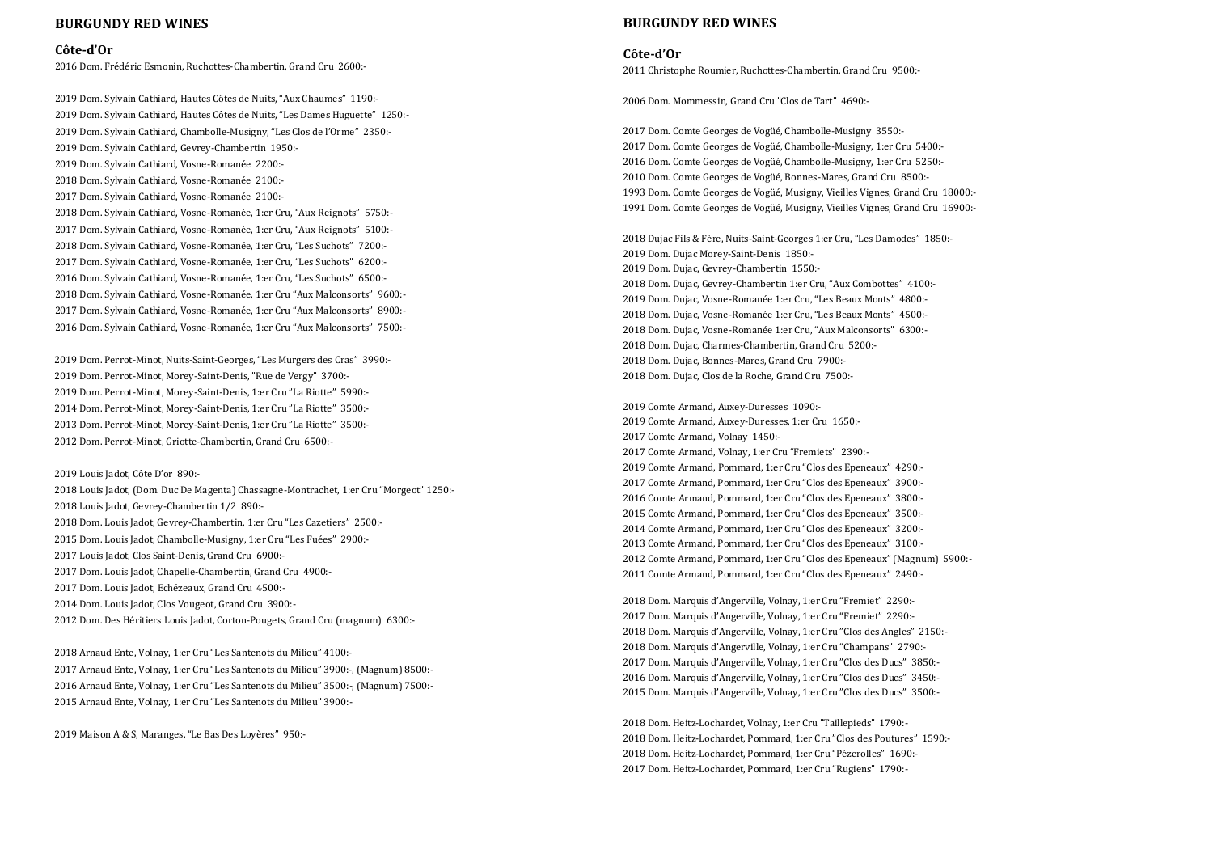#### **Côte-d'Or**

2016 Dom. Frédéric Esmonin, Ruchottes-Chambertin, Grand Cru 2600:-

2019 Dom. Sylvain Cathiard, Hautes Côtes de Nuits, "Aux Chaumes" 1190:- 2019 Dom. Sylvain Cathiard, Hautes Côtes de Nuits, "Les Dames Huguette" 1250:- 2019 Dom. Sylvain Cathiard, Chambolle-Musigny, "Les Clos de l'Orme" 2350:- 2019 Dom. Sylvain Cathiard, Gevrey-Chambertin 1950:- 2019 Dom. Sylvain Cathiard, Vosne-Romanée 2200:- 2018 Dom. Sylvain Cathiard, Vosne-Romanée 2100:- 2017 Dom. Sylvain Cathiard, Vosne-Romanée 2100:- 2018 Dom. Sylvain Cathiard, Vosne-Romanée, 1:er Cru, "Aux Reignots" 5750:- 2017 Dom. Sylvain Cathiard, Vosne-Romanée, 1:er Cru, "Aux Reignots" 5100:- 2018 Dom. Sylvain Cathiard, Vosne-Romanée, 1:er Cru, "Les Suchots" 7200:- 2017 Dom. Sylvain Cathiard, Vosne-Romanée, 1:er Cru, "Les Suchots" 6200:- 2016 Dom. Sylvain Cathiard, Vosne-Romanée, 1:er Cru, "Les Suchots" 6500:- 2018 Dom. Sylvain Cathiard, Vosne-Romanée, 1:er Cru "Aux Malconsorts" 9600:- 2017 Dom. Sylvain Cathiard, Vosne-Romanée, 1:er Cru "Aux Malconsorts" 8900:- 2016 Dom. Sylvain Cathiard, Vosne-Romanée, 1:er Cru "Aux Malconsorts" 7500:-

2019 Dom. Perrot-Minot, Nuits-Saint-Georges, "Les Murgers des Cras" 3990:- 2019 Dom. Perrot-Minot, Morey-Saint-Denis, "Rue de Vergy" 3700:- 2019 Dom. Perrot-Minot, Morey-Saint-Denis, 1:er Cru "La Riotte" 5990:- 2014 Dom. Perrot-Minot, Morey-Saint-Denis, 1:er Cru "La Riotte" 3500:- 2013 Dom. Perrot-Minot, Morey-Saint-Denis, 1:er Cru "La Riotte" 3500:- 2012 Dom. Perrot-Minot, Griotte-Chambertin, Grand Cru 6500:-

2019 Louis Jadot, Côte D'or 890:-

2018 Louis Jadot, (Dom. Duc De Magenta) Chassagne-Montrachet, 1:er Cru "Morgeot" 1250:- 2018 Louis Jadot, Gevrey-Chambertin 1/2 890:-

- 2018 Dom. Louis Jadot, Gevrey-Chambertin, 1:er Cru "Les Cazetiers" 2500:-
- 2015 Dom. Louis Jadot, Chambolle-Musigny, 1:er Cru "Les Fuées" 2900:-
- 2017 Louis Jadot, Clos Saint-Denis, Grand Cru 6900:-

2017 Dom. Louis Jadot, Chapelle-Chambertin, Grand Cru 4900:-

- 2017 Dom. Louis Jadot, Echézeaux, Grand Cru 4500:-
- 2014 Dom. Louis Jadot, Clos Vougeot, Grand Cru 3900:-

2012 Dom. Des Héritiers Louis Jadot, Corton-Pougets, Grand Cru (magnum) 6300:-

2018 Arnaud Ente, Volnay, 1:er Cru "Les Santenots du Milieu" 4100:- 2017 Arnaud Ente, Volnay, 1:er Cru "Les Santenots du Milieu" 3900:-, (Magnum) 8500:- 2016 Arnaud Ente, Volnay, 1:er Cru "Les Santenots du Milieu" 3500:-, (Magnum) 7500:- 2015 Arnaud Ente, Volnay, 1:er Cru "Les Santenots du Milieu" 3900:-

2019 Maison A & S, Maranges, "Le Bas Des Loyères" 950:-

### **BURGUNDY RED WINES**

#### **Côte-d'Or**

2011 Christophe Roumier, Ruchottes-Chambertin, Grand Cru 9500:-

2006 Dom. Mommessin, Grand Cru "Clos de Tart" 4690:-

2017 Dom. Comte Georges de Vogüé, Chambolle-Musigny 3550:- 2017 Dom. Comte Georges de Vogüé, Chambolle-Musigny, 1:er Cru 5400:- 2016 Dom. Comte Georges de Vogüé, Chambolle-Musigny, 1:er Cru 5250:- 2010 Dom. Comte Georges de Vogüé, Bonnes-Mares, Grand Cru 8500:- 1993 Dom. Comte Georges de Vogüé, Musigny, Vieilles Vignes, Grand Cru 18000:- 1991 Dom. Comte Georges de Vogüé, Musigny, Vieilles Vignes, Grand Cru 16900:-

2018 Dujac Fils & Fère, Nuits-Saint-Georges 1:er Cru, "Les Damodes" 1850:- 2019 Dom. Dujac Morey-Saint-Denis 1850:- 2019 Dom. Dujac, Gevrey-Chambertin 1550:- 2018 Dom. Dujac, Gevrey-Chambertin 1:er Cru, "Aux Combottes" 4100:- 2019 Dom. Dujac, Vosne-Romanée 1:er Cru, "Les Beaux Monts" 4800:- 2018 Dom. Dujac, Vosne-Romanée 1:er Cru, "Les Beaux Monts" 4500:- 2018 Dom. Dujac, Vosne-Romanée 1:er Cru, "Aux Malconsorts" 6300:- 2018 Dom. Dujac, Charmes-Chambertin, Grand Cru 5200:- 2018 Dom. Dujac, Bonnes-Mares, Grand Cru 7900:-

2018 Dom. Dujac, Clos de la Roche, Grand Cru 7500:-

2019 Comte Armand, Auxey-Duresses 1090:- 2019 Comte Armand, Auxey-Duresses, 1:er Cru 1650:- 2017 Comte Armand, Volnay 1450:- 2017 Comte Armand, Volnay, 1:er Cru "Fremiets" 2390:- 2019 Comte Armand, Pommard, 1:er Cru "Clos des Epeneaux" 4290:- 2017 Comte Armand, Pommard, 1:er Cru "Clos des Epeneaux" 3900:- 2016 Comte Armand, Pommard, 1:er Cru "Clos des Epeneaux" 3800:- 2015 Comte Armand, Pommard, 1:er Cru "Clos des Epeneaux" 3500:- 2014 Comte Armand, Pommard, 1:er Cru "Clos des Epeneaux" 3200:- 2013 Comte Armand, Pommard, 1:er Cru "Clos des Epeneaux" 3100:- 2012 Comte Armand, Pommard, 1:er Cru "Clos des Epeneaux" (Magnum) 5900:- 2011 Comte Armand, Pommard, 1:er Cru "Clos des Epeneaux" 2490:-

2018 Dom. Marquis d'Angerville, Volnay, 1:er Cru "Fremiet" 2290:- 2017 Dom. Marquis d'Angerville, Volnay, 1:er Cru "Fremiet" 2290:- 2018 Dom. Marquis d'Angerville, Volnay, 1:er Cru "Clos des Angles" 2150:- 2018 Dom. Marquis d'Angerville, Volnay, 1:er Cru "Champans" 2790:- 2017 Dom. Marquis d'Angerville, Volnay, 1:er Cru "Clos des Ducs" 3850:- 2016 Dom. Marquis d'Angerville, Volnay, 1:er Cru "Clos des Ducs" 3450:- 2015 Dom. Marquis d'Angerville, Volnay, 1:er Cru "Clos des Ducs" 3500:-

2018 Dom. Heitz-Lochardet, Volnay, 1:er Cru "Taillepieds" 1790:- 2018 Dom. Heitz-Lochardet, Pommard, 1:er Cru "Clos des Poutures" 1590:- 2018 Dom. Heitz-Lochardet, Pommard, 1:er Cru "Pézerolles" 1690:- 2017 Dom. Heitz-Lochardet, Pommard, 1:er Cru "Rugiens" 1790:-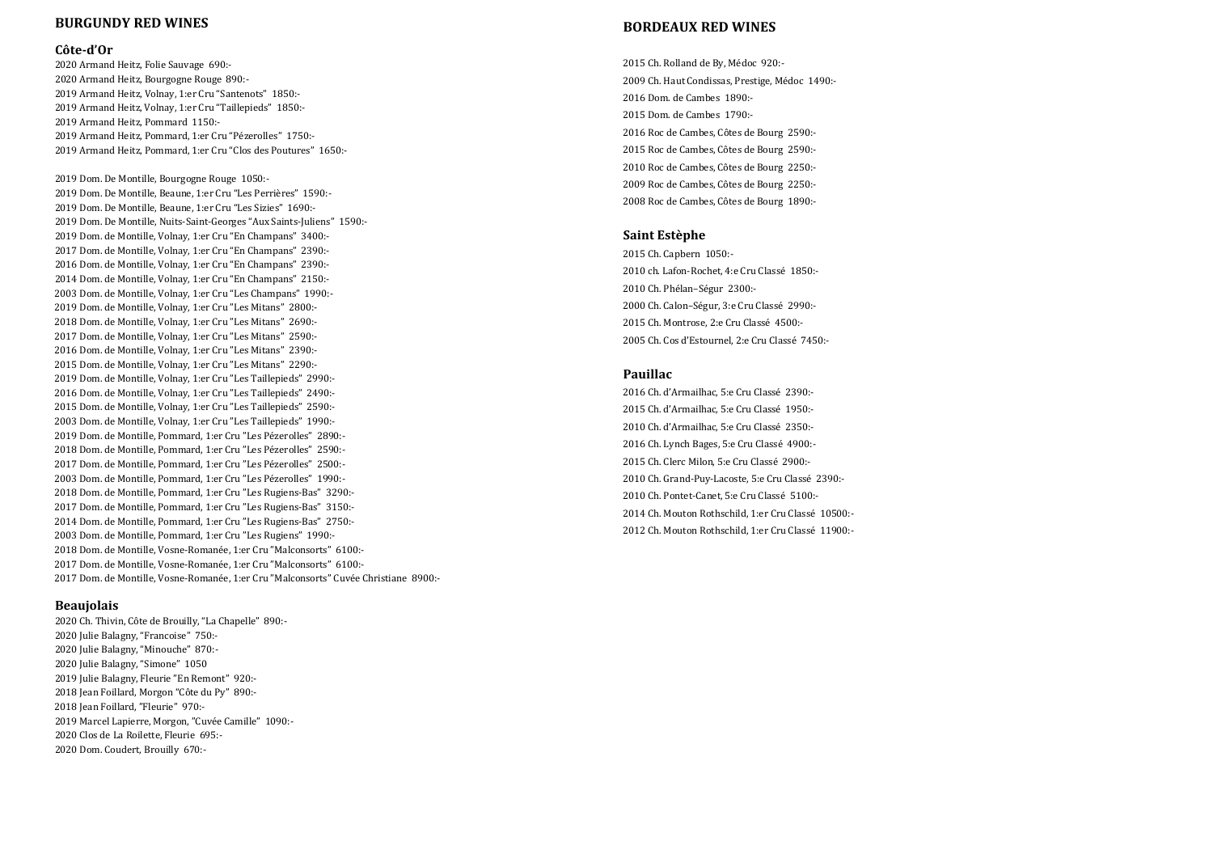#### **Côte-d'Or**

2020 Armand Heitz, Folie Sauvage 690:- 2020 Armand Heitz, Bourgogne Rouge 890:- 2019 Armand Heitz, Volnay, 1:er Cru "Santenots" 1850:- 2019 Armand Heitz, Volnay, 1:er Cru "Taillepieds" 1850:- 2019 Armand Heitz, Pommard 1150:- 2019 Armand Heitz, Pommard, 1:er Cru "Pézerolles" 1750:- 2019 Armand Heitz, Pommard, 1:er Cru "Clos des Poutures" 1650:-

2019 Dom. De Montille, Bourgogne Rouge 1050:- 2019 Dom. De Montille, Beaune, 1:er Cru "Les Perrières" 1590:- 2019 Dom. De Montille, Beaune, 1:er Cru "Les Sizies" 1690:- 2019 Dom. De Montille, Nuits-Saint-Georges "Aux Saints-Juliens" 1590:- Dom. de Montille, Volnay, 1:er Cru "En Champans" 3400:- Dom. de Montille, Volnay, 1:er Cru "En Champans" 2390:- 2016 Dom. de Montille, Volnay, 1:er Cru "En Champans" 2390:- 2014 Dom. de Montille, Volnay, 1:er Cru "En Champans" 2150:- Dom. de Montille, Volnay, 1:er Cru "Les Champans" 1990:- Dom. de Montille, Volnay, 1:er Cru "Les Mitans" 2800:- Dom. de Montille, Volnay, 1:er Cru "Les Mitans" 2690:- Dom. de Montille, Volnay, 1:er Cru "Les Mitans" 2590:- Dom. de Montille, Volnay, 1:er Cru "Les Mitans" 2390:- 2015 Dom. de Montille, Volnay, 1:er Cru "Les Mitans" 2290:- Dom. de Montille, Volnay, 1:er Cru "Les Taillepieds" 2990:- Dom. de Montille, Volnay, 1:er Cru "Les Taillepieds" 2490:- 2015 Dom. de Montille, Volnay, 1:er Cru "Les Taillepieds" 2590:- Dom. de Montille, Volnay, 1:er Cru "Les Taillepieds" 1990:- Dom. de Montille, Pommard, 1:er Cru "Les Pézerolles" 2890:- Dom. de Montille, Pommard, 1:er Cru "Les Pézerolles" 2590:- Dom. de Montille, Pommard, 1:er Cru "Les Pézerolles" 2500:- Dom. de Montille, Pommard, 1:er Cru "Les Pézerolles" 1990:- Dom. de Montille, Pommard, 1:er Cru "Les Rugiens-Bas" 3290:- Dom. de Montille, Pommard, 1:er Cru "Les Rugiens-Bas" 3150:- 2014 Dom. de Montille, Pommard, 1:er Cru "Les Rugiens-Bas" 2750:- Dom. de Montille, Pommard, 1:er Cru "Les Rugiens" 1990:- Dom. de Montille, Vosne-Romanée, 1:er Cru "Malconsorts" 6100:- 2017 Dom. de Montille, Vosne-Romanée, 1:er Cru "Malconsorts" 6100:- 2017 Dom. de Montille, Vosne-Romanée, 1:er Cru "Malconsorts" Cuvée Christiane 8900:-

#### **Beaujolais**

2020 Ch. Thivin, Côte de Brouilly, "La Chapelle" 890:- 2020 Julie Balagny, "Francoise" 750:- 2020 Julie Balagny, "Minouche" 870:- 2020 Julie Balagny, "Simone" 1050 2019 Julie Balagny, Fleurie "En Remont" 920:- 2018 Jean Foillard, Morgon "Côte du Py" 890:- 2018 Jean Foillard, "Fleurie" 970:- 2019 Marcel Lapierre, Morgon, "Cuvée Camille" 1090:- 2020 Clos de La Roilette, Fleurie 695:- 2020 Dom. Coudert, Brouilly 670:-

### **BORDEAUX RED WINES**

2015 Ch. Rolland de By, Médoc 920:- 2009 Ch. Haut Condissas, Prestige, Médoc 1490:- 2016 Dom. de Cambes 1890:- 2015 Dom. de Cambes 1790:- 2016 Roc de Cambes, Côtes de Bourg 2590:- 2015 Roc de Cambes, Côtes de Bourg 2590:- 2010 Roc de Cambes, Côtes de Bourg 2250:- 2009 Roc de Cambes, Côtes de Bourg 2250:- 2008 Roc de Cambes, Côtes de Bourg 1890:-

#### **Saint Estèphe**

2015 Ch. Capbern 1050:- 2010 ch. Lafon-Rochet, 4:e Cru Classé 1850:- 2010 Ch. Phélan–Ségur 2300:- 2000 Ch. Calon–Ségur, 3:e Cru Classé 2990:- 2015 Ch. Montrose, 2:e Cru Classé 4500:- 2005 Ch. Cos d'Estournel, 2:e Cru Classé 7450:-

#### **Pauillac**

2016 Ch. d'Armailhac, 5:e Cru Classé 2390:- 2015 Ch. d'Armailhac, 5:e Cru Classé 1950:- 2010 Ch. d'Armailhac, 5:e Cru Classé 2350:- 2016 Ch. Lynch Bages, 5:e Cru Classé 4900:- 2015 Ch. Clerc Milon, 5:e Cru Classé 2900:- 2010 Ch. Grand-Puy-Lacoste, 5:e Cru Classé 2390:- 2010 Ch. Pontet-Canet, 5:e Cru Classé 5100:- 2014 Ch. Mouton Rothschild, 1:er Cru Classé 10500:- 2012 Ch. Mouton Rothschild, 1:er Cru Classé 11900:-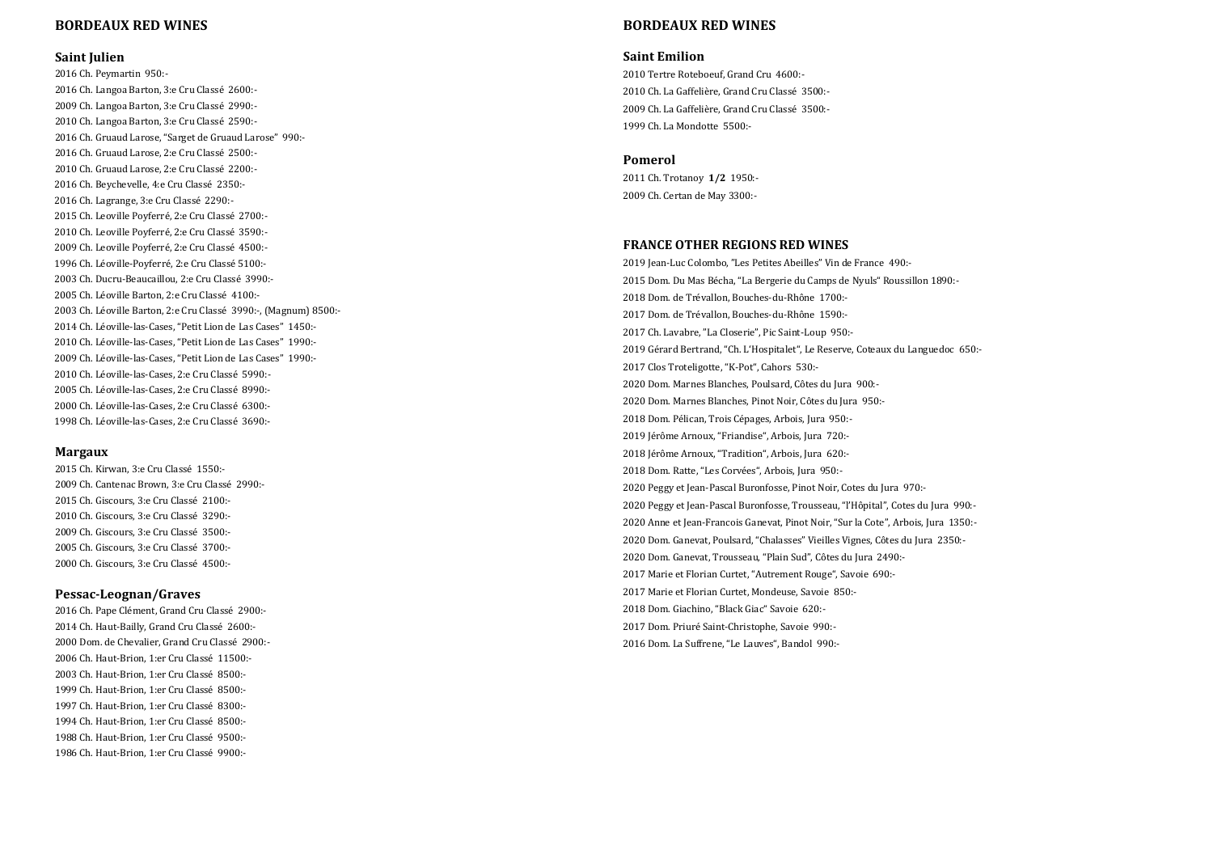### **BORDEAUX RED WINES**

#### **Saint Julien**

2016 Ch. Peymartin 950: - 2016 Ch. Langoa Barton, 3:e Cru Classé 2600: - 2009 Ch. Langoa Barton, 3:e Cru Classé 2990: - 2010 Ch. Langoa Barton, 3:e Cru Classé 2590: - 2016 Ch. Gruaud Larose, "Sarget de Gruaud Larose" 990: - 2016 Ch. Gruaud Larose, 2:e Cru Classé 2500: - 2010 Ch. Gruaud Larose, 2:e Cru Classé 2200: - 2016 Ch. Beychevelle, 4:e Cru Classé 2350: - 2016 Ch. Lagrange, 3:e Cru Classé 2290: - 2015 Ch. Leoville Poyferré, 2:e Cru Classé 2700: - 2010 Ch. Leoville Poyferré, 2:e Cru Classé 3590: - 2009 Ch. Leoville Poyferré, 2:e Cru Classé 4500: - 1996 Ch. Léoville -Poyferré, 2:e Cru Classé 5100: - 2003 Ch. Ducru -Beaucaillou, 2:e Cru Classé 3990: - 2005 Ch. Léoville Barton, 2:e Cru Classé 4100: - 2003 Ch. Léoville Barton, 2:e Cru Classé 3990: -, (Magnum) 8500: - 2014 Ch. Léoville-las-Cases, "Petit Lion de Las Cases" 1450:-2010 Ch. Léoville-las-Cases, "Petit Lion de Las Cases" 1990:-2009 Ch. Léoville-las-Cases, "Petit Lion de Las Cases" 1990:-2010 Ch. Léoville-las-Cases, 2:e Cru Classé 5990:-2005 Ch. Léoville -las -Cases, 2:e Cru Classé 8990: - 2000 Ch. Léoville -las -Cases, 2:e Cru Classé 6300: - 1998 Ch. Léoville -las -Cases, 2:e Cru Classé 3690: -

#### **Margaux**

2015 Ch. Kirwan, 3:e Cru Classé 1550: - 2009 Ch. Cantenac Brown, 3:e Cru Classé 2990: - 2015 Ch. Giscours, 3:e Cru Classé 2100: - 2010 Ch. Giscours, 3:e Cru Classé 3290: - 2009 Ch. Giscours, 3:e Cru Classé 3500: - 2005 Ch. Giscours, 3:e Cru Classé 3700: - 2000 Ch. Giscours, 3:e Cru Classé 4500: -

### **Pessac -Leognan/Graves**

2016 Ch. Pape Clément, Grand Cru Classé 2900: - 2014 Ch. Haut -Bailly, Grand Cru Classé 2600: - 2000 Dom. de Chevalier, Grand Cru Classé 2900: - Ch. Haut -Brion, 1:er Cru Classé 11500: - Ch. Haut -Brion, 1:er Cru Classé 8500: - Ch. Haut -Brion, 1:er Cru Classé 8500: - Ch. Haut -Brion, 1:er Cru Classé 8300: - Ch. Haut -Brion, 1:er Cru Classé 8500: - Ch. Haut -Brion, 1:er Cru Classé 9500: - Ch. Haut -Brion, 1:er Cru Classé 9900: -

# **BORDEAUX RED WINES**

#### **Saint Emilion**

2010 Tertre Roteboeuf, Grand Cru 4600: - 2010 Ch. La Gaffelière, Grand Cru Classé 3500: - 2009 Ch. La Gaffelière, Grand Cru Classé 3500: - 1999 Ch. La Mondotte 5500: -

#### **Pomerol**

2011 Ch. Trotanoy **1/2** 1950: - 2009 Ch. Certan de May 3300: -

### **FRANCE OTHER REGIONS RED WINES**

2019 Jean -Luc Colombo, "Les Petites Abeilles" Vin de France 490: - 2015 Dom. Du Mas Bécha, "La Bergerie du Camps de Nyuls" Roussillon 1890: - 2018 Dom. de Trévallon, Bouches-du-Rhône 1700:-2017 Dom. de Trévallon, Bouches-du-Rhône 1590:-2017 Ch. Lavabre, "La Closerie", Pic Saint -Loup 950: - 2019 Gérard Bertrand, "Ch. L'Hospitalet", Le Reserve, Coteaux du Languedoc 650: - 2017 Clos Troteligotte, "K -Pot", Cahors 530: - 2020 Dom. Marnes Blanches, Poulsard, Côtes du Jura 900: - 2020 Dom. Marnes Blanches, Pinot Noir, Côtes du Jura 950: - 2018 Dom. Pélican, Trois Cépages, Arbois, Jura 950: - 2019 Jérôme Arnoux, "Friandise", Arbois, Jura 720: - 2018 Jérôme Arnoux, "Tradition", Arbois, Jura 620: - 2018 Dom. Ratte, "Les Corvées", Arbois, Jura 950: - 2020 Peggy et Jean -Pascal Buronfosse, Pinot Noir, Cotes du Jura 970: - 2020 Peggy et Jean -Pascal Buronfosse, Trousseau, "l'Hôpital", Cotes du Jura 990: - 2020 Anne et Jean -Francois Ganevat, Pinot Noir, "Sur la Cote", Arbois, Jura 1350: - 2020 Dom. Ganevat, Poulsard, "Chalasses " Vieilles Vignes, Côtes du Jura 2350: - 2020 Dom. Ganevat, Trousseau, "Plain Sud", Côtes du Jura 2490: - 2017 Marie et Florian Curtet, "Autrement Rouge", Savoie 690: - 2017 Marie et Florian Curtet, Mondeuse, Savoie 850: - 2018 Dom. Giachino, "Black Giac" Savoie 620: - 2017 Dom. Priuré Saint -Christophe, Savoie 990: - 2016 Dom. La Suffrene, "Le Lauves", Bandol 990: -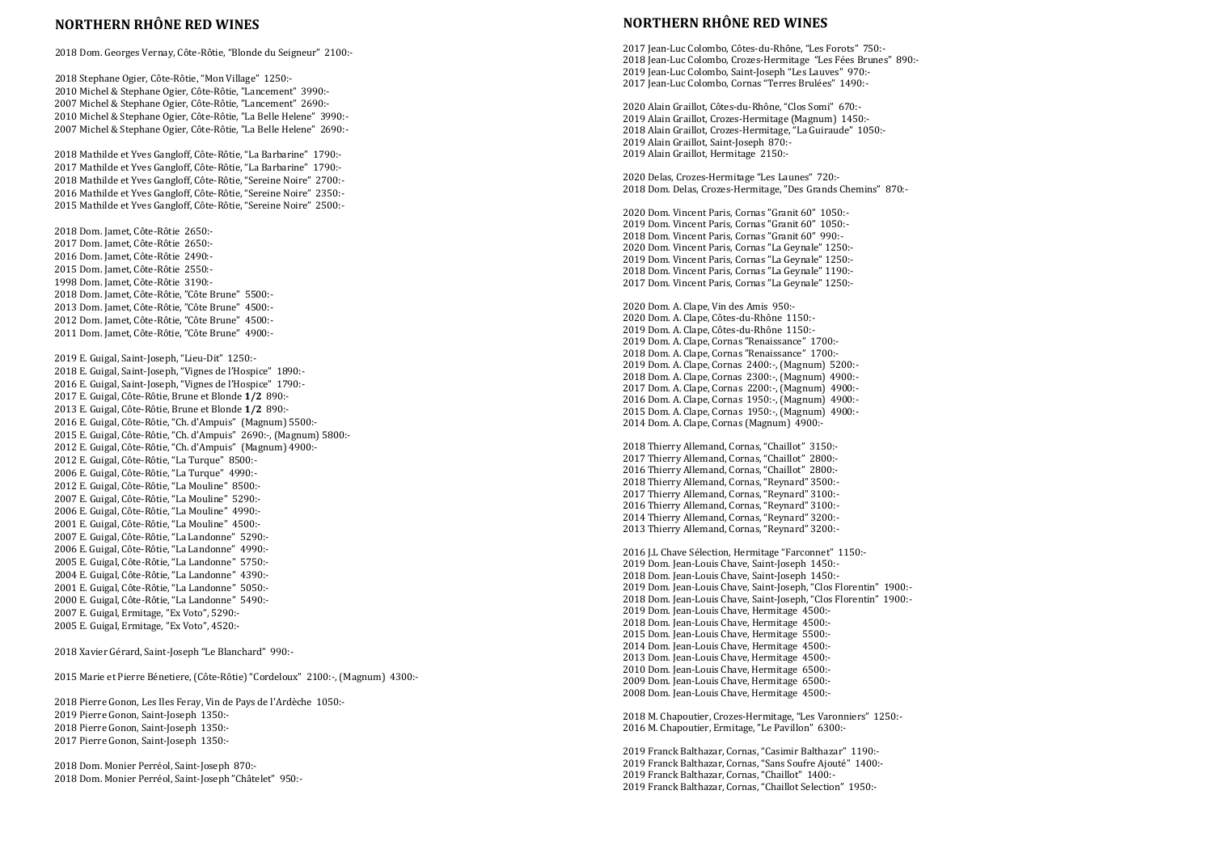# **NORTHERN RHÔNE RED WINES**

2018 Dom. Georges Vernay, Côte -Rôtie, "Blonde du Seigneur" 2100: -

2018 Stephane Ogier, Côte -Rôtie, "Mon Village" 1250: - 2010 Michel & Stephane Ogier, Côte -Rôtie, "Lancement" 3990: - 2007 Michel & Stephane Ogier, Côte -Rôtie, "Lancement" 2690: - 2010 Michel & Stephane Ogier, Côte -Rôtie, "La Belle Helene" 3990: - 2007 Michel & Stephane Ogier, Côte -Rôtie, "La Belle Helene" 2690: -

 Mathilde et Yves Gangloff, Côte -Rôtie, "La Barbarine" 1790: - Mathilde et Yves Gangloff, Côte -Rôtie, "La Barbarine" 1790: - 8 Mathilde et Yves Gangloff, Côte -Rôtie, "Sereine Noire" 2700: - 6 Mathilde et Yves Gangloff, Côte -Rôtie, "Sereine Noire" 2350: - 5 Mathilde et Yves Gangloff, Côte -Rôtie, "Sereine Noire" 2500: -

2018 Dom. Jamet, Côte -Rôtie 2650: - 2017 Dom. Jamet, Côte -Rôtie 2650: - 2016 Dom. Jamet, Côte -Rôtie 2490: - 2015 Dom. Jamet, Côte -Rôtie 2550: - 1998 Dom. Jamet, Côte -Rôtie 3190: - 2018 Dom. Jamet, Côte -Rôtie, "Côte Brune" 5500: - 2013 Dom. Jamet, Côte -Rôtie, "Côte Brune" 4500: - 2012 Dom. Jamet, Côte -Rôtie, "Côte Brune" 4500: - 2011 Dom. Jamet, Côte -Rôtie, "Côte Brune" 4900: -

2019 E. Guigal, Saint -Joseph, "Lieu -Dit" 1250: - 2018 E. Guigal, Saint -Joseph, "Vignes de l'Hospice" 1890: - 2016 E. Guigal, Saint -Joseph, "Vignes de l'Hospice" 1790 : - 2017 E. Guigal, Côte -Rôtie, Brune et Blonde **1/2** 890: - 2013 E. Guigal, Côte -Rôtie, Brune et Blonde **1/2** 890: - 2016 E. Guigal, Côte -Rôtie, "Ch. d'Ampuis" (Magnum) 5500: - 2015 E. Guigal, Côte-Rôtie, "Ch. d'Ampuis" 2690:-, (Magnum) 5800:-2012 E. Guigal, Côte -Rôtie, "Ch. d'Ampuis" (Magnum) 4900: - 2012 E. Guigal, Côte -Rôtie, "La Turque" 8500: - 2006 E. Guigal, Côte -Rôtie, "La Turque" 4990: - 2012 E. Guigal, Côte -Rôtie, "La Mouline" 8500: - 2007 E. Guigal, Côte -Rôtie, "La Mouline" 5290: - 2006 E. Guigal, Côte -Rôtie, "La Mouline" 4990: - 2001 E. Guigal, Côte -Rôtie, "La Mouline" 4500: - 2007 E. Guigal, Côte -Rôtie , "La Landonne" 5290: - 2006 E. Guigal, Côte -Rôtie , "La Landonne" 4990: - 2005 E. Guigal, Côte -Rôtie , "La Landonne" 5750: - 2004 E. Guigal, Côte -Rôtie , "La Landonne" 4390: - 2001 E. Guigal, Côte -Rôtie , "La Landonne" 5050: - 2000 E. Guigal, Côte -Rôtie , "La Landonne" 5490: - 2007 E. Guigal, Ermitage , "Ex Voto ", 5290: - 2005 E. Guigal, Ermitage , "Ex Voto ", 4520: -

2018 Xavier Gérard, Saint -Joseph "Le Blanchard" 990: -

2015 Marie et Pierre Bénetiere, (Côte -Rôtie) "Cordeloux" 2100: -, (Magnum) 4300: -

2018 Pierre Gonon, Les Iles Feray, Vin de Pays de l'Ardèche 1050: - 2019 Pierre Gonon, Saint -Joseph 1350: - 2018 Pierre Gonon, Saint -Joseph 1350: - 2017 Pierre Gonon, Saint -Joseph 1350: -

2018 Dom. Monier Perréol, Saint -Joseph 870: - 2018 Dom. Monier Perréol, Saint -Joseph "Châtelet" 950: - 2018 M. Chapoutier, Crozes-Hermitage, "Les Varonniers" 1250:-2016 M. Chapoutier, Ermitage, "Le Pavillon" 6300: -

# **NORTHERN RHÔNE RED WINES**

2017 Jean -Luc Colombo, Côtes -du -Rhône, "Les Forots" 750: - 2018 Jean-Luc Colombo, Crozes-Hermitage "Les Fées Brunes" 890:-2019 Jean -Luc Colombo, Saint -Joseph "Les Lauves" 970: - 2017 Jean -Luc Colombo, Cornas "Terres Brulées" 1490: - 2020 Alain Graillot, Côtes -du -Rhône, "Clos Somi" 670: - 2019 Alain Graillot, Crozes-Hermitage (Magnum) 1450:-2018 Alain Graillot, Crozes-Hermitage, "La Guiraude" (1050:-2019 Alain Graillot, Saint -Joseph 870: - 2019 Alain Graillot, Hermitage 2150: - 2020 Delas, Crozes -Hermitage "Les Launes" 720: - 201 8 Dom. Delas, Crozes -Hermitage, "Des Grands Chemins" 870: - 2020 Dom. Vincent Paris, Cornas "Granit 60" 1050: - 2019 Dom. Vincent Paris, Cornas "Granit 60" 1050: -

 Dom. Vincent Paris, Cornas "Granit 60" 990: - Dom. Vincent Paris, Cornas "La Geynale" 1250: - 9 Dom. Vincent Paris, Cornas "La Geynale" 1250: - 8 Dom. Vincent Paris, Cornas "La Geynale" 1190: - 2017 Dom. Vincent Paris, Cornas "La Geynale" 1250: -

2020 Dom. A. Clape, Vin des Amis 950: - 2020 Dom. A. Clape, Côtes-du-Rhône (1150:-2019 Dom. A. Clape, Côtes-du-Rhône 1150:-2019 Dom. A. Clape, Cornas "Renaissance" 1700: - 2018 Dom. A. Clape, Cornas "Renaissance" 1700: - 2019 Dom. A. Clape, Cornas 2400: -, (Magnum) 5200: - 2018 Dom. A. Clape, Cornas 2300: -, (Magnum) 4900: - 2017 Dom. A. Clape, Cornas 2200: -, (Magnum) 4900: - 2016 Dom. A. Clape, Cornas 1950: -, (Magnum) 4900: - 2015 Dom. A. Clape, Cornas 1950: -, (Magnum) 4900: - 2014 Dom. A. Clape, Cornas (Magnum) 4900: -

 Thierry Allemand, Cornas, "Chaillot" 3150: - Thierry Allemand, Cornas, "Chaillot" 2800: - Thierry Allemand, Cornas, "Chaillot" 2800: - Thierry Allemand, Cornas, "Reynard" 3500: - Thierry Allemand, Cornas, "Reynard" 3100: - Thierry Allemand, Cornas, "Reynard" 3100: - Thierry Allemand, Cornas, "Reynard" 3200: - Thierry Allemand, Cornas, "Reynard" 3200: -

2016 J.L Chave Sélection, Hermitage "Farconnet" 1150: - 2019 Dom. Jean -Louis Chave, Saint -Joseph 1450: - 2018 Dom. Jean -Louis Chave, Saint -Joseph 1450: - 2019 Dom. Jean -Louis Chave, Saint -Joseph, "Clos Florentin" 1900: - 2018 Dom. Jean -Louis Chave, Saint -Joseph, "Clos Florentin" 1900: - 2019 Dom. Jean -Louis Chave, Hermitage 4500: - 2018 Dom. Jean -Louis Chave, Hermitage 4500: - 2015 Dom. Jean -Louis Chave, Hermitage 5500 : - 2014 Dom. Jean -Louis Chave, Hermitage 4500: - 2013 Dom. Jean -Louis Chave, Hermitage 4500 : - 2010 Dom. Jean -Louis Chave, Hermitage 6500: - 2009 Dom. Jean -Louis Chave, Hermitage 6500 : - 2008 Dom. Jean -Louis Chave, Hermitage 4500: -

2019 Franck Balthazar, Cornas, "Casimir Balthazar" 1190: - 2019 Franck Balthazar, Cornas, "Sans Soufre Ajouté" 1400: - 2019 Franck Balthazar, Cornas, "Chaillot" 1400: - 2019 Franck Balthazar, Cornas, "Chaillot Selection" 1950: -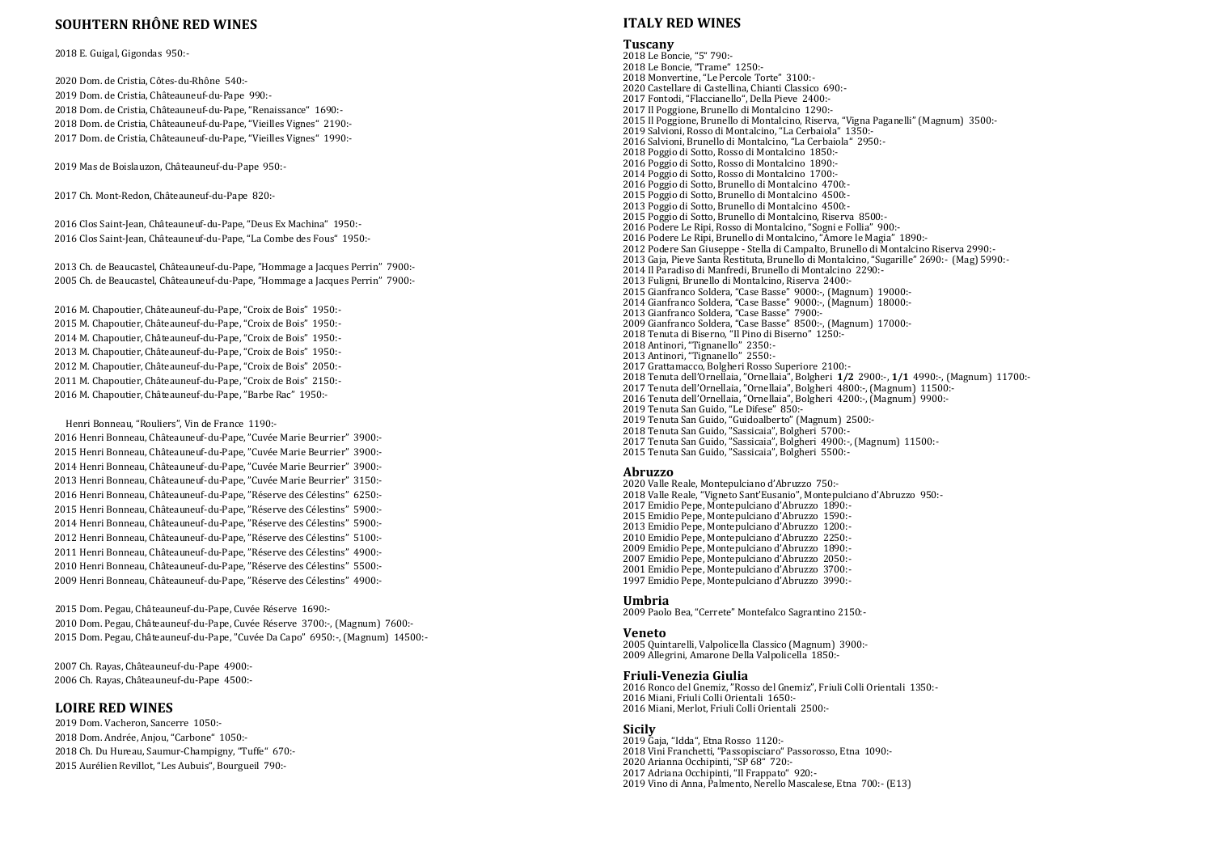# **SOUHTERN RHÔNE RED WINES**

2018 E. Guigal, Gigondas 950: -

2020 Dom. de Cristia, Côtes-du-Rhône 540:-2019 Dom. de Cristia, Châteauneuf-du -Pape 990: - 2018 Dom. de Cristia, Châteauneuf-du -Pape, "Renaissance" 1690: - 2018 Dom. de Cristia, Châteauneuf-du -Pape, "Vieilles Vignes" 2190: - 2017 Dom. de Cristia, Châteauneuf-du -Pape, "Vieilles Vignes" 1990: -

2019 Mas de Boislauzon, Châteauneuf-du -Pape 950: -

2017 Ch. Mont-Redon, Châteauneuf-du-Pape 820:-

201 6 Clos Saint -Jean, Châteauneuf-du -Pape, "Deus Ex Machina" 1950 : - 201 6 Clos Saint -Jean, Châteauneuf-du -Pape, "La Combe des Fous" 1950 : -

2016 M. Chapoutier, Châteauneuf-du-Pape, "Croix de Bois" 1950:-2015 M. Chapoutier, Châteauneuf-du-Pape, "Croix de Bois" (1950:-2014 M. Chapoutier, Châteauneuf-du-Pape, "Croix de Bois" (1950:-2013 M. Chapoutier, Châteauneuf-du-Pape, "Croix de Bois" 1950:-2012 M. Chapoutier, Châteauneuf-du-Pape, "Croix de Bois" 2050:-2011 M. Chapoutier, Châteauneuf-du-Pape, "Croix de Bois" 2150:-2016 M. Chapoutier, Châteauneuf-du -Pape, "Barbe Rac" 1950: -

2013 Ch. de Beaucastel, Châteauneuf -du -Pape, "Hommage a Jacques Perrin" 7900: - 2005 Ch. de Beaucastel, Châteauneuf-du -Pape, "Hommage a Jacques Perrin" 7900: -

2015 Dom. Pegau, Châteauneuf-du -Pape, Cuvée Réserve 1690: - 2010 Dom. Pegau, Châteauneuf-du -Pape, Cuvée Réserve 3700: -, (Magnum) 7600: - 2015 Dom. Pegau, Châteauneuf-du-Pape, "Cuvée Da Capo" 6950:-, (Magnum) 14500:-

Henri Bonneau, "Rouliers", Vin de France 1190: -

2016 Henri Bonneau, Châteauneuf -du -Pape, "Cuvée Marie Beurrier" 3900: - 2015 Henri Bonneau, Châteauneuf-du -Pape, "Cuvée Marie Beurrier" 3900: - 2014 Henri Bonneau, Châteauneuf-du-Pape, "Cuvée Marie Beurrier" 3900:-2013 Henri Bonneau, Châteauneuf-du -Pape, "Cuvée Marie Beurrier" 3150: - 2016 Henri Bonneau, Châteauneuf -du -Pape, "Réserve des Célestins" 6250: - 2015 Henri Bonneau, Châteauneuf -du -Pape, "Réserve des Célestins" 5900: - 2014 Henri Bonneau, Châteauneuf-du -Pape, "Réserve des Célestins" 5900: - 2012 Henri Bonneau, Châteauneuf-du -Pape, "Réserve des Célestins" 5100: - 2011 Henri Bonneau, Châteauneuf-du -Pape, "Réserve des Célestins" 4900: - 2010 Henri Bonneau, Châteauneuf-du -Pape, "Réserve des Célestins" 55 00: - 2009 Henri Bonneau, Châteauneuf-du -Pape, "Réserve des Célestins" 4900: -

2007 Ch. Rayas, Châteauneuf-du -Pape 4900: - 2006 Ch. Rayas, Châteauneuf-du -Pape 4500: -

#### **LOIRE RED WINES**

2019 Dom. Vacheron, Sancerre 1050: - 2018 Dom. Andrée, Anjou, "Carbone" 1050: - 2018 Ch. Du Hureau, Saumur -Champigny, "Tuffe" 670 : - 2015 Aurélien Revillot, "Les Aubuis", Bourgueil 790: -

#### **ITALY RED WINES**

**Tuscany**

2018 Le Boncie, "5" 790: - 2018 Le Boncie, "Trame " 1250: - 2018 Monvertine, "Le Percole Torte" 3100: - 2020 Castellare di Castellina, Chianti Classico 690: - 2017 Fontodi, "Flaccianello", Della Pieve 2400: - 2017 Il Poggione, Brunello di Montalcino 1290: - 2015 Il Poggione, Brunello di Montalcino, Riserva, "Vigna Paganelli" (Magnum) 3500: - 2019 Salvioni, Rosso di Montalcino, "La Cerbaiola" 1350: - 2016 Salvioni, Brunello di Montalcino, "La Cerbaiola" 2950: - 2018 Poggio di Sotto, Rosso di Montalcino 1850: - 2016 Poggio di Sotto, Rosso di Montalcino 1890: - 2014 Poggio di Sotto, Rosso di Montalcino 1700: - 2016 Poggio di Sotto, Brunello di Montalcino 4700: - 2015 Poggio di Sotto, Brunello di Montalcino 4500: - 2013 Poggio di Sotto, Brunello di Montalcino 4500: - 2015 Poggio di Sotto, Brunello di Montalcino, Riserva 8500: - 2016 Podere Le Ripi, Rosso di Montalcino, "Sogni e Follia" 900: - 2016 Podere Le Ripi, Brunello di Montalcino, "Amore le Magia" 1890: - 2012 Podere San Giuseppe - Stella di Campalto, Brunello di Montalcino Riserva 2990: - 2013 Gaja, Pieve Santa Restituta, Brunello di Montalcino, "Sugarille" 2690 : - (Mag) 5990: - 2014 Il Paradiso di Manfredi, Brunello di Montalcino 2290: - 2013 Fuligni, Brunello di Montalcino, Riserva 2400: - 2015 Gianfranco Soldera, "Case Basse" 9000 : -, (Magnum) 19000: - 201 4 Gianfranco Soldera, "Case Basse" 9000 : -, (Magnum) 18000: - 2013 Gianfranco Soldera, "Case Basse" 7900: - 2009 Gianfranco Soldera, "Case Basse" 8500: -, (Magnum) 17000: - 2018 Tenuta di Biserno, "Il Pino di Biserno" 1250 : - 2018 Antinori, "Tignanello" 2350:-2013 Antinori, "Tignanello" 25 50: - 2017 Grattamacco, Bolgheri Rosso Superiore 2100: - 2018 Tenuta dell 'Ornellaia, "Ornellaia", Bolgheri **1/2** 2900: -, **1/1** 4990: - , (Magnum) 11700: - 2017 Tenuta dell 'Ornellaia, "Ornellaia", Bolgheri 4800: - , (Magnum) 11500: - 2016 Tenuta dell'Ornellaia, "Ornellaia", Bolgheri 4200:-, (Magnum) 9900:-2019 Tenuta San Guido, "Le Difese" 850: - 2019 Tenuta San Guido, "Guidoalberto" (Magnum) 2500: - 2018 Tenuta San Guido, "Sassicaia", Bolgheri 5700: - 2017 Tenuta San Guido, "Sassicaia", Bolgheri 4900: -, (Magnum) 11500: - 2015 Tenuta San Guido, "Sassicaia", Bolgheri 5500: -

#### **Abruzzo**

2020 Valle Reale, Montepulciano d'Abruzzo 750: - 2018 Valle Reale, "Vigneto Sant'Eusanio", Montepulciano d'Abruzzo 950: - Emidio Pepe, Montepulciano d'Abruzzo 1890: - Emidio Pepe, Montepulciano d'Abruzzo 1590: - Emidio Pepe, Montepulciano d'Abruzzo 1200: - Emidio Pepe, Montepulciano d'Abruzzo 2250: - Emidio Pepe, Montepulciano d'Abruzzo 1890: - Emidio Pepe, Montepulciano d'Abruzzo 2050: - Emidio Pepe, Montepulciano d'Abruzzo 3700: - Emidio Pepe, Montepulciano d'Abruzzo 3990: -

#### **Umbri a**

2009 Paolo Bea, "Cerrete" Montefalco Sagrantino 2150 : -

#### **Veneto**

2005 Quintarelli, Valpolicella Classico (Magnum) 3900 : - 2009 Allegrini, Amarone Della Valpolicella 1850: -

#### **Friuli -Venezia Giulia**

2016 Ronco del Gnemiz, "Rosso del Gnemiz", Friuli Colli Orientali 1350: - 2016 Miani, Friuli Colli Orientali 1650: - 2016 Miani, Merlot, Friuli Colli Orientali 2500: -

#### **S i c ily**

2019 Gaja, "Idda", Etna Rosso 1120: - 2018 Vini Franchetti, "Passopisciaro" Passorosso, Etna 1090: - 2020 Arianna Occhipinti, "SP 68" 720: - 2017 Adriana Occhipinti, "Il Frappato" 920: - 2019 Vino di Anna, Palmento, Nerello Mascalese, Etna 700: - (E13)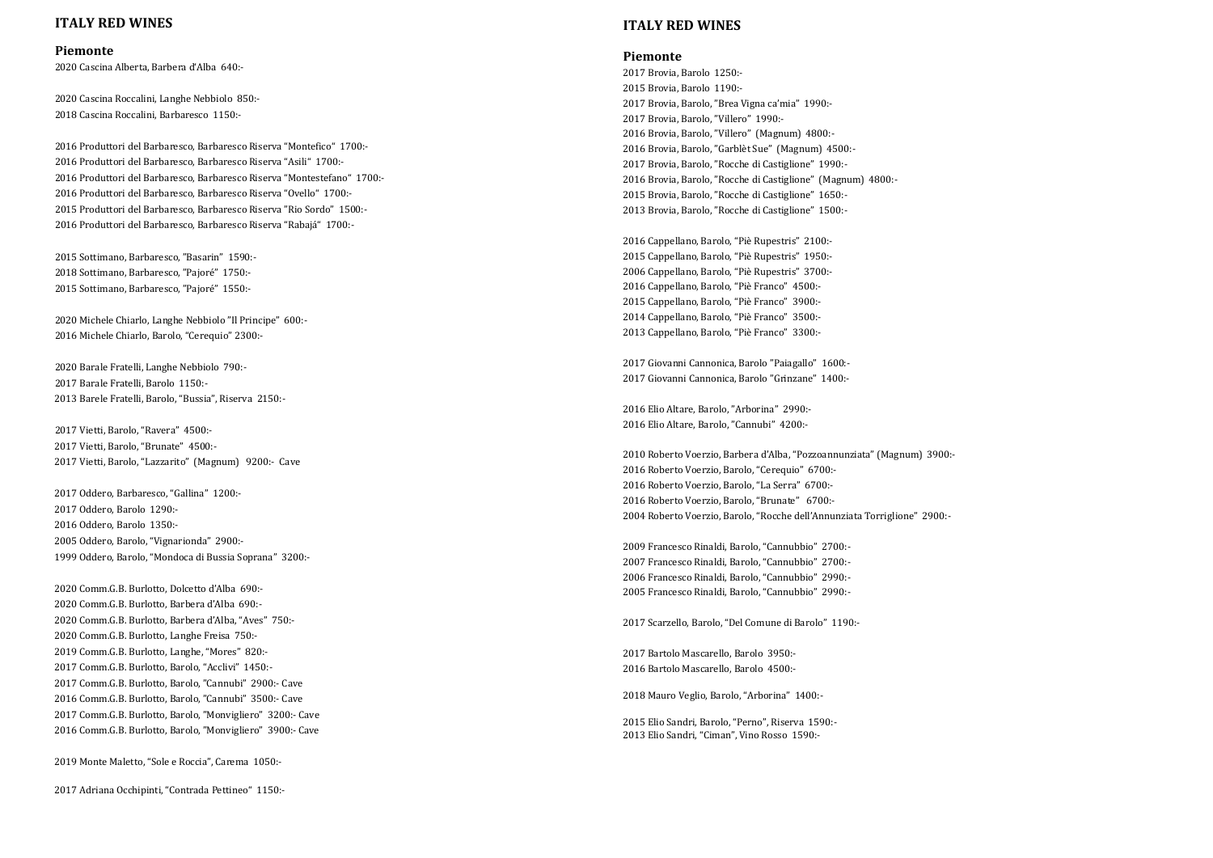### **ITALY RED WINES**

#### **Piemonte**

2020 Cascina Alberta, Barbera d'Alba 640:-

2020 Cascina Roccalini, Langhe Nebbiolo 850:- 2018 Cascina Roccalini, Barbaresco 1150:-

 Produttori del Barbaresco, Barbaresco Riserva "Montefico" 1700:- Produttori del Barbaresco, Barbaresco Riserva "Asili" 1700:- Produttori del Barbaresco, Barbaresco Riserva "Montestefano" 1700:- Produttori del Barbaresco, Barbaresco Riserva "Ovello" 1700:- Produttori del Barbaresco, Barbaresco Riserva "Rio Sordo" 1500:- Produttori del Barbaresco, Barbaresco Riserva "Rabajá" 1700:-

2015 Sottimano, Barbaresco, "Basarin" 1590:- 2018 Sottimano, Barbaresco, "Pajoré" 1750:- 2015 Sottimano, Barbaresco, "Pajoré" 1550:-

2020 Michele Chiarlo, Langhe Nebbiolo "Il Principe" 600:- 2016 Michele Chiarlo, Barolo, "Cerequio" 2300:-

2020 Barale Fratelli, Langhe Nebbiolo 790:- 2017 Barale Fratelli, Barolo 1150:- 2013 Barele Fratelli, Barolo, "Bussia", Riserva 2150:-

2017 Vietti, Barolo, "Ravera" 4500:- 2017 Vietti, Barolo, "Brunate" 4500:- 2017 Vietti, Barolo, "Lazzarito" (Magnum) 9200:- Cave

2017 Oddero, Barbaresco, "Gallina" 1200:- 2017 Oddero, Barolo 1290:- 2016 Oddero, Barolo 1350:- 2005 Oddero, Barolo, "Vignarionda" 2900:- 1999 Oddero, Barolo, "Mondoca di Bussia Soprana" 3200:-

2020 Comm.G.B. Burlotto, Dolcetto d'Alba 690:- 2020 Comm.G.B. Burlotto, Barbera d'Alba 690:- 2020 Comm.G.B. Burlotto, Barbera d'Alba, "Aves" 750:- 2020 Comm.G.B. Burlotto, Langhe Freisa 750:- 2019 Comm.G.B. Burlotto, Langhe, "Mores" 820:- 2017 Comm.G.B. Burlotto, Barolo, "Acclivi" 1450:- 2017 Comm.G.B. Burlotto, Barolo, "Cannubi" 2900:- Cave 2016 Comm.G.B. Burlotto, Barolo, "Cannubi" 3500:- Cave 2017 Comm.G.B. Burlotto, Barolo, "Monvigliero" 3200:- Cave 2016 Comm.G.B. Burlotto, Barolo, "Monvigliero" 3900:- Cave

2019 Monte Maletto, "Sole e Roccia", Carema 1050:-

2017 Adriana Occhipinti, "Contrada Pettineo" 1150:-

#### **ITALY RED WINES**

#### **Piemonte**

2017 Brovia, Barolo 1250:- 2015 Brovia, Barolo 1190:- 2017 Brovia, Barolo, "Brea Vigna ca'mia" 1990:- 2017 Brovia, Barolo, "Villero" 1990:- 2016 Brovia, Barolo, "Villero" (Magnum) 4800:- 2016 Brovia, Barolo, "Garblèt Sue" (Magnum) 4500:- 2017 Brovia, Barolo, "Rocche di Castiglione" 1990:- 2016 Brovia, Barolo, "Rocche di Castiglione" (Magnum) 4800:- 2015 Brovia, Barolo, "Rocche di Castiglione" 1650:- 2013 Brovia, Barolo, "Rocche di Castiglione" 1500:-

2016 Cappellano, Barolo, "Piè Rupestris" 2100:- 2015 Cappellano, Barolo, "Piè Rupestris" 1950:- 2006 Cappellano, Barolo, "Piè Rupestris" 3700:- 2016 Cappellano, Barolo, "Piè Franco" 4500:- 2015 Cappellano, Barolo, "Piè Franco" 3900:- 2014 Cappellano, Barolo, "Piè Franco" 3500:- 2013 Cappellano, Barolo, "Piè Franco" 3300:-

2017 Giovanni Cannonica, Barolo "Paiagallo" 1600:- 2017 Giovanni Cannonica, Barolo "Grinzane" 1400:-

2016 Elio Altare, Barolo, "Arborina" 2990:- 2016 Elio Altare, Barolo, "Cannubi" 4200:-

2010 Roberto Voerzio, Barbera d'Alba, "Pozzoannunziata" (Magnum) 3900:- 2016 Roberto Voerzio, Barolo, "Cerequio" 6700:- 2016 Roberto Voerzio, Barolo, "La Serra" 6700:- 2016 Roberto Voerzio, Barolo, "Brunate" 6700:- 2004 Roberto Voerzio, Barolo, "Rocche dell'Annunziata Torriglione" 2900:-

2009 Francesco Rinaldi, Barolo, "Cannubbio" 2700:- 2007 Francesco Rinaldi, Barolo, "Cannubbio" 2700:- 2006 Francesco Rinaldi, Barolo, "Cannubbio" 2990:- 2005 Francesco Rinaldi, Barolo, "Cannubbio" 2990:-

2017 Scarzello, Barolo, "Del Comune di Barolo" 1190:-

2017 Bartolo Mascarello, Barolo 3950:- 2016 Bartolo Mascarello, Barolo 4500:-

2018 Mauro Veglio, Barolo, "Arborina" 1400:-

2015 Elio Sandri, Barolo, "Perno", Riserva 1590:- 2013 Elio Sandri, "Ciman", Vino Rosso 1590:-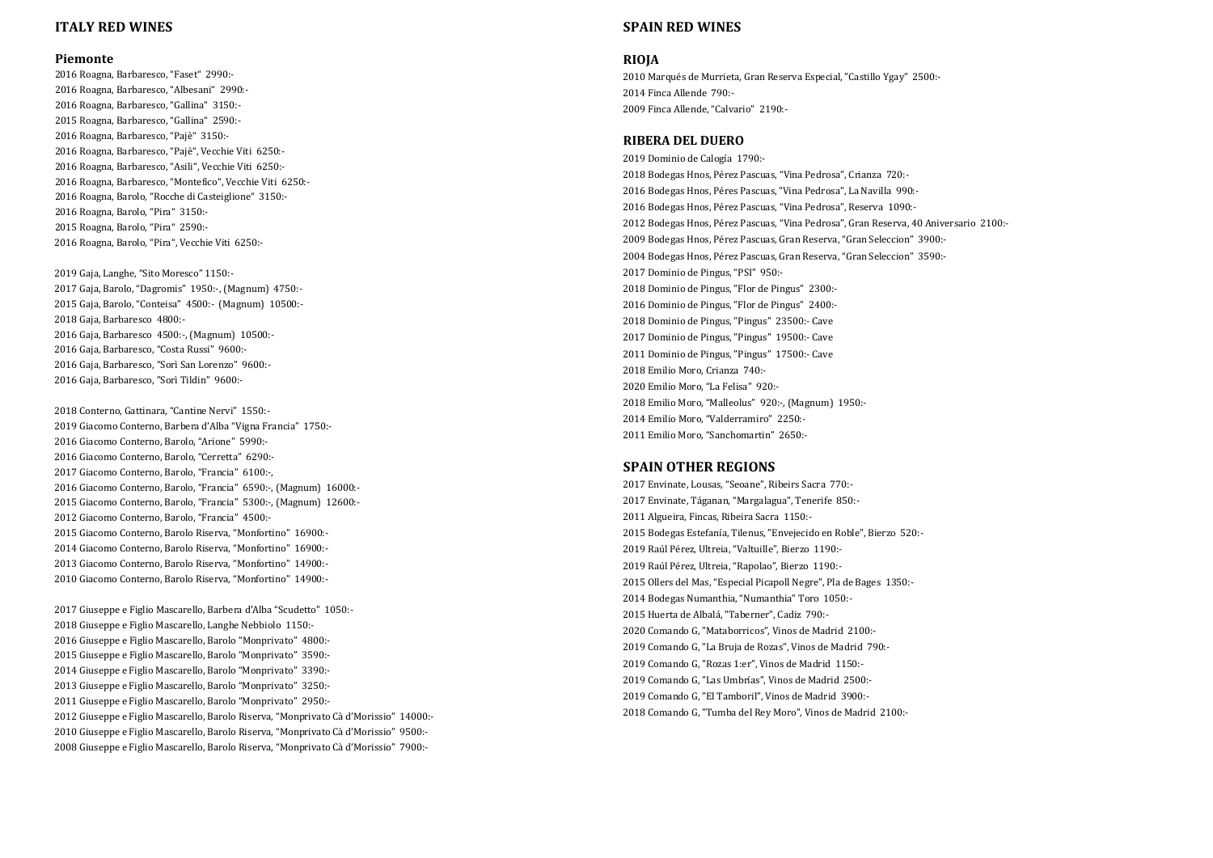### **ITALY RED WINES**

#### **Piemonte**

2016 Roagna, Barbaresco, "Faset" 2990: - 2016 Roagna, Barbaresco, "Albesani" 2990: - 2016 Roagna, Barbaresco, "Gallina" 3150: - 2015 Roagna, Barbaresco, "Gallina" 2590: - 2016 Roagna, Barbaresco, "Pajè" 3150: - 2016 Roagna, Barbaresco, "Pajè", Vecchie Viti 6250: - 2016 Roagna, Barbaresco, "Asili", Vecchie Viti 6250: - 2016 Roagna, Barbaresco, "Montefico", Vecchie Viti 6250: - 2016 Roagna, Barolo, "Rocche di Casteiglione" 3150: - 2016 Roagna, Barolo, "Pira" 3150: - 2015 Roagna, Barolo, "Pira" 2590: - 2016 Roagna, Barolo, "Pira", Vecchie Viti 6250: -

2019 Gaja, Langhe, "Sito Moresco" 1150: - 2017 Gaja, Barolo, "Dagromis" 1950: -, (Magnum) 4750: - 2015 Gaja, Barolo, "Conteisa" 4500: - (Magnum) 10500: - 2018 Gaja, Barbaresco 4800: - 2016 Gaja, Barbaresco 4500: -, (Magnum) 10500: - 2016 Gaja, Barbaresco, "Costa Russi" 9600: - 2016 Gaja, Barbaresco, "Sorì San Lorenzo" 9600: - 2016 Gaja, Barbaresco, "Sorì Tildin" 9600: -

2018 Conterno, Gattinara, "Cantine Nervi" 1550: - 2019 Giacomo Conterno, Barbera d'Alba "Vigna Francia" 1750: - 2016 Giacomo Conterno, Barolo, "Arione" 5990: - 2016 Giacomo Conterno, Barolo, "Cerretta" 6290: - 2017 Giacomo Conterno, Barolo, "Francia" 6100: - , 2016 Giacomo Conterno, Barolo, "Francia" 6590: -, (Magnum) 16000: - 2015 Giacomo Conterno, Barolo, "Francia" 5300: -, (Magnum) 12600: - 2012 Giacomo Conterno, Barolo, "Francia" 4500: - 2015 Giacomo Conterno, Barolo Riserva, "Monfortino" 16900: - 2014 Giacomo Conterno, Barolo Riserva, "Monfortino" 16900: - 2013 Giacomo Conterno, Barolo Riserva, "Monfortino" 14900: - 2010 Giacomo Conterno, Barolo Riserva, "Monfortino" 14900: -

2017 Giuseppe e Figlio Mascarello, Barbera d'Alba "Scudetto" 1050: - 201 8 Giuseppe e Figlio Mascarello, Langhe Nebbiolo 1150: - 20 1 6 Giuseppe e Figlio Mascarello, Barolo "Monprivato" 4800: - 201 5 Giuseppe e Figlio Mascarello, Barolo "Monprivato" 3590: - 201 4 Giuseppe e Figlio Mascarello, Barolo "Monprivato" 3390: - 201 3 Giuseppe e Figlio Mascarello, Barolo "Monprivato" 3250: - 2011 Giuseppe e Figlio Mascarello, Barolo "Monprivato" 2950: - 2012 Giuseppe e Figlio Mascarello, Barolo Riserva, "Monprivato Cà d'Morissio" 14000: - 2010 Giuseppe e Figlio Mascarello, Barolo Riserva, "Monprivato Cà d'Morissio" 9500: - 2008 Giuseppe e Figlio Mascarello, Barolo Riserva, "Monprivato Cà d'Morissio" 7900: -

#### **SPAIN RED WINES**

#### **RIOJA**

2010 Marqués de Murrieta, Gran Reserva Especial, "Castillo Ygay" 2500: - 2014 Finca Allende 790: - 2009 Finca Allende, "Calvario" 2190: -

#### **RIBERA DEL DUERO**

2019 Dominio de Calogía 1790: - 201 8 Bodegas Hnos, Pérez Pascuas, "Vina Pedrosa", Crianza 720: - 2016 Bodegas Hnos, Péres Pascuas, "Vina Pedrosa", La Navilla 990: - 201 6 Bodegas Hnos, Pérez Pascuas, "Vina Pedrosa", Reserva 1090: - 201 2 Bodegas Hnos, Pérez Pascuas, "Vina Pedrosa", Gran Reserva, 40 Aniversario 2100: - 2009 Bodegas Hnos, Pérez Pascuas, Gran Reserva, "Gran Seleccion" 3900: - 2004 Bodegas Hnos, Pérez Pascuas, Gran Reserva, "Gran Seleccion" 3590: - 2017 Dominio de Pingus, "PSI" 950: - 2018 Dominio de Pingus, "Flor de Pingus" 2300: - 2016 Dominio de Pingus, "Flor de Pingus" 2400: - 2018 Dominio de Pingus, "Pingus" 23500: - Cave 2017 Dominio de Pingus, "Pingus" 19500: - Cave

2011 Dominio de Pingus, "Pingus" 17500: - Cave 2018 Emilio Moro, Crianza 740: - 2020 Emilio Moro, "La Felisa" 920: - 201 8 Emilio Moro, "Malleolus" 920: -, (Magnum) 1950: - 2014 Emilio Moro, "Valderramiro" 2250: - 2011 Emilio Moro, "Sanchomartin" 2650: -

### **SPAIN OTHER REGIONS**

2017 Envinate, Lousas, "Seoane", Ribeirs Sacra 770: - 2017 Envinate, Táganan, "Margalagua", Tenerife 850: - 2011 Algueira, Fincas, Ribeira Sacra 1150: - 201 5 Bodegas Estefanía, Tilenus, "Envejecido en Roble", Bierzo 520: - 2019 Raúl Pérez, Ultreia, "Valtuille", Bierzo 1190: - 2019 Raúl Pérez, Ultreia, "Rapolao", Bierzo 1190: - 2015 Ollers del Mas, "Especial Picapoll Negre", Pla de Bages 1350: - 2014 Bodegas Numanthia, "Numanthia" Toro 1050: - 2015 Huerta de Albalá, "Taberner", Cadiz 790: - 2020 Comando G, "Mataborricos", Vinos de Madrid 2100: - 2019 Comando G, "La Bruja de Rozas", Vinos de Madrid 790: - 2019 Comando G, "Rozas 1:er", Vinos de Madrid 1150: - 2019 Comando G, "Las Umbrías", Vinos de Madrid 2500: - 2019 Comando G, "El Tamboril", Vinos de Madrid 3900: - 2018 Comando G, "Tumba del Rey Moro", Vinos de Madrid 2100: -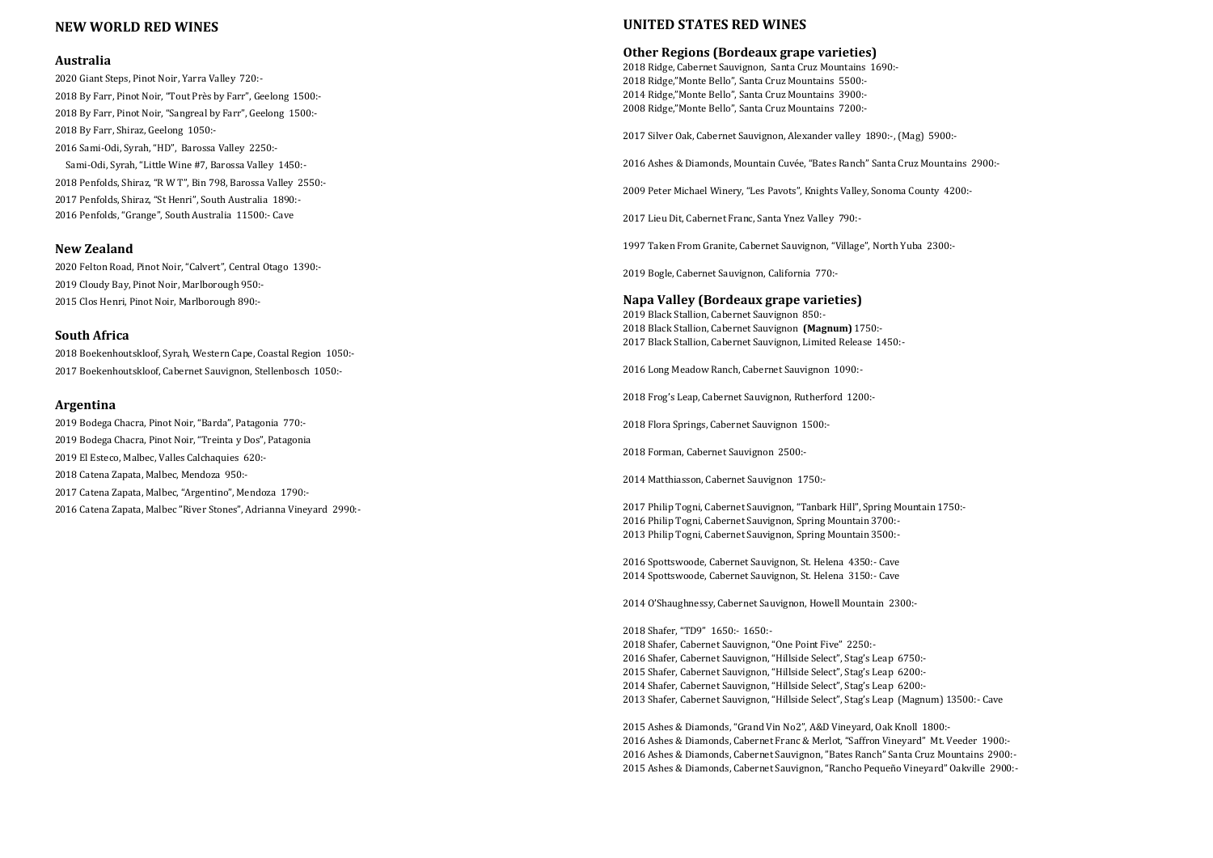## **NEW WORLD RED WINES**

#### **Australia**

2020 Giant Steps, Pinot Noir, Yarra Valley 720:- 2018 By Farr, Pinot Noir, "Tout Près by Farr", Geelong 1500:- 2018 By Farr, Pinot Noir, "Sangreal by Farr", Geelong 1500:- 2018 By Farr, Shiraz, Geelong 1050:- 2016 Sami-Odi, Syrah, "HD", Barossa Valley 2250:- Sami-Odi, Syrah, "Little Wine #7, Barossa Valley 1450:- 2018 Penfolds, Shiraz, "R W T", Bin 798, Barossa Valley 2550:- 2017 Penfolds, Shiraz, "St Henri", South Australia 1890:- 2016 Penfolds, "Grange", South Australia 11500:- Cave

#### **New Zealand**

2020 Felton Road, Pinot Noir, "Calvert", Central Otago 1390:- 2019 Cloudy Bay, Pinot Noir, Marlborough 950:- 2015 Clos Henri, Pinot Noir, Marlborough 890:-

#### **South Africa**

2018 Boekenhoutskloof, Syrah, Western Cape, Coastal Region 1050:- 2017 Boekenhoutskloof, Cabernet Sauvignon, Stellenbosch 1050:-

#### **Argentina**

2019 Bodega Chacra, Pinot Noir, "Barda", Patagonia 770:- 2019 Bodega Chacra, Pinot Noir, "Treinta y Dos", Patagonia 2019 El Esteco, Malbec, Valles Calchaquies 620:- 2018 Catena Zapata, Malbec, Mendoza 950:- 2017 Catena Zapata, Malbec, "Argentino", Mendoza 1790:- 2016 Catena Zapata, Malbec "River Stones", Adrianna Vineyard 2990:-

### **UNITED STATES RED WINES**

#### **Other Regions (Bordeaux grape varieties)**

2018 Ridge, Cabernet Sauvignon, Santa Cruz Mountains 1690:- 2018 Ridge,"Monte Bello", Santa Cruz Mountains 5500:- 2014 Ridge,"Monte Bello", Santa Cruz Mountains 3900:- 2008 Ridge,"Monte Bello", Santa Cruz Mountains 7200:-

2017 Silver Oak, Cabernet Sauvignon, Alexander valley 1890:-, (Mag) 5900:-

2016 Ashes & Diamonds, Mountain Cuvée, "Bates Ranch" Santa Cruz Mountains 2900:-

2009 Peter Michael Winery, "Les Pavots", Knights Valley, Sonoma County 4200:-

2017 Lieu Dit, Cabernet Franc, Santa Ynez Valley 790:-

1997 Taken From Granite, Cabernet Sauvignon, "Village", North Yuba 2300:-

2019 Bogle, Cabernet Sauvignon, California 770:-

#### **Napa Valley (Bordeaux grape varieties)**

2019 Black Stallion, Cabernet Sauvignon 850:- 2018 Black Stallion, Cabernet Sauvignon **(Magnum)** 1750:- 2017 Black Stallion, Cabernet Sauvignon, Limited Release 1450:-

2016 Long Meadow Ranch, Cabernet Sauvignon 1090:-

2018 Frog's Leap, Cabernet Sauvignon, Rutherford 1200:-

2018 Flora Springs, Cabernet Sauvignon 1500:-

2018 Forman, Cabernet Sauvignon 2500:-

2014 Matthiasson, Cabernet Sauvignon 1750:-

2017 Philip Togni, Cabernet Sauvignon, "Tanbark Hill", Spring Mountain 1750:- 2016 Philip Togni, Cabernet Sauvignon, Spring Mountain 3700:- 2013 Philip Togni, Cabernet Sauvignon, Spring Mountain 3500:-

2016 Spottswoode, Cabernet Sauvignon, St. Helena 4350:- Cave 2014 Spottswoode, Cabernet Sauvignon, St. Helena 3150:- Cave

2014 O'Shaughnessy, Cabernet Sauvignon, Howell Mountain 2300:-

2018 Shafer, "TD9" 1650:- 1650:- 2018 Shafer, Cabernet Sauvignon, "One Point Five" 2250:- Shafer, Cabernet Sauvignon, "Hillside Select", Stag's Leap 6750:- Shafer, Cabernet Sauvignon, "Hillside Select", Stag's Leap 6200:- Shafer, Cabernet Sauvignon, "Hillside Select", Stag's Leap 6200:- Shafer, Cabernet Sauvignon, "Hillside Select", Stag's Leap (Magnum) 13500:- Cave

2015 Ashes & Diamonds, "Grand Vin No2", A&D Vineyard, Oak Knoll 1800:- 2016 Ashes & Diamonds, Cabernet Franc & Merlot, "Saffron Vineyard" Mt. Veeder 1900:- 2016 Ashes & Diamonds, Cabernet Sauvignon, "Bates Ranch" Santa Cruz Mountains 2900:- 2015 Ashes & Diamonds, Cabernet Sauvignon, "Rancho Pequeño Vineyard" Oakville 2900:-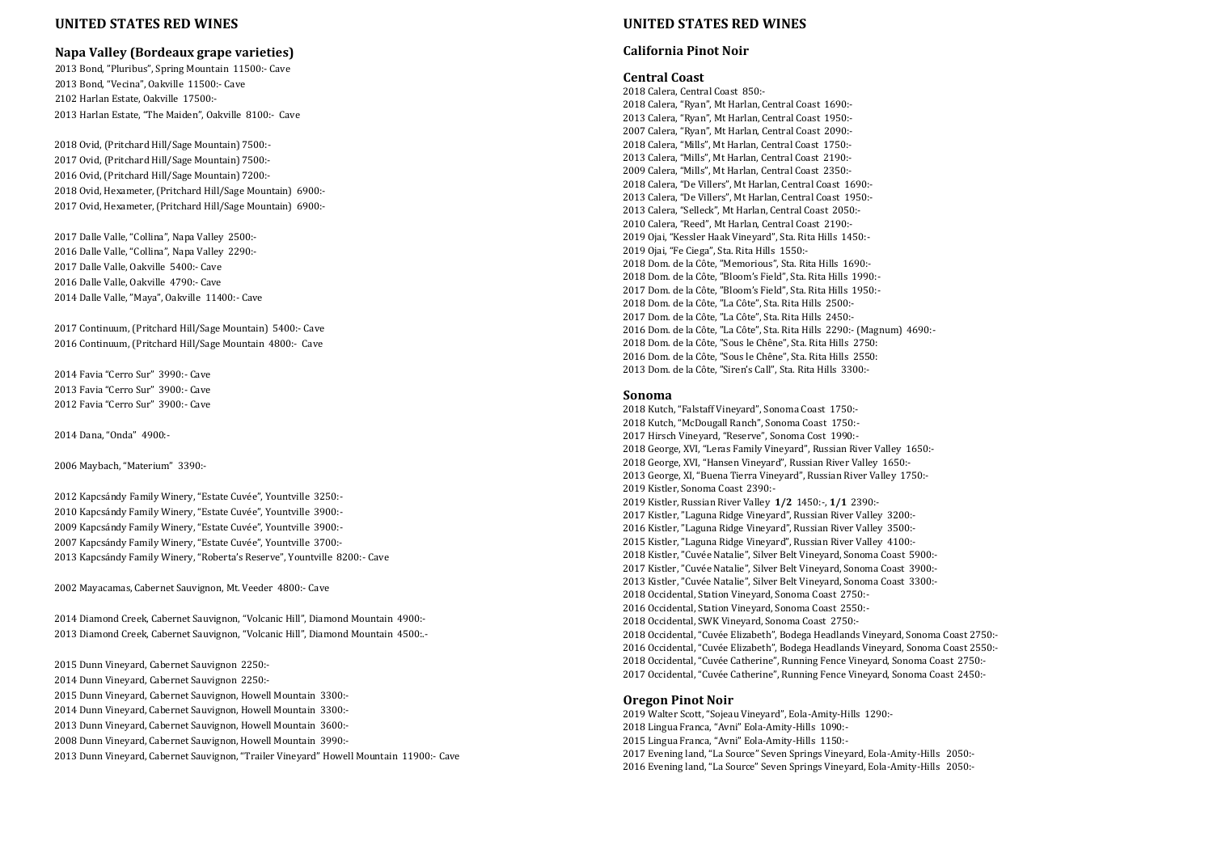### **UNITED STATES RED WINES**

#### **Napa Valley (Bordeaux grape varieties)**

2013 Bond, "Pluribus", Spring Mountain 11500:- Cave 2013 Bond, "Vecina", Oakville 11500:- Cave 2102 Harlan Estate, Oakville 17500:- 2013 Harlan Estate, "The Maiden", Oakville 8100:- Cave

2018 Ovid, (Pritchard Hill/Sage Mountain) 7500:- 2017 Ovid, (Pritchard Hill/Sage Mountain) 7500:- 2016 Ovid, (Pritchard Hill/Sage Mountain) 7200:- 2018 Ovid, Hexameter, (Pritchard Hill/Sage Mountain) 6900:- 2017 Ovid, Hexameter, (Pritchard Hill/Sage Mountain) 6900:-

2017 Dalle Valle, "Collina", Napa Valley 2500:- 2016 Dalle Valle, "Collina", Napa Valley 2290:- 2017 Dalle Valle, Oakville 5400:- Cave 2016 Dalle Valle, Oakville 4790:- Cave 2014 Dalle Valle, "Maya", Oakville 11400:- Cave

2017 Continuum, (Pritchard Hill/Sage Mountain) 5400:- Cave 2016 Continuum, (Pritchard Hill/Sage Mountain 4800:- Cave

2014 Favia "Cerro Sur" 3990:- Cave 2013 Favia "Cerro Sur" 3900:- Cave 2012 Favia "Cerro Sur" 3900:- Cave

2014 Dana, "Onda" 4900:-

2006 Maybach, "Materium" 3390:-

 Kapcsándy Family Winery, "Estate Cuvée", Yountville 3250:- Kapcsándy Family Winery, "Estate Cuvée", Yountville 3900:- Kapcsándy Family Winery, "Estate Cuvée", Yountville 3900:- Kapcsándy Family Winery, "Estate Cuvée", Yountville 3700:- Kapcsándy Family Winery, "Roberta's Reserve", Yountville 8200:- Cave

2002 Mayacamas, Cabernet Sauvignon, Mt. Veeder 4800:- Cave

2014 Diamond Creek, Cabernet Sauvignon, "Volcanic Hill", Diamond Mountain 4900:- 2013 Diamond Creek, Cabernet Sauvignon, "Volcanic Hill", Diamond Mountain 4500:.-

2015 Dunn Vineyard, Cabernet Sauvignon 2250:-

- 2014 Dunn Vineyard, Cabernet Sauvignon 2250:-
- 2015 Dunn Vineyard, Cabernet Sauvignon, Howell Mountain 3300:-
- 2014 Dunn Vineyard, Cabernet Sauvignon, Howell Mountain 3300:-
- 2013 Dunn Vineyard, Cabernet Sauvignon, Howell Mountain 3600:-
- 2008 Dunn Vineyard, Cabernet Sauvignon, Howell Mountain 3990:-

2013 Dunn Vineyard, Cabernet Sauvignon, "Trailer Vineyard" Howell Mountain 11900:- Cave

### **UNITED STATES RED WINES**

### **California Pinot Noir**

#### **Central Coast**

2018 Calera, Central Coast 850:- 2018 Calera, "Ryan", Mt Harlan, Central Coast 1690:- 2013 Calera, "Ryan", Mt Harlan, Central Coast 1950:- 2007 Calera, "Ryan", Mt Harlan, Central Coast 2090:- 2018 Calera, "Mills", Mt Harlan, Central Coast 1750:- 2013 Calera, "Mills", Mt Harlan, Central Coast 2190:- 2009 Calera, "Mills", Mt Harlan, Central Coast 2350:- 2018 Calera, "De Villers", Mt Harlan, Central Coast 1690:- 2013 Calera, "De Villers", Mt Harlan, Central Coast 1950:- 2013 Calera, "Selleck", Mt Harlan, Central Coast 2050:- 2010 Calera, "Reed", Mt Harlan, Central Coast 2190:- 2019 Ojai, "Kessler Haak Vineyard", Sta. Rita Hills 1450:- 2019 Ojai, "Fe Ciega", Sta. Rita Hills 1550:- 2018 Dom. de la Côte, "Memorious", Sta. Rita Hills 1690:- 2018 Dom. de la Côte, "Bloom's Field", Sta. Rita Hills 1990:- 2017 Dom. de la Côte, "Bloom's Field", Sta. Rita Hills 1950:- 2018 Dom. de la Côte, "La Côte", Sta. Rita Hills 2500:- 2017 Dom. de la Côte, "La Côte", Sta. Rita Hills 2450:- 2016 Dom. de la Côte, "La Côte", Sta. Rita Hills 2290:- (Magnum) 4690:- 2018 Dom. de la Côte, "Sous le Chêne", Sta. Rita Hills 2750: 2016 Dom. de la Côte, "Sous le Chêne", Sta. Rita Hills 2550: 2013 Dom. de la Côte, "Siren's Call", Sta. Rita Hills 3300:-

#### **Sonoma**

2018 Kutch, "Falstaff Vineyard", Sonoma Coast 1750:- 2018 Kutch, "McDougall Ranch", Sonoma Coast 1750:- 2017 Hirsch Vineyard, "Reserve", Sonoma Cost 1990:- 2018 George, XVI, "Leras Family Vineyard", Russian River Valley 1650:- 2018 George, XVI, "Hansen Vineyard", Russian River Valley 1650:- 2013 George, XI, "Buena Tierra Vineyard", Russian River Valley 1750:- 2019 Kistler, Sonoma Coast 2390:- 2019 Kistler, Russian River Valley **1/2** 1450:-, **1/1** 2390:- 2017 Kistler, "Laguna Ridge Vineyard", Russian River Valley 3200:- 2016 Kistler, "Laguna Ridge Vineyard", Russian River Valley 3500:- 2015 Kistler, "Laguna Ridge Vineyard", Russian River Valley 4100:- 2018 Kistler, "Cuvée Natalie", Silver Belt Vineyard, Sonoma Coast 5900:- 2017 Kistler, "Cuvée Natalie", Silver Belt Vineyard, Sonoma Coast 3900:- 2013 Kistler, "Cuvée Natalie", Silver Belt Vineyard, Sonoma Coast 3300:- 2018 Occidental, Station Vineyard, Sonoma Coast 2750:- 2016 Occidental, Station Vineyard, Sonoma Coast 2550:- 2018 Occidental, SWK Vineyard, Sonoma Coast 2750:- 2018 Occidental, "Cuvée Elizabeth", Bodega Headlands Vineyard, Sonoma Coast 2750:- 2016 Occidental, "Cuvée Elizabeth", Bodega Headlands Vineyard, Sonoma Coast 2550:- 2018 Occidental, "Cuvée Catherine", Running Fence Vineyard, Sonoma Coast 2750:- 2017 Occidental, "Cuvée Catherine", Running Fence Vineyard, Sonoma Coast 2450:-

#### **Oregon Pinot Noir**

2019 Walter Scott, "Sojeau Vineyard", Eola-Amity-Hills 1290:- 2018 Lingua Franca, "Avni" Eola-Amity-Hills 1090:- 2015 Lingua Franca, "Avni" Eola-Amity-Hills 1150:- 2017 Evening land, "La Source" Seven Springs Vineyard, Eola-Amity-Hills 2050:- 2016 Evening land, "La Source" Seven Springs Vineyard, Eola-Amity-Hills 2050:-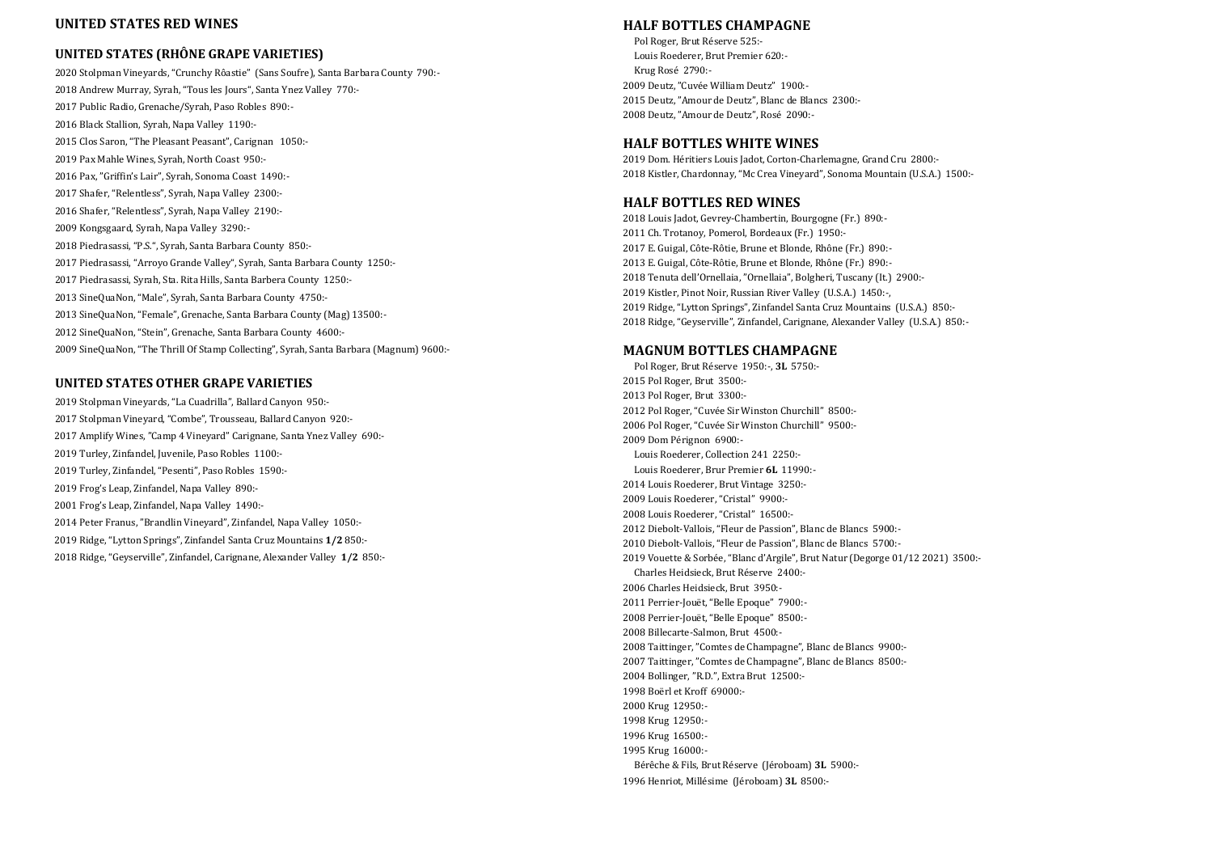### **UNITED STATES RED WINES**

### **UNITED STATES (RHÔNE GRAPE VARIETIES)**

2020 Stolpman Vineyards, "Crunchy Rôastie" (Sans Soufre), Santa Barbara County 790:- 2018 Andrew Murray, Syrah, "Tous les Jours", Santa Ynez Valley 770:- 2017 Public Radio, Grenache/Syrah, Paso Robles 890:- 2016 Black Stallion, Syrah, Napa Valley 1190:- 2015 Clos Saron, "The Pleasant Peasant", Carignan 1050:- 2019 Pax Mahle Wines, Syrah, North Coast 950:- 2016 Pax, "Griffin's Lair", Syrah, Sonoma Coast 1490:- 2017 Shafer, "Relentless", Syrah, Napa Valley 2300:- 2016 Shafer, "Relentless", Syrah, Napa Valley 2190:- 2009 Kongsgaard, Syrah, Napa Valley 3290:- 2018 Piedrasassi, "P.S.", Syrah, Santa Barbara County 850:- 2017 Piedrasassi, "Arroyo Grande Valley", Syrah, Santa Barbara County 1250:- 2017 Piedrasassi, Syrah, Sta. Rita Hills, Santa Barbera County 1250:- 2013 SineQuaNon, "Male", Syrah, Santa Barbara County 4750:- 2013 SineQuaNon, "Female", Grenache, Santa Barbara County (Mag) 13500:- 2012 SineQuaNon, "Stein", Grenache, Santa Barbara County 4600:- 2009 SineQuaNon, "The Thrill Of Stamp Collecting", Syrah, Santa Barbara (Magnum) 9600:-

### **UNITED STATES OTHER GRAPE VARIETIES**

2019 Stolpman Vineyards, "La Cuadrilla", Ballard Canyon 950:- 2017 Stolpman Vineyard, "Combe", Trousseau, Ballard Canyon 920:- 2017 Amplify Wines, "Camp 4 Vineyard" Carignane, Santa Ynez Valley 690:- 2019 Turley, Zinfandel, Juvenile, Paso Robles 1100:- 2019 Turley, Zinfandel, "Pesenti", Paso Robles 1590:- 2019 Frog's Leap, Zinfandel, Napa Valley 890:- 2001 Frog's Leap, Zinfandel, Napa Valley 1490:- 2014 Peter Franus, "Brandlin Vineyard", Zinfandel, Napa Valley 1050:- 2019 Ridge, "Lytton Springs", Zinfandel Santa Cruz Mountains **1/2** 850:- 2018 Ridge, "Geyserville", Zinfandel, Carignane, Alexander Valley **1/2** 850:-

### **HALF BOTTLES CHAMPAGNE**

 Pol Roger, Brut Réserve 525:- Louis Roederer, Brut Premier 620:- Krug Rosé 2790:- 2009 Deutz, "Cuvée William Deutz" 1900:- 2015 Deutz, "Amour de Deutz", Blanc de Blancs 2300:- 2008 Deutz, "Amour de Deutz", Rosé 2090:-

### **HALF BOTTLES WHITE WINES**

2019 Dom. Héritiers Louis Jadot, Corton-Charlemagne, Grand Cru 2800:- 2018 Kistler, Chardonnay, "Mc Crea Vineyard", Sonoma Mountain (U.S.A.) 1500:-

### **HALF BOTTLES RED WINES**

2018 Louis Jadot, Gevrey-Chambertin, Bourgogne (Fr.) 890:- 2011 Ch. Trotanoy, Pomerol, Bordeaux (Fr.) 1950:- 2017 E. Guigal, Côte-Rôtie, Brune et Blonde, Rhône (Fr.) 890:- 2013 E. Guigal, Côte-Rôtie, Brune et Blonde, Rhône (Fr.) 890:- 2018 Tenuta dell'Ornellaia, "Ornellaia", Bolgheri, Tuscany (It.) 2900:- 2019 Kistler, Pinot Noir, Russian River Valley (U.S.A.) 1450:-, 2019 Ridge, "Lytton Springs", Zinfandel Santa Cruz Mountains (U.S.A.) 850:- 2018 Ridge, "Geyserville", Zinfandel, Carignane, Alexander Valley (U.S.A.) 850:-

### **MAGNUM BOTTLES CHAMPAGNE**

 Pol Roger, Brut Réserve 1950:-, **3L** 5750:- 2015 Pol Roger, Brut 3500:- 2013 Pol Roger, Brut 3300:- 2012 Pol Roger, "Cuvée Sir Winston Churchill" 8500:- 2006 Pol Roger, "Cuvée Sir Winston Churchill" 9500:- 2009 Dom Pérignon 6900:- Louis Roederer, Collection 241 2250:- Louis Roederer, Brur Premier **6L** 11990:- 2014 Louis Roederer, Brut Vintage 3250:- 2009 Louis Roederer, "Cristal" 9900:- 2008 Louis Roederer, "Cristal" 16500:- 2012 Diebolt-Vallois, "Fleur de Passion", Blanc de Blancs 5900:- 2010 Diebolt-Vallois, "Fleur de Passion", Blanc de Blancs 5700:- 2019 Vouette & Sorbée, "Blanc d'Argile", Brut Natur (Degorge 01/12 2021) 3500:- Charles Heidsieck, Brut Réserve 2400:- 2006 Charles Heidsieck, Brut 3950:- 2011 Perrier-Jouët, "Belle Epoque" 7900:- 2008 Perrier-Jouët, "Belle Epoque" 8500:- 2008 Billecarte-Salmon, Brut 4500:- 2008 Taittinger, "Comtes de Champagne", Blanc de Blancs 9900:- 2007 Taittinger, "Comtes de Champagne", Blanc de Blancs 8500:- 2004 Bollinger, "R.D.", Extra Brut 12500:- 1998 Boërl et Kroff 69000:- 2000 Krug 12950:- 1998 Krug 12950:- 1996 Krug 16500:- 1995 Krug 16000:- Bérêche & Fils, Brut Réserve (Jéroboam) **3L** 5900:- 1996 Henriot, Millésime (Jéroboam) **3L** 8500:-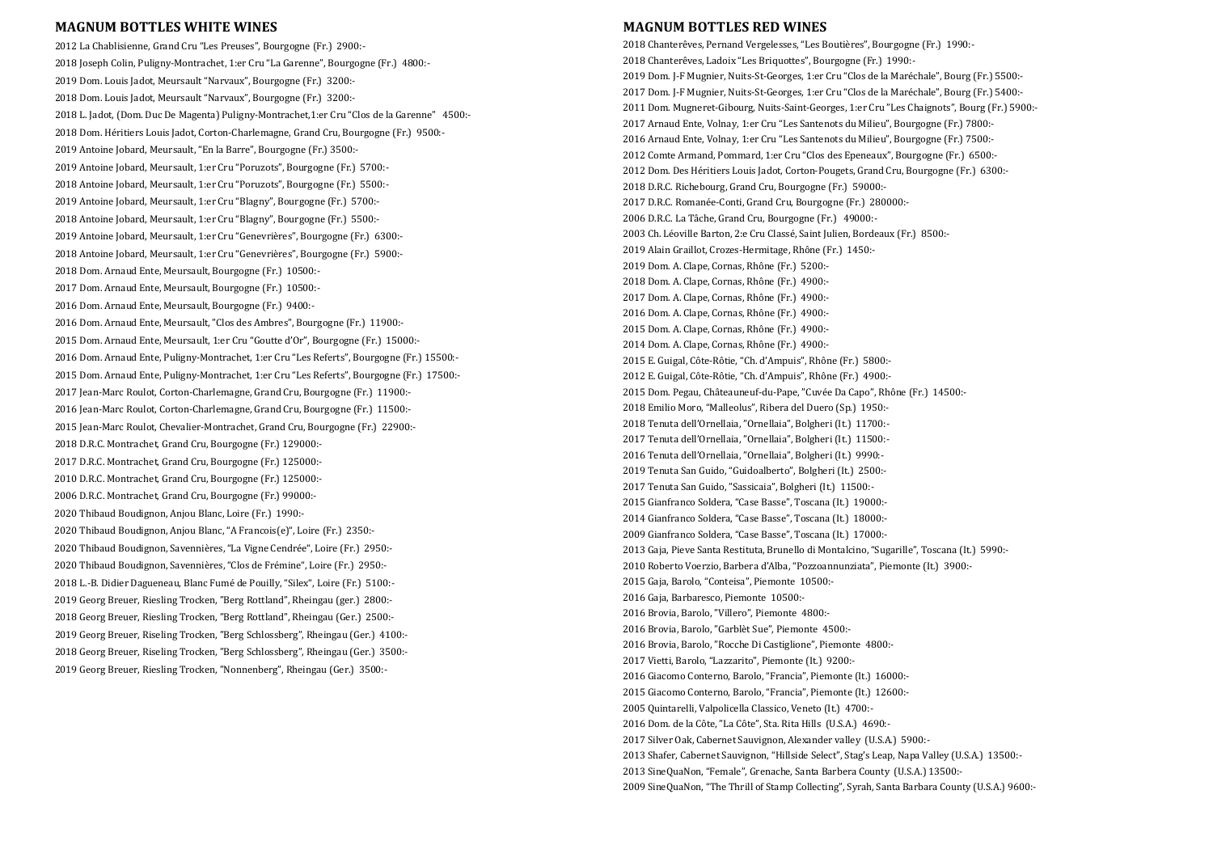### **MAGNUM BOTTLES WHITE WINES**

2012 La Chablisienne, Grand Cru "Les Preuses", Bourgogne (Fr.) 2900:- 2018 Joseph Colin, Puligny-Montrachet, 1:er Cru "La Garenne", Bourgogne (Fr.) 4800:- 2019 Dom. Louis Jadot, Meursault "Narvaux", Bourgogne (Fr.) 3200:- 2018 Dom. Louis Jadot, Meursault "Narvaux", Bourgogne (Fr.) 3200:- 2018 L. Jadot, (Dom. Duc De Magenta) Puligny-Montrachet,1:er Cru "Clos de la Garenne" 4500:- 2018 Dom. Héritiers Louis Jadot, Corton-Charlemagne, Grand Cru, Bourgogne (Fr.) 9500:- 2019 Antoine Jobard, Meursault, "En la Barre", Bourgogne (Fr.) 3500:- 2019 Antoine Jobard, Meursault, 1:er Cru "Poruzots", Bourgogne (Fr.) 5700:- 2018 Antoine Jobard, Meursault, 1:er Cru "Poruzots", Bourgogne (Fr.) 5500:- 2019 Antoine Jobard, Meursault, 1:er Cru "Blagny", Bourgogne (Fr.) 5700:- 2018 Antoine Jobard, Meursault, 1:er Cru "Blagny", Bourgogne (Fr.) 5500:- 2019 Antoine Jobard, Meursault, 1:er Cru "Genevrières", Bourgogne (Fr.) 6300:- 2018 Antoine Jobard, Meursault, 1:er Cru "Genevrières", Bourgogne (Fr.) 5900:- 2018 Dom. Arnaud Ente, Meursault, Bourgogne (Fr.) 10500:- 2017 Dom. Arnaud Ente, Meursault, Bourgogne (Fr.) 10500:- 2016 Dom. Arnaud Ente, Meursault, Bourgogne (Fr.) 9400:- 2016 Dom. Arnaud Ente, Meursault, "Clos des Ambres", Bourgogne (Fr.) 11900:- 2015 Dom. Arnaud Ente, Meursault, 1:er Cru "Goutte d'Or", Bourgogne (Fr.) 15000:- 2016 Dom. Arnaud Ente, Puligny-Montrachet, 1:er Cru "Les Referts", Bourgogne (Fr.) 15500:- 2015 Dom. Arnaud Ente, Puligny-Montrachet, 1:er Cru "Les Referts", Bourgogne (Fr.) 17500:- 2017 Jean-Marc Roulot, Corton-Charlemagne, Grand Cru, Bourgogne (Fr.) 11900:- 2016 Jean-Marc Roulot, Corton-Charlemagne, Grand Cru, Bourgogne (Fr.) 11500:- 2015 Jean-Marc Roulot, Chevalier-Montrachet, Grand Cru, Bourgogne (Fr.) 22900:- 2018 D.R.C. Montrachet, Grand Cru, Bourgogne (Fr.) 129000:- 2017 D.R.C. Montrachet, Grand Cru, Bourgogne (Fr.) 125000:- 2010 D.R.C. Montrachet, Grand Cru, Bourgogne (Fr.) 125000:- 2006 D.R.C. Montrachet, Grand Cru, Bourgogne (Fr.) 99000:- 2020 Thibaud Boudignon, Anjou Blanc, Loire (Fr.) 1990:- 2020 Thibaud Boudignon, Anjou Blanc, "A Francois(e)", Loire (Fr.) 2350:- 2020 Thibaud Boudignon, Savennières, "La Vigne Cendrée", Loire (Fr.) 2950:- 2020 Thibaud Boudignon, Savennières, "Clos de Frémine", Loire (Fr.) 2950:- 2018 L.-B. Didier Dagueneau, Blanc Fumé de Pouilly, "Silex", Loire (Fr.) 5100:- 2019 Georg Breuer, Riesling Trocken, "Berg Rottland", Rheingau (ger.) 2800:- 2018 Georg Breuer, Riesling Trocken, "Berg Rottland", Rheingau (Ger.) 2500:- 2019 Georg Breuer, Riseling Trocken, "Berg Schlossberg", Rheingau (Ger.) 4100:- 2018 Georg Breuer, Riseling Trocken, "Berg Schlossberg", Rheingau (Ger.) 3500:- 2019 Georg Breuer, Riesling Trocken, "Nonnenberg", Rheingau (Ger.) 3500:-

# **MAGNUM BOTTLES RED WINES**

2018 Chanterêves, Pernand Vergelesses, "Les Boutières", Bourgogne (Fr.) 1990:- 2018 Chanterêves, Ladoix "Les Briquottes", Bourgogne (Fr.) 1990:- 2019 Dom. J-F Mugnier, Nuits-St-Georges, 1:er Cru "Clos de la Maréchale", Bourg (Fr.) 5500:- 2017 Dom. J-F Mugnier, Nuits-St-Georges, 1:er Cru "Clos de la Maréchale", Bourg (Fr.) 5400:- 2011 Dom. Mugneret-Gibourg, Nuits-Saint-Georges, 1:er Cru "Les Chaignots", Bourg (Fr.) 5900:- 2017 Arnaud Ente, Volnay, 1:er Cru "Les Santenots du Milieu", Bourgogne (Fr.) 7800:- 2016 Arnaud Ente, Volnay, 1:er Cru "Les Santenots du Milieu", Bourgogne (Fr.) 7500:- 2012 Comte Armand, Pommard, 1:er Cru "Clos des Epeneaux", Bourgogne (Fr.) 6500:- 2012 Dom. Des Héritiers Louis Jadot, Corton-Pougets, Grand Cru, Bourgogne (Fr.) 6300:- 2018 D.R.C. Richebourg, Grand Cru, Bourgogne (Fr.) 59000:- 2017 D.R.C. Romanée-Conti, Grand Cru, Bourgogne (Fr.) 280000:- 2006 D.R.C. La Tâche, Grand Cru, Bourgogne (Fr.) 49000:- 2003 Ch. Léoville Barton, 2:e Cru Classé, Saint Julien, Bordeaux (Fr.) 8500:- 2019 Alain Graillot, Crozes-Hermitage, Rhône (Fr.) 1450:- 2019 Dom. A. Clape, Cornas, Rhône (Fr.) 5200:- 2018 Dom. A. Clape, Cornas, Rhône (Fr.) 4900:- 2017 Dom. A. Clape, Cornas, Rhône (Fr.) 4900:- 2016 Dom. A. Clape, Cornas, Rhône (Fr.) 4900:- 2015 Dom. A. Clape, Cornas, Rhône (Fr.) 4900:- 2014 Dom. A. Clape, Cornas, Rhône (Fr.) 4900:- 2015 E. Guigal, Côte-Rôtie, "Ch. d'Ampuis", Rhône (Fr.) 5800:- 2012 E. Guigal, Côte-Rôtie, "Ch. d'Ampuis", Rhône (Fr.) 4900:- 2015 Dom. Pegau, Châteauneuf-du-Pape, "Cuvée Da Capo", Rhône (Fr.) 14500:- 2018 Emilio Moro, "Malleolus", Ribera del Duero (Sp.) 1950:- 2018 Tenuta dell'Ornellaia, "Ornellaia", Bolgheri (It.) 11700:- 2017 Tenuta dell'Ornellaia, "Ornellaia", Bolgheri (It.) 11500:- 2016 Tenuta dell'Ornellaia, "Ornellaia", Bolgheri (It.) 9990:- 2019 Tenuta San Guido, "Guidoalberto", Bolgheri (It.) 2500:- 2017 Tenuta San Guido, "Sassicaia", Bolgheri (It.) 11500:- 2015 Gianfranco Soldera, "Case Basse", Toscana (It.) 19000:- 2014 Gianfranco Soldera, "Case Basse", Toscana (It.) 18000:- 2009 Gianfranco Soldera, "Case Basse", Toscana (It.) 17000:- 2013 Gaja, Pieve Santa Restituta, Brunello di Montalcino, "Sugarille", Toscana (It.) 5990:- 2010 Roberto Voerzio, Barbera d'Alba, "Pozzoannunziata", Piemonte (It.) 3900:- 2015 Gaja, Barolo, "Conteisa", Piemonte 10500:- 2016 Gaja, Barbaresco, Piemonte 10500:- 2016 Brovia, Barolo, "Villero", Piemonte 4800:- 2016 Brovia, Barolo, "Garblèt Sue", Piemonte 4500:- 2016 Brovia, Barolo, "Rocche Di Castiglione", Piemonte 4800:- 2017 Vietti, Barolo, "Lazzarito", Piemonte (It.) 9200:- 2016 Giacomo Conterno, Barolo, "Francia", Piemonte (It.) 16000:- 2015 Giacomo Conterno, Barolo, "Francia", Piemonte (It.) 12600:- 2005 Quintarelli, Valpolicella Classico, Veneto (It.) 4700:- 2016 Dom. de la Côte, "La Côte", Sta. Rita Hills (U.S.A.) 4690:- 2017 Silver Oak, Cabernet Sauvignon, Alexander valley (U.S.A.) 5900:- 2013 Shafer, Cabernet Sauvignon, "Hillside Select", Stag's Leap, Napa Valley (U.S.A.) 13500:- 2013 SineQuaNon, "Female", Grenache, Santa Barbera County (U.S.A.) 13500:- 2009 SineQuaNon, "The Thrill of Stamp Collecting", Syrah, Santa Barbara County (U.S.A.) 9600:-